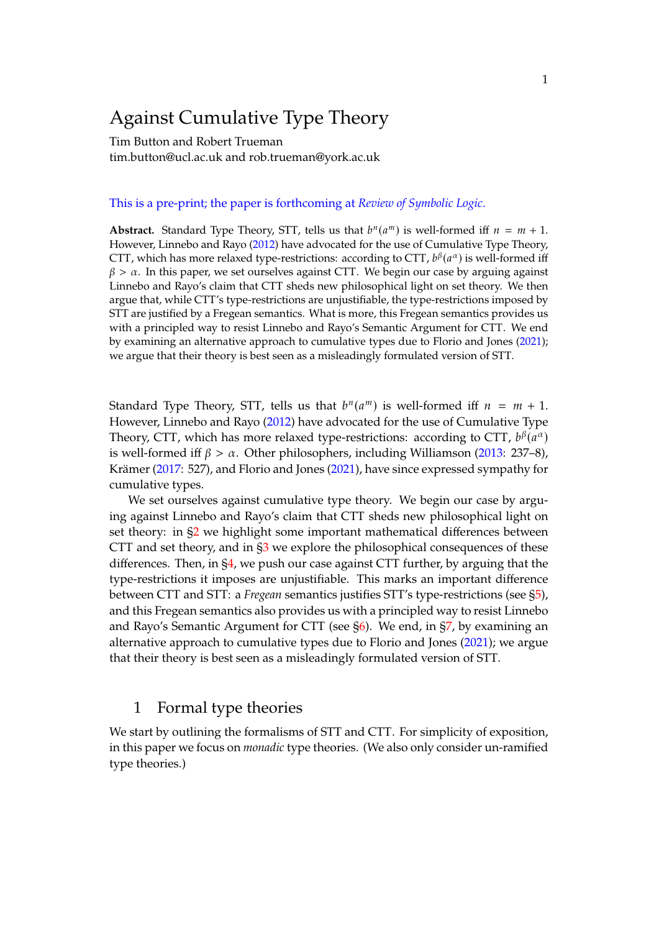# Against Cumulative Type Theory

Tim Button and Robert Trueman tim.button@ucl.ac.uk and rob.trueman@york.ac.uk

#### This is a pre-print; the paper is forthcoming at *Review of Symbolic Logic*.

**Abstract.** Standard Type Theory, STT, tells us that  $b^n(a^m)$  is well-formed iff  $n = m + 1$ .<br>However, Linnabe and Pave (2012) have advecated for the use of Cumulative Time Theory. However, Linnebo and Rayo [\(2012\)](#page-44-0) have advocated for the use of Cumulative Type Theory, CTT, which has more relaxed type-restrictions: according to CTT,  $b^{\beta}(a^{\alpha})$  is well-formed iff  $\beta > \alpha$ . In this paper, we set ourselves against CTT. We begin our case by arguing against Linnebo and Rayo's claim that CTT sheds new philosophical light on set theory. We then argue that, while CTT's type-restrictions are unjustifiable, the type-restrictions imposed by STT are justified by a Fregean semantics. What is more, this Fregean semantics provides us with a principled way to resist Linnebo and Rayo's Semantic Argument for CTT. We end by examining an alternative approach to cumulative types due to Florio and Jones [\(2021\)](#page-44-1); we argue that their theory is best seen as a misleadingly formulated version of STT.

Standard Type Theory, STT, tells us that  $b^n(a^m)$  is well-formed iff  $n = m + 1$ .<br>However Linnabe and Paye (2012) have advocated for the use of Cumulative Type However, Linnebo and Rayo [\(2012\)](#page-44-0) have advocated for the use of Cumulative Type Theory, CTT, which has more relaxed type-restrictions: according to CTT,  $b^{\beta}(a^{\alpha})$ <br>is yield formed iff  $\beta > \alpha$ . Other philosophers, including Williamson (2013: 237, 8) is well-formed iff  $\beta > \alpha$ . Other philosophers, including Williamson [\(2013:](#page-45-0) 237–8), Krämer [\(2017:](#page-44-2) 527), and Florio and Jones [\(2021\)](#page-44-1), have since expressed sympathy for cumulative types.

We set ourselves against cumulative type theory. We begin our case by arguing against Linnebo and Rayo's claim that CTT sheds new philosophical light on set theory: in [§2](#page-3-0) we highlight some important mathematical differences between CTT and set theory, and in [§3](#page-7-0) we explore the philosophical consequences of these differences. Then, in [§4,](#page-11-0) we push our case against CTT further, by arguing that the type-restrictions it imposes are unjustifiable. This marks an important difference between CTT and STT: a *Fregean* semantics justifies STT's type-restrictions (see [§5\)](#page-14-0), and this Fregean semantics also provides us with a principled way to resist Linnebo and Rayo's Semantic Argument for CTT (see [§6\)](#page-19-0). We end, in [§7,](#page-21-0) by examining an alternative approach to cumulative types due to Florio and Jones [\(2021\)](#page-44-1); we argue that their theory is best seen as a misleadingly formulated version of STT.

## 1 Formal type theories

We start by outlining the formalisms of STT and CTT. For simplicity of exposition, in this paper we focus on *monadic* type theories. (We also only consider un-ramified type theories.)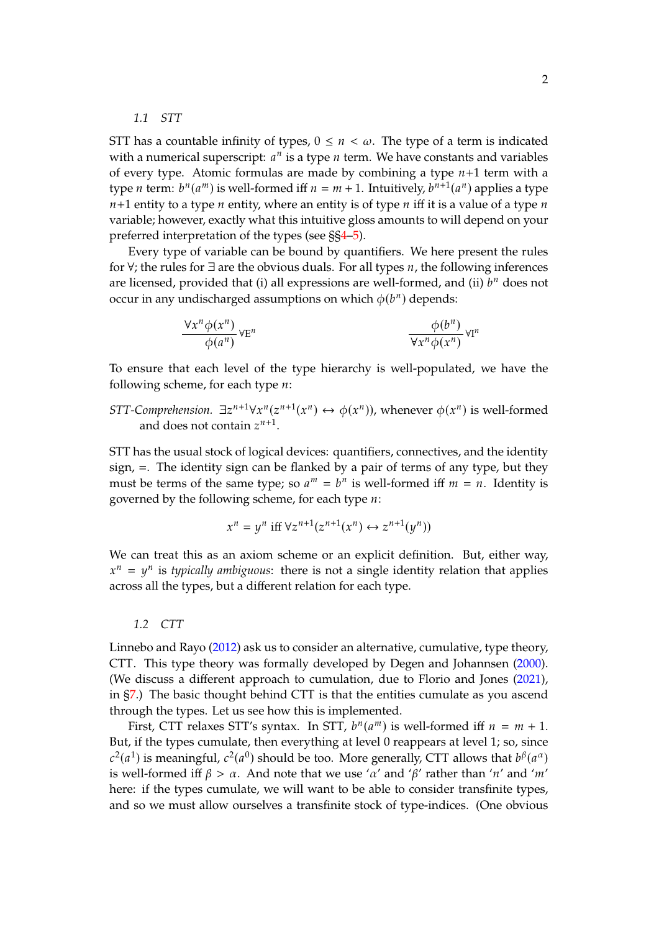<span id="page-1-1"></span>*1.1 STT*

STT has a countable infinity of types,  $0 \le n \le \omega$ . The type of a term is indicated with a numerical superscript:  $a^n$  is a type *n* term. We have constants and variables<br>of avery type. Atomic formulas are made by combining a type  $n+1$  term with a of every type. Atomic formulas are made by combining a type  $n+1$  term with a type *n* term:  $b^n(a^m)$  is well-formed iff  $n = m + 1$ . Intuitively,  $b^{n+1}(a^n)$  applies a type  $n+1$  entity to a type n entity, where an entity is of type n iff it is a value of a type n variable; however, exactly what this intuitive gloss amounts to will depend on your preferred interpretation of the types (see §[§4](#page-11-0)[–5\)](#page-14-0).

Every type of variable can be bound by quantifiers. We here present the rules for  $\forall$ ; the rules for  $\exists$  are the obvious duals. For all types *n*, the following inferences are licensed, provided that (i) all expressions are well-formed, and (ii)  $b^n$  does not<br>equiving any undischarged assumptions on which  $\phi(b^n)$  depends: occur in any undischarged assumptions on which  $\phi(b^n)$  depends:

$$
\frac{\forall x^{n} \phi(x^{n})}{\phi(a^{n})} \forall E^{n}
$$
\n
$$
\frac{\phi(b^{n})}{\forall x^{n} \phi(x^{n})} \forall I^{n}
$$

To ensure that each level of the type hierarchy is well-populated, we have the following scheme, for each type  $n$ :

# *STT-Comprehension.*  $\exists z^{n+1} \forall x^n (z^{n+1}(x^n) \leftrightarrow \phi(x^n))$ , whenever  $\phi(x^n)$  is well-formed and does not contain  $z^{n+1}$ .

STT has the usual stock of logical devices: quantifiers, connectives, and the identity sign,  $=$ . The identity sign can be flanked by a pair of terms of any type, but they must be terms of the same type; so  $a^m = b^n$  is well-formed iff  $m = n$ . Identity is coveraged by the following scheme for each type  $u$ : governed by the following scheme, for each type  $n$ :

$$
x^n = y^n \text{ iff } \forall z^{n+1}(z^{n+1}(x^n) \leftrightarrow z^{n+1}(y^n))
$$

We can treat this as an axiom scheme or an explicit definition. But, either way, across all the types, but a different relation for each type.  $m = y^n$  is *typically ambiguous*: there is not a single identity relation that applies<br>cross all the types but a different relation for each type.

#### <span id="page-1-0"></span>*1.2 CTT*

Linnebo and Rayo [\(2012\)](#page-44-0) ask us to consider an alternative, cumulative, type theory, CTT. This type theory was formally developed by Degen and Johannsen [\(2000\)](#page-44-3). (We discuss a different approach to cumulation, due to Florio and Jones [\(2021\)](#page-44-1), in [§7.](#page-21-0)) The basic thought behind CTT is that the entities cumulate as you ascend through the types. Let us see how this is implemented.

First, CTT relaxes STT's syntax. In STT,  $b^n(a^m)$  is well-formed iff  $n = m + 1$ .<br>
if the types sumulate then everything at level 0 reappears at level 1: so since But, if the types cumulate, then everything at level 0 reappears at level 1; so, since is well-formed iff  $\beta > \alpha$ . And note that we use ' $\alpha'$  and ' $\beta'$ ' rather than ' $n'$  and ' $m'$ '<br>here: if the types curvulate we will want to be able to consider transfinite types.  $^{2}(a^{1})$  is meaningful,  $c^{2}(a^{0})$  should be too. More generally, CTT allows that  $b^{\beta}(a^{\alpha})$ here: if the types cumulate, we will want to be able to consider transfinite types, and so we must allow ourselves a transfinite stock of type-indices. (One obvious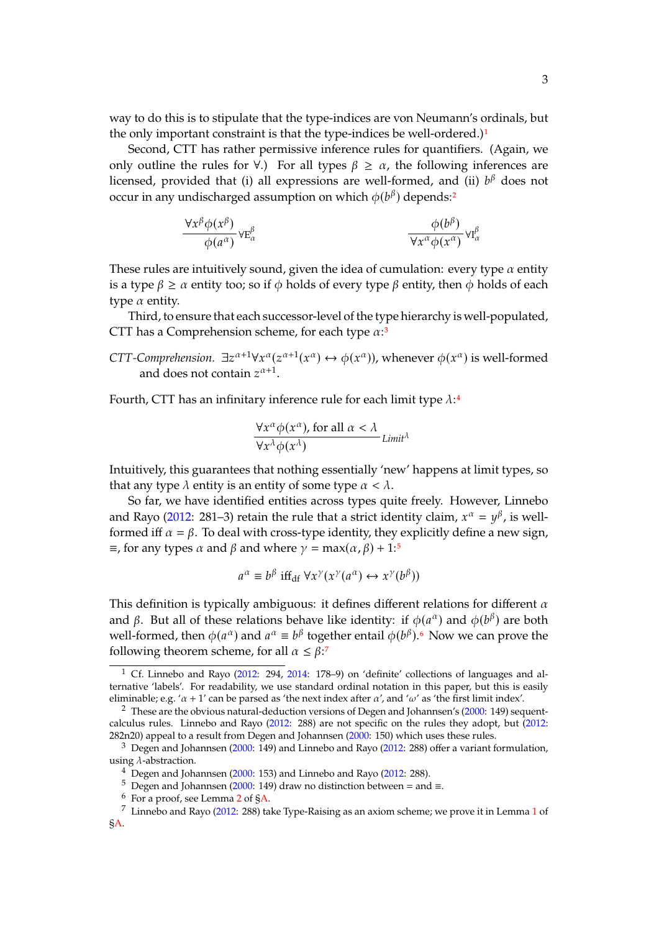way to do this is to stipulate that the type-indices are von Neumann's ordinals, but the only important constraint is that the type-indices be well-ordered.)<sup>[1](#page-2-0)</sup>

Second, CTT has rather permissive inference rules for quantifiers. (Again, we only outline the rules for  $\forall$ .) For all types  $\beta \geq \alpha$ , the following inferences are licensed, provided that (i) all expressions are well-formed, and (ii)  $b^{\beta}$  does not occur in any undischarged assumption on which  $\phi(b^{\beta})$  depends:<sup>[2](#page-2-1)</sup>

$$
\frac{\forall x^{\beta} \phi(x^{\beta})}{\phi(a^{\alpha})} \forall E_{\alpha}^{\beta} \qquad \qquad \frac{\phi(b^{\beta})}{\forall x^{\alpha} \phi(x^{\alpha})} \forall I_{\alpha}^{\beta}
$$

These rules are intuitively sound, given the idea of cumulation: every type  $\alpha$  entity is a type  $\beta \ge \alpha$  entity too; so if  $\phi$  holds of every type  $\beta$  entity, then  $\phi$  holds of each type  $\alpha$  entity.

Third, to ensure that each successor-level of the type hierarchy is well-populated, CTT has a Comprehension scheme, for each type  $\alpha$ :<sup>[3](#page-2-2)</sup>

*CTT-Comprehension.*  $\exists z^{\alpha+1} \forall x^{\alpha} (z^{\alpha+1}(x^{\alpha}) \leftrightarrow \phi(x^{\alpha}))$ , whenever  $\phi(x^{\alpha})$  is well-formed and does not contain  $z^{\alpha+1}$ .

Fourth, CTT has an infinitary inference rule for each limit type  $\lambda$ :<sup>[4](#page-2-3)</sup>

$$
\frac{\forall x^{\alpha} \phi(x^{\alpha}), \text{ for all } \alpha < \lambda}{\forall x^{\lambda} \phi(x^{\lambda})}
$$
*Limit*<sup>\lambda</sup>

Intuitively, this guarantees that nothing essentially 'new' happens at limit types, so that any type  $\lambda$  entity is an entity of some type  $\alpha < \lambda$ .

So far, we have identified entities across types quite freely. However, Linnebo and Rayo [\(2012:](#page-44-0) 281–3) retain the rule that a strict identity claim,  $x^{\alpha} = y^{\beta}$ , is well-<br>formed iff  $\alpha = \beta$ . To doal with gross type identity, they evolvigitly define a new sign formed iff  $\alpha = \beta$ . To deal with cross-type identity, they explicitly define a new sign,  $\equiv$ , for any types  $\alpha$  and  $\beta$  and where  $\gamma = \max(\alpha, \beta) + 1:5$  $\gamma = \max(\alpha, \beta) + 1:5$ 

$$
a^{\alpha} \equiv b^{\beta} \text{ iff}_{\text{df}} \forall x^{\gamma} (x^{\gamma} (a^{\alpha}) \leftrightarrow x^{\gamma} (b^{\beta}))
$$

This definition is typically ambiguous: it defines different relations for different  $\alpha$ and  $\beta$ . But all of these relations behave like identity: if  $\phi(a^{\alpha})$  and  $\phi(b^{\beta})$  are both well formed than  $\phi(a^{\alpha})$  and  $a^{\alpha} = b^{\beta}$  together ontail  $\phi(b^{\beta})$  6. Now we can prove the well-formed, then  $\phi(a^{\alpha})$  and  $a^{\alpha} \equiv b^{\beta}$  together entail  $\phi(b^{\beta})$ .<sup>[6](#page-2-5)</sup> Now we can prove the following theorem scheme, for all  $\alpha \leq \beta$ :<sup>[7](#page-2-6)</sup>

<span id="page-2-0"></span> $1 \text{ Cf. Linnebo and Ravo}$  [\(2012:](#page-44-0) 294, [2014:](#page-44-4) 178–9) on 'definite' collections of languages and alternative 'labels'. For readability, we use standard ordinal notation in this paper, but this is easily eliminable; e.g. ' $\alpha + 1'$  can be parsed as 'the next index after  $\alpha'$ , and ' $\omega'$  as 'the first limit index'.

<span id="page-2-1"></span><sup>&</sup>lt;sup>2</sup> These are the obvious natural-deduction versions of Degen and Johannsen's [\(2000:](#page-44-3) 149) sequentcalculus rules. Linnebo and Rayo [\(2012:](#page-44-0) 288) are not specific on the rules they adopt, but [\(2012:](#page-44-0) 282n20) appeal to a result from Degen and Johannsen [\(2000:](#page-44-3) 150) which uses these rules.

<span id="page-2-2"></span> $3$  Degen and Johannsen [\(2000:](#page-44-3) 149) and Linnebo and Rayo [\(2012:](#page-44-0) 288) offer a variant formulation, using  $\lambda$ -abstraction.

<span id="page-2-3"></span> $4$  Degen and Johannsen [\(2000:](#page-44-3) 153) and Linnebo and Rayo [\(2012:](#page-44-0) 288).

<span id="page-2-4"></span><sup>&</sup>lt;sup>5</sup> Degen and Johannsen [\(2000:](#page-44-3) 149) draw no distinction between = and ≡.

<span id="page-2-6"></span><span id="page-2-5"></span> $6\,$  For a proof, see Lemma [2](#page-30-0) of  $\delta$ A.

<sup>7</sup> Linnebo and Rayo [\(2012:](#page-44-0) 288) take Type-Raising as an axiom scheme; we prove it in Lemma [1](#page-30-2) of [§A.](#page-30-1)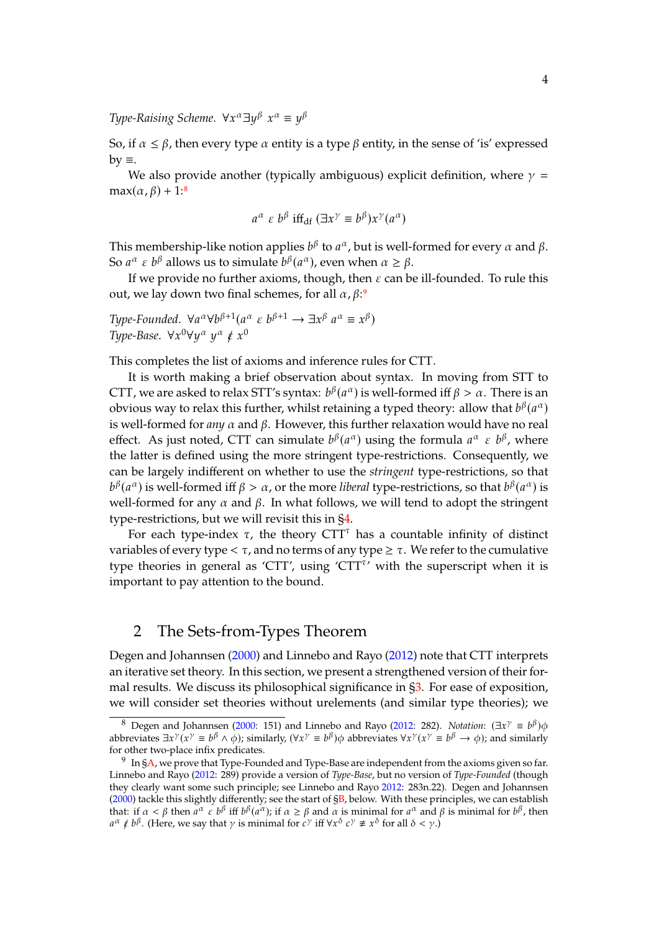Type-Raising Scheme.  $\forall x^\alpha \exists y^\beta$  $x^{\alpha} \equiv y^{\beta}$ 

So, if  $\alpha \leq \beta$ , then every type  $\alpha$  entity is a type  $\beta$  entity, in the sense of 'is' expressed  $by \equiv$ .

We also provide another (typically ambiguous) explicit definition, where  $\gamma$  =  $max(\alpha, \beta) + 1$ :<sup>[8](#page-3-1)</sup>

$$
a^{\alpha} \varepsilon b^{\beta} \text{ iff}_{\text{df}} (\exists x^{\gamma} \equiv b^{\beta}) x^{\gamma} (a^{\alpha})
$$

This membership-like notion applies  $b^{\beta}$  to  $a^{\alpha}$ , but is well-formed for every  $\alpha$  and  $\beta$ .<br>So  $a^{\alpha}$  s  $b^{\beta}$  allows us to simulate  $b^{\beta}(a^{\alpha})$ , over when  $\alpha > \beta$ . So  $a^{\alpha} \varepsilon b^{\beta}$  allows us to simulate  $b^{\beta}(a^{\alpha})$ , even when  $\alpha \ge \beta$ .<br>If we provide no further exists though then  $\varepsilon$  can be

If we provide no further axioms, though, then  $\varepsilon$  can be ill-founded. To rule this out, we lay down two final schemes, for all  $\alpha$ ,  $\beta$ :<sup>[9](#page-3-2)</sup>

Type-Founded.  $\forall a^{\alpha} \forall b^{\beta+1} (a^{\alpha} \in b^{\beta+1} \rightarrow \exists x^{\beta} a^{\alpha} \equiv x^{\beta})$ <br>Type-Base  $\forall x^0 \forall y^{\alpha} a^{\alpha} \neq x^0$ Type-Base.  $\forall x^0 \forall y^\alpha y^\alpha \notin x^0$  $\check{\phantom{a}}$ 

This completes the list of axioms and inference rules for CTT.

It is worth making a brief observation about syntax. In moving from STT to CTT, we are asked to relax STT's syntax:  $b^{\beta}(a^{\alpha})$  is well-formed iff  $\beta > \alpha$ . There is an obvious way to relax this further whilst retaining a typed theory: allow that  $b^{\beta}(a^{\alpha})$ obvious way to relax this further, whilst retaining a typed theory: allow that  $b^{\beta}(a^{\alpha})$ <br>is yiell formed for any  $\alpha$  and  $\beta$ . However, this further relaxation would have no real is well-formed for  $any \alpha$  and  $\beta$ . However, this further relaxation would have no real effect. As just noted, CTT can simulate  $b^{\beta}(a^{\alpha})$  using the formula  $a^{\alpha} \varepsilon b^{\beta}$ , where the latter is defined using the more stringent type-restrictions. Consequently, we can be largely indifferent on whether to use the *stringent* type-restrictions, so that well-formed for any  $\alpha$  and  $\beta$ . In what follows, we will tend to adopt the stringent  $\beta(a^{\alpha})$  is well-formed iff  $\beta > \alpha$ , or the more *liberal* type-restrictions, so that  $b^{\beta}(a^{\alpha})$  is related to a string on the string on the string on the string on the string on the string on the string on the string type-restrictions, but we will revisit this in [§4.](#page-11-0)

For each type-index  $\tau$ , the theory CTT<sup> $\tau$ </sup> has a countable infinity of distinct variables of every type  $< \tau$ , and no terms of any type  $\geq \tau$ . We refer to the cumulative type theories in general as 'CTT', using 'CTT<sup> $\tau$ </sup>' with the superscript when it is important to pay attention to the bound.

## <span id="page-3-0"></span>2 The Sets-from-Types Theorem

Degen and Johannsen [\(2000\)](#page-44-3) and Linnebo and Rayo [\(2012\)](#page-44-0) note that CTT interprets an iterative set theory. In this section, we present a strengthened version of their formal results. We discuss its philosophical significance in [§3.](#page-7-0) For ease of exposition, we will consider set theories without urelements (and similar type theories); we

<span id="page-3-1"></span><sup>8</sup> Degen and Johannsen [\(2000:](#page-44-3) 151) and Linnebo and Rayo [\(2012:](#page-44-0) 282). *Notation*:  $(\exists x^{\gamma} \equiv b^{\beta})\phi$ <br>provides  $\exists x^{\gamma}(x^{\gamma} = b^{\beta} \wedge \phi)$ : similarly  $(yx^{\gamma} = b^{\beta})\phi$  abbrevides  $\forall x^{\gamma}(x^{\gamma} = b^{\beta} \rightarrow \phi)$ ; and similarly abbreviates  $\exists x^{\gamma}(x^{\gamma} \equiv b^{\beta} \wedge \phi)$ ; similarly,  $(\forall x^{\gamma} \equiv b^{\beta})\phi$  abbreviates  $\forall x^{\gamma}(x^{\gamma} \equiv b^{\beta} \rightarrow \phi)$ ; and similarly for other two-place infix predicates for other two-place infix predicates.

<span id="page-3-2"></span> $9\;$  In [§A,](#page-30-1) we prove that Type-Founded and Type-Base are independent from the axioms given so far. Linnebo and Rayo [\(2012:](#page-44-0) 289) provide a version of *Type-Base*, but no version of *Type-Founded* (though they clearly want some such principle; see Linnebo and Rayo [2012:](#page-44-0) 283n.22). Degen and Johannsen [\(2000\)](#page-44-3) tackle this slightly differently; see the start of [§B,](#page-31-0) below. With these principles, we can establish that: if  $\alpha < \beta$  then  $a^{\alpha} \in b^{\beta}$  iff  $b^{\beta}(a^{\alpha})$ ; if  $\alpha \ge \beta$  and  $\alpha$  is minimal for  $a^{\alpha}$  and  $\beta$  is minimal for  $b^{\beta}$ , then  $a^{\alpha} \ne b^{\beta}$ . (Here we say that y is minimal for  $c^{\gamma}$  iff  $\forall x^{\delta}$ ,  $c^{\gamma} \ne x^$  $\alpha \notin b^{\beta}$ . (Here, we say that  $\gamma$  is minimal for  $c^{\gamma}$  iff  $\forall x^{\delta}$  $c^{\gamma} \neq x^{\delta}$  for all  $\delta < \gamma$ .)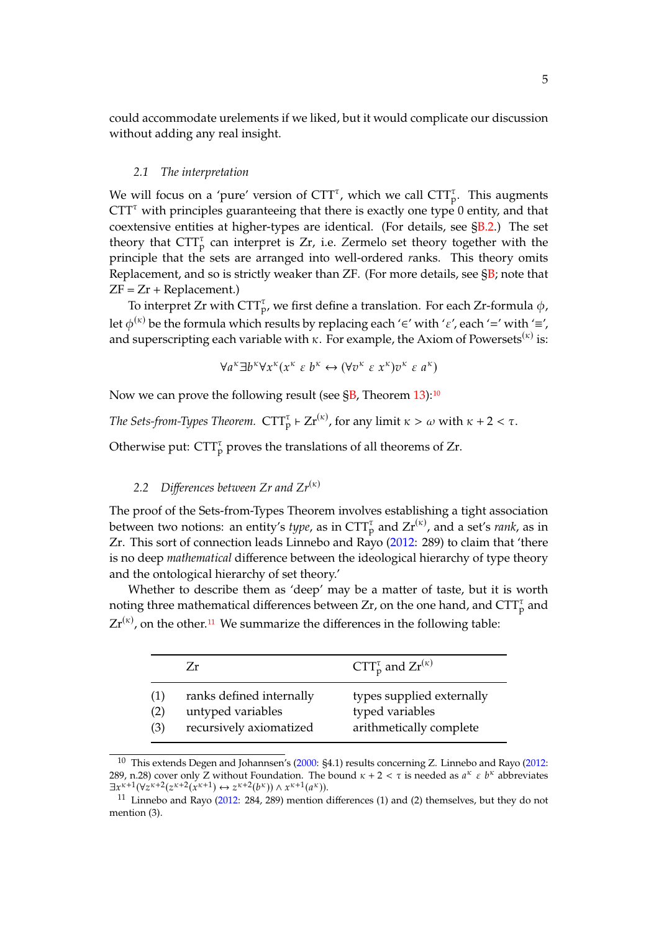could accommodate urelements if we liked, but it would complicate our discussion without adding any real insight.

#### *2.1 The interpretation*

We will focus on a 'pure' version of  $CTT^{\tau}$ , which we call  $CTT^{\tau}_{p}$ . This augments  $CTT<sup>\tau</sup>$  with principles guaranteeing that there is exactly one type 0 entity, and that coextensive entities at higher-types are identical. (For details, see [§B.2.](#page-32-0)) The set theory that  $CTT_p^{\tau}$  can interpret is Zr, i.e. Zermelo set theory together with the principle that the sets are arranged into well-ordered *r*anks. This theory omits Replacement, and so is strictly weaker than  $ZF$ . (For more details, see  $\S B$ ; note that  $ZF = Zr + Replacement.$ 

To interpret Zr with  $\text{CTT}_{p}^{\tau}$ , we first define a translation. For each Zr-formula  $\phi$ , let  $\phi^{(\kappa)}$  be the formula which results by replacing each '∈' with ' $\varepsilon'$ , each '=' with '≡', and superscripting each variable with  $\kappa$ . For example, the Axiom of Powersets<sup>( $\kappa$ )</sup> is:

$$
\forall a^{\kappa} \exists b^{\kappa} \forall x^{\kappa} (x^{\kappa} \varepsilon b^{\kappa} \leftrightarrow (\forall v^{\kappa} \varepsilon x^{\kappa}) v^{\kappa} \varepsilon a^{\kappa})
$$

Now we can prove the following result (see  $\S$ B, Theorem [13\)](#page-35-0):<sup>[10](#page-4-0)</sup>

*The Sets-from-Types Theorem.*  $\text{CTT}_{\text{p}}^{\tau} \vdash \text{Zr}^{(\kappa)}$ , for any limit  $\kappa > \omega$  with  $\kappa + 2 < \tau$ .

Otherwise put:  $CTT_p^{\tau}$  proves the translations of all theorems of Zr.

### <span id="page-4-2"></span>2.2 Differences between  $Zr$  and  $Zr^{(\kappa)}$

The proof of the Sets-from-Types Theorem involves establishing a tight association between two notions: an entity's *type*, as in  $CTT_p^{\tau}$  and  $Zr^{(\kappa)}$ , and a set's *rank*, as in Zr. This sort of connection leads Linnebo and Rayo [\(2012:](#page-44-0) 289) to claim that 'there is no deep *mathematical* difference between the ideological hierarchy of type theory and the ontological hierarchy of set theory.'

Whether to describe them as 'deep' may be a matter of taste, but it is worth noting three mathematical differences between Zr, on the one hand, and  $\text{CTT}_{\text{p}}^{\tau}$  and  $Zr^{(\kappa)}$ , on the other.<sup>[11](#page-4-1)</sup> We summarize the differences in the following table:

|                   | Zr                                                                       | $CTT_p^{\tau}$ and $Zr^{(\kappa)}$                                      |
|-------------------|--------------------------------------------------------------------------|-------------------------------------------------------------------------|
| (1)<br>(2)<br>(3) | ranks defined internally<br>untyped variables<br>recursively axiomatized | types supplied externally<br>typed variables<br>arithmetically complete |

<span id="page-4-0"></span><sup>10</sup> This extends Degen and Johannsen's [\(2000:](#page-44-3) §4.1) results concerning Z. Linnebo and Rayo [\(2012:](#page-44-0) 289, n.28) cover only Z without Foundation. The bound  $\kappa + 2 < \tau$  is needed as  $a^{\kappa} \varepsilon b^{\kappa}$  abbreviates  $\exists x^{k+1} (\forall z^{k+2} (z^{k+2} (x^{k+1}) \leftrightarrow z^{k+2} (b^k)) \land x^{k+1} (a^k)).$ <br>
11 J innebo and Payo (2012, 284, 289) montion

<span id="page-4-1"></span><sup>11</sup> Linnebo and Rayo [\(2012:](#page-44-0) 284, 289) mention differences (1) and (2) themselves, but they do not mention (3).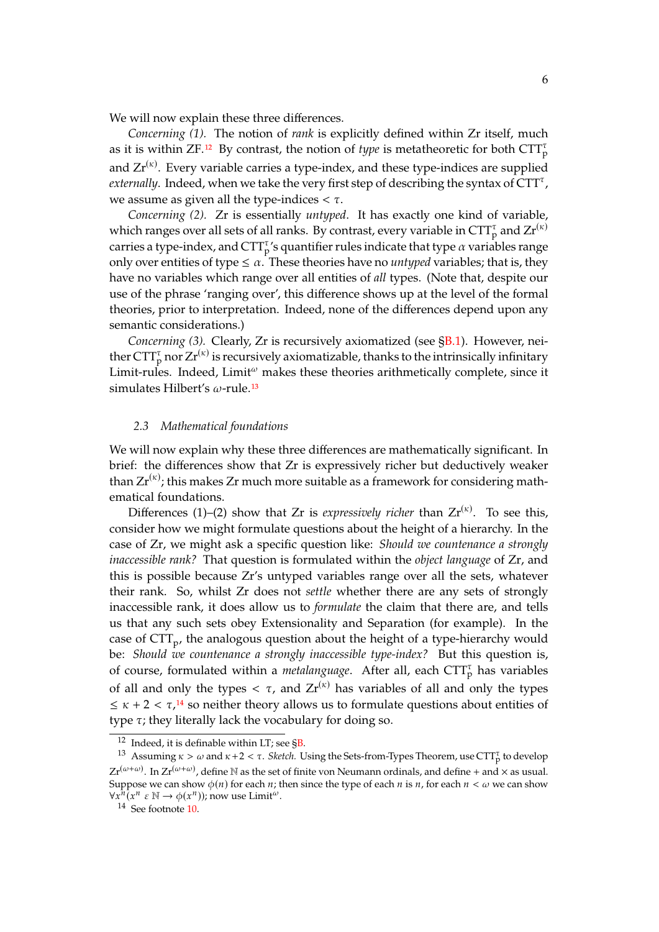We will now explain these three differences.

*Concerning (1).* The notion of *rank* is explicitly defined within Zr itself, much as it is within ZF.<sup>[12](#page-5-0)</sup> By contrast, the notion of *type* is metatheoretic for both  $\text{CTT}_{\text{p}}^{\tau}$ and  $Zr^{(\kappa)}$ . Every variable carries a type-index, and these type-indices are supplied *externally*. Indeed, when we take the very first step of describing the syntax of  $CTT^{\tau}$ , we assume as given all the type-indices  $\lt \tau$ .

*Concerning (2).* Zr is essentially *untyped*. It has exactly one kind of variable, which ranges over all sets of all ranks. By contrast, every variable in  $CTT_p^{\tau}$  and  $Zr^{(\kappa)}$ carries a type-index, and  $\text{CTT}_{\text{p}}^{\tau}$ 's quantifier rules indicate that type  $\alpha$  variables range only over entities of type  $\leq \alpha$ . These theories have no *untyped* variables; that is, they have no variables which range over all entities of *all* types. (Note that, despite our use of the phrase 'ranging over', this difference shows up at the level of the formal theories, prior to interpretation. Indeed, none of the differences depend upon any semantic considerations.)

*Concerning (3).* Clearly, Zr is recursively axiomatized (see [§B.1\)](#page-31-1). However, neither  $CTT_p^{\tau}$  nor  $Zr^{(\kappa)}$  is recursively axiomatizable, thanks to the intrinsically infinitary Limit-rules. Indeed,  $Limit^{\omega}$  makes these theories arithmetically complete, since it simulates Hilbert's  $\omega$ -rule.<sup>[13](#page-5-1)</sup>

#### <span id="page-5-3"></span>*2.3 Mathematical foundations*

We will now explain why these three differences are mathematically significant. In brief: the differences show that Zr is expressively richer but deductively weaker than  $Zr^{(k)}$ ; this makes  $Zr$  much more suitable as a framework for considering mathematical foundations.

Differences (1)–(2) show that Zr is *expressively richer* than  $Zr^{(\kappa)}$ . To see this, consider how we might formulate questions about the height of a hierarchy. In the case of Zr, we might ask a specific question like: *Should we countenance a strongly inaccessible rank?* That question is formulated within the *object language* of Zr, and this is possible because Zr's untyped variables range over all the sets, whatever their rank. So, whilst Zr does not *settle* whether there are any sets of strongly inaccessible rank, it does allow us to *formulate* the claim that there are, and tells us that any such sets obey Extensionality and Separation (for example). In the case of  $\text{CTT}_{\text{p}}$ , the analogous question about the height of a type-hierarchy would be: *Should we countenance a strongly inaccessible type-index?* But this question is, of course, formulated within a *metalanguage*. After all, each  $CTT_p^{\tau}$  has variables of all and only the types  $< \tau$ , and  $Zr^{(\kappa)}$  has variables of all and only the types  $\leq \kappa + 2 < \tau$ ,<sup>[14](#page-5-2)</sup> so neither theory allows us to formulate questions about entities of type  $\tau$ ; they literally lack the vocabulary for doing so.

<span id="page-5-1"></span><span id="page-5-0"></span> $12$  Indeed, it is definable within LT; see  $\S$ B.

<sup>&</sup>lt;sup>13</sup> Assuming  $\kappa > \omega$  and  $\kappa +2 < \tau$ . *Sketch.* Using the Sets-from-Types Theorem, use CTT<sub>p</sub> to develop  $Zr^{(\omega+\omega)}$ . In  $Zr^{(\omega+\omega)}$ , define N as the set of finite von Neumann ordinals, and define + and  $\times$  as usual. Suppose we can show  $\phi(n)$  for each  $n$ ; then since the type of each  $n$  is  $n$ , for each  $n < \omega$  we can show  $\forall x^{n}(x^{n} \in \mathbb{N} \rightarrow \phi(x^{n}))$ ; now use Limit<sup> $\omega$ </sup>.<br><sup>14</sup> See fortnote 10

<span id="page-5-2"></span><sup>14</sup> See footnote [10.](#page-4-0)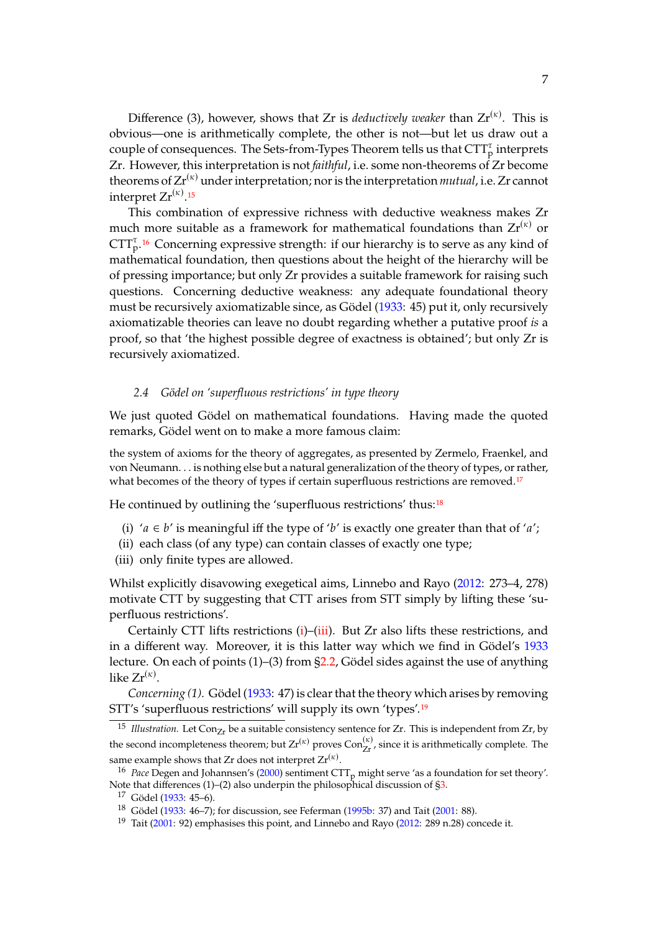Difference (3), however, shows that  $Zr$  is *deductively weaker* than  $Zr^{(\kappa)}$ . This is obvious—one is arithmetically complete, the other is not—but let us draw out a couple of consequences. The Sets-from-Types Theorem tells us that  $\text{CTT}_{\text{p}}^{\tau}$  interprets Zr. However, this interpretation is not *faithful*, i.e. some non-theorems of Zr become theorems of  $Zr^{(\kappa)}$  under interpretation; nor is the interpretation *mutual*, i.e. Zr cannot interpret  $\operatorname{Zr}^{(\kappa)}$ .<sup>[15](#page-6-0)</sup>

This combination of expressive richness with deductive weakness makes Zr much more suitable as a framework for mathematical foundations than  $Zr^{(k)}$  or  $CTT_p^{\tau, 16}$  $CTT_p^{\tau, 16}$  $CTT_p^{\tau, 16}$  Concerning expressive strength: if our hierarchy is to serve as any kind of mathematical foundation, then questions about the height of the hierarchy will be of pressing importance; but only Zr provides a suitable framework for raising such questions. Concerning deductive weakness: any adequate foundational theory must be recursively axiomatizable since, as Gödel [\(1933:](#page-44-5) 45) put it, only recursively axiomatizable theories can leave no doubt regarding whether a putative proof *is* a proof, so that 'the highest possible degree of exactness is obtained'; but only Zr is recursively axiomatized.

### <span id="page-6-7"></span>*2.4 Gödel on 'superfluous restrictions' in type theory*

We just quoted Gödel on mathematical foundations. Having made the quoted remarks, Gödel went on to make a more famous claim:

the system of axioms for the theory of aggregates, as presented by Zermelo, Fraenkel, and von Neumann. . . is nothing else but a natural generalization of the theory of types, or rather, what becomes of the theory of types if certain superfluous restrictions are removed.<sup>[17](#page-6-2)</sup>

He continued by outlining the 'superfluous restrictions' thus:<sup>[18](#page-6-3)</sup>

- <span id="page-6-4"></span>(i) ' $a \in b'$  is meaningful iff the type of 'b' is exactly one greater than that of 'a';
- (ii) each class (of any type) can contain classes of exactly one type;
- <span id="page-6-5"></span>(iii) only finite types are allowed.

Whilst explicitly disavowing exegetical aims, Linnebo and Rayo [\(2012:](#page-44-0) 273–4, 278) motivate CTT by suggesting that CTT arises from STT simply by lifting these 'superfluous restrictions'.

Certainly CTT lifts restrictions [\(i\)](#page-6-4)–[\(iii\)](#page-6-5). But Zr also lifts these restrictions, and in a different way. Moreover, it is this latter way which we find in Gödel's [1933](#page-44-5) lecture. On each of points (1)–(3) from [§2.2,](#page-4-2) Gödel sides against the use of anything like Zr $^{(\kappa)}$ .

*Concerning (1).* Gödel [\(1933:](#page-44-5) 47) is clear that the theory which arises by removing STT's 'superfluous restrictions' will supply its own 'types'.[19](#page-6-6)

<span id="page-6-0"></span><sup>&</sup>lt;sup>15</sup> *Illustration*. Let Con<sub>Zr</sub> be a suitable consistency sentence for Zr. This is independent from Zr, by the second incompleteness theorem; but  $Zr^{(\kappa)}$  proves  $Con_{Zr}^{(\kappa)}$ , since it is arithmetically complete. The same example shows that Zr does not interpret  $\mathrm{Zr}^{(\kappa)}$ .

<span id="page-6-1"></span><sup>&</sup>lt;sup>16</sup> *Pace* Degen and Johannsen's [\(2000\)](#page-44-3) sentiment CTT<sub>p</sub> might serve 'as a foundation for set theory'. Note that differences  $(1)$ – $(2)$  also underpin the philosophical discussion of  $\S3$ .

<span id="page-6-2"></span><sup>17</sup> Gödel [\(1933:](#page-44-5) 45–6).

<span id="page-6-3"></span><sup>18</sup> Gödel [\(1933:](#page-44-5) 46–7); for discussion, see Feferman [\(1995b:](#page-44-6) 37) and Tait [\(2001:](#page-45-1) 88).

<span id="page-6-6"></span><sup>&</sup>lt;sup>19</sup> Tait [\(2001:](#page-45-1) 92) emphasises this point, and Linnebo and Rayo [\(2012:](#page-44-0) 289 n.28) concede it.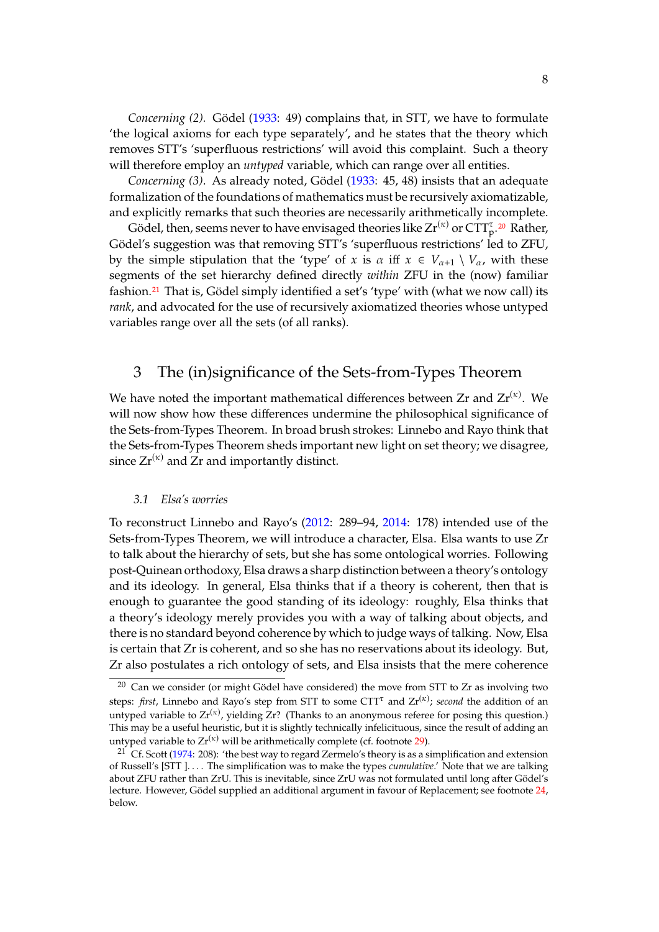*Concerning (2).* Gödel [\(1933:](#page-44-5) 49) complains that, in STT, we have to formulate 'the logical axioms for each type separately', and he states that the theory which removes STT's 'superfluous restrictions' will avoid this complaint. Such a theory will therefore employ an *untyped* variable, which can range over all entities.

*Concerning (3)*. As already noted, Gödel [\(1933:](#page-44-5) 45, 48) insists that an adequate formalization of the foundations of mathematics must be recursively axiomatizable, and explicitly remarks that such theories are necessarily arithmetically incomplete.

Gödel, then, seems never to have envisaged theories like  $Zr^{(\kappa)}$  or  $CTT_p^{\tau}$ . [20](#page-7-1) Rather, Gödel's suggestion was that removing STT's 'superfluous restrictions' led to ZFU, by the simple stipulation that the 'type' of x is  $\alpha$  iff  $x \in V_{\alpha+1} \setminus V_{\alpha}$ , with these segments of the set hierarchy defined directly *within* ZFU in the (now) familiar fashion.<sup>[21](#page-7-2)</sup> That is, Gödel simply identified a set's 'type' with (what we now call) its *rank*, and advocated for the use of recursively axiomatized theories whose untyped variables range over all the sets (of all ranks).

### <span id="page-7-0"></span>3 The (in)significance of the Sets-from-Types Theorem

We have noted the important mathematical differences between  $Zr$  and  $Zr^{(\kappa)}$ . We will now show how these differences undermine the philosophical significance of the Sets-from-Types Theorem. In broad brush strokes: Linnebo and Rayo think that the Sets-from-Types Theorem sheds important new light on set theory; we disagree, since  $Zr^{(\kappa)}$  and  $Zr$  and importantly distinct.

#### *3.1 Elsa's worries*

To reconstruct Linnebo and Rayo's [\(2012:](#page-44-0) 289–94, [2014:](#page-44-4) 178) intended use of the Sets-from-Types Theorem, we will introduce a character, Elsa. Elsa wants to use Zr to talk about the hierarchy of sets, but she has some ontological worries. Following post-Quinean orthodoxy, Elsa draws a sharp distinction between a theory's ontology and its ideology. In general, Elsa thinks that if a theory is coherent, then that is enough to guarantee the good standing of its ideology: roughly, Elsa thinks that a theory's ideology merely provides you with a way of talking about objects, and there is no standard beyond coherence by which to judge ways of talking. Now, Elsa is certain that Zr is coherent, and so she has no reservations about its ideology. But, Zr also postulates a rich ontology of sets, and Elsa insists that the mere coherence

<span id="page-7-1"></span> $20$  Can we consider (or might Gödel have considered) the move from STT to Zr as involving two steps: *first*, Linnebo and Rayo's step from STT to some CTT<sup>T</sup> and  $Zr^{(\kappa)}$ ; *second* the addition of an untyped variable to  $Zr^{(\kappa)}$ , yielding  $Zr$ ? (Thanks to an anonymous referee for posing this question.) This may be a useful heuristic, but it is slightly technically infelicituous, since the result of adding an untyped variable to  $Zr^{(\kappa)}$  will be arithmetically complete (cf. footnote [29\)](#page-12-0).

<span id="page-7-2"></span><sup>&</sup>lt;sup>21</sup> Cf. Scott [\(1974:](#page-45-2) 208): 'the best way to regard Zermelo's theory is as a simplification and extension of Russell's [STT ]. . . . The simplification was to make the types *cumulative*.' Note that we are talking about ZFU rather than ZrU. This is inevitable, since ZrU was not formulated until long after Gödel's lecture. However, Gödel supplied an additional argument in favour of Replacement; see footnote [24,](#page-9-0) below.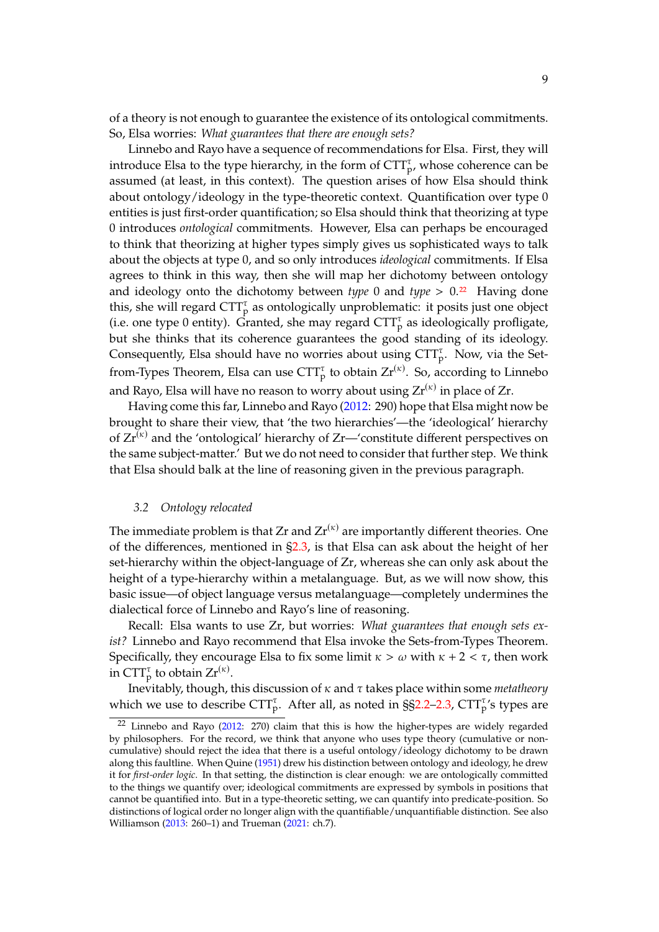of a theory is not enough to guarantee the existence of its ontological commitments. So, Elsa worries: *What guarantees that there are enough sets?*

Linnebo and Rayo have a sequence of recommendations for Elsa. First, they will introduce Elsa to the type hierarchy, in the form of  $CTT_{p}^{\tau}$ , whose coherence can be assumed (at least, in this context). The question arises of how Elsa should think about ontology/ideology in the type-theoretic context. Quantification over type 0 entities is just first-order quantification; so Elsa should think that theorizing at type 0 introduces *ontological* commitments. However, Elsa can perhaps be encouraged to think that theorizing at higher types simply gives us sophisticated ways to talk about the objects at type 0, and so only introduces *ideological* commitments. If Elsa agrees to think in this way, then she will map her dichotomy between ontology and ideology onto the dichotomy between *type* 0 and *type*  $> 0.22$  $> 0.22$  Having done this, she will regard  $CTT_p^{\tau}$  as ontologically unproblematic: it posits just one object (i.e. one type 0 entity). Granted, she may regard  $CTT_p^{\tau}$  as ideologically profligate, but she thinks that its coherence guarantees the good standing of its ideology. Consequently, Elsa should have no worries about using  $CTT_p^{\tau}$ . Now, via the Setfrom-Types Theorem, Elsa can use  $\text{CTT}_{p}^{\tau}$  to obtain  $\text{Zr}^{(\kappa)}$ . So, according to Linnebo and Rayo, Elsa will have no reason to worry about using  $Zr^{(\kappa)}$  in place of Zr.

Having come this far, Linnebo and Rayo [\(2012:](#page-44-0) 290) hope that Elsa might now be brought to share their view, that 'the two hierarchies'—the 'ideological' hierarchy of  $Zr^{(k)}$  and the 'ontological' hierarchy of  $Zr$ —'constitute different perspectives on the same subject-matter.' But we do not need to consider that further step. We think that Elsa should balk at the line of reasoning given in the previous paragraph.

#### *3.2 Ontology relocated*

<span id="page-8-1"></span>The immediate problem is that Zr and  $\mathrm{Zr}^{(\kappa)}$  are importantly different theories. One of the differences, mentioned in [§2.3,](#page-5-3) is that Elsa can ask about the height of her set-hierarchy within the object-language of Zr, whereas she can only ask about the height of a type-hierarchy within a metalanguage. But, as we will now show, this basic issue—of object language versus metalanguage—completely undermines the dialectical force of Linnebo and Rayo's line of reasoning.

Recall: Elsa wants to use Zr, but worries: *What guarantees that enough sets exist?* Linnebo and Rayo recommend that Elsa invoke the Sets-from-Types Theorem. Specifically, they encourage Elsa to fix some limit  $\kappa > \omega$  with  $\kappa + 2 < \tau$ , then work in  $\text{CTT}_{p}^{\tau}$  to obtain  $\text{Zr}^{(\kappa)}$ .

Inevitably, though, this discussion of  $\kappa$  and  $\tau$  takes place within some *metatheory* which we use to describe  $\text{CTT}_{p}^{\tau}$ . After all, as noted in §[§2.2–](#page-4-2)[2.3,](#page-5-3)  $\text{CTT}_{p}^{\tau}$ 's types are

<span id="page-8-0"></span><sup>22</sup> Linnebo and Rayo [\(2012:](#page-44-0) 270) claim that this is how the higher-types are widely regarded by philosophers. For the record, we think that anyone who uses type theory (cumulative or noncumulative) should reject the idea that there is a useful ontology/ideology dichotomy to be drawn along this faultline. When Quine [\(1951\)](#page-45-3) drew his distinction between ontology and ideology, he drew it for *first-order logic*. In that setting, the distinction is clear enough: we are ontologically committed to the things we quantify over; ideological commitments are expressed by symbols in positions that cannot be quantified into. But in a type-theoretic setting, we can quantify into predicate-position. So distinctions of logical order no longer align with the quantifiable/unquantifiable distinction. See also Williamson [\(2013:](#page-45-0) 260–1) and Trueman [\(2021:](#page-45-4) ch.7).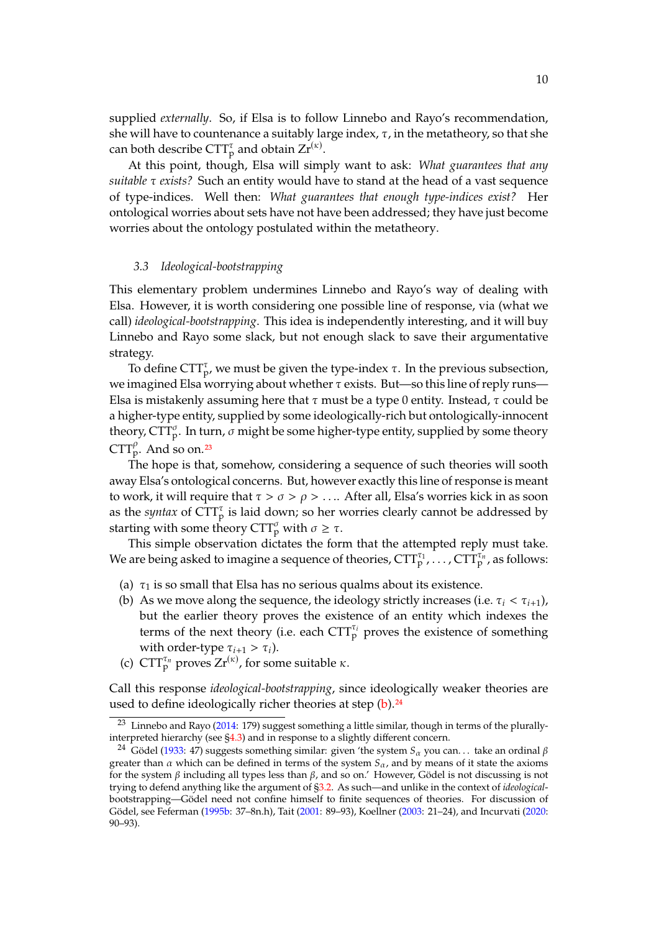supplied *externally*. So, if Elsa is to follow Linnebo and Rayo's recommendation, she will have to countenance a suitably large index,  $\tau$ , in the metatheory, so that she can both describe  $\text{CTT}_p^\tau$  and obtain  $\text{Zr}^{(\kappa)}.$ 

At this point, though, Elsa will simply want to ask: *What guarantees that any suitable*  $\tau$  *exists?* Such an entity would have to stand at the head of a vast sequence of type-indices. Well then: *What guarantees that enough type-indices exist?* Her ontological worries about sets have not have been addressed; they have just become worries about the ontology postulated within the metatheory.

#### *3.3 Ideological-bootstrapping*

This elementary problem undermines Linnebo and Rayo's way of dealing with Elsa. However, it is worth considering one possible line of response, via (what we call) *ideological-bootstrapping*. This idea is independently interesting, and it will buy Linnebo and Rayo some slack, but not enough slack to save their argumentative strategy.

To define CTT<sub>p</sub>, we must be given the type-index  $\tau$ . In the previous subsection, we imagined Elsa worrying about whether  $\tau$  exists. But—so this line of reply runs— Elsa is mistakenly assuming here that  $\tau$  must be a type 0 entity. Instead,  $\tau$  could be a higher-type entity, supplied by some ideologically-rich but ontologically-innocent theory, CTT $_{\rm p}^{\sigma}$ . In turn,  $\sigma$  might be some higher-type entity, supplied by some theory  $CTT_p^{\rho}$ . And so on.<sup>[23](#page-9-1)</sup>

The hope is that, somehow, considering a sequence of such theories will sooth away Elsa's ontological concerns. But, however exactly this line of response is meant to work, it will require that  $\tau > \sigma > \rho > \ldots$  After all, Elsa's worries kick in as soon as the *syntax* of  $\text{CTT}_{p}^{\tau}$  is laid down; so her worries clearly cannot be addressed by starting with some theory  $CTT_p^{\sigma}$  with  $\sigma \geq \tau$ .

This simple observation dictates the form that the attempted reply must take. We are being asked to imagine a sequence of theories,  $\textrm{CTT}_{\rm p}^{\tau_1}$  ,  $\dots$  ,  $\textrm{CTT}_{\rm p}^{\tau_n}$  , as follows:

- (a)  $\tau_1$  is so small that Elsa has no serious qualms about its existence.
- <span id="page-9-2"></span>(b) As we move along the sequence, the ideology strictly increases (i.e.  $\tau_i < \tau_{i+1}$ ), but the earlier theory proves the existence of an entity which indexes the terms of the next theory (i.e. each  $CTT_p^{\tau_i}$  proves the existence of something with order-type  $\tau_{i+1} > \tau_i$ ).
- (c)  $CTT_p^{\tau_n}$  proves  $Zr^{(\kappa)}$ , for some suitable  $\kappa$ .

Call this response *ideological-bootstrapping*, since ideologically weaker theories are used to define ideologically richer theories at step [\(b\)](#page-9-2).<sup>[24](#page-9-0)</sup>

<span id="page-9-1"></span> $23$  Linnebo and Rayo [\(2014:](#page-44-4) 179) suggest something a little similar, though in terms of the plurallyinterpreted hierarchy (see [§4.3\)](#page-13-0) and in response to a slightly different concern.

<span id="page-9-0"></span><sup>&</sup>lt;sup>24</sup> Gödel [\(1933:](#page-44-5) 47) suggests something similar: given 'the system  $S_\alpha$  you can... take an ordinal  $\beta$ greater than  $\alpha$  which can be defined in terms of the system  $S_{\alpha}$ , and by means of it state the axioms for the system  $\beta$  including all types less than  $\beta$ , and so on.' However, Gödel is not discussing is not trying to defend anything like the argument of [§3.2.](#page-8-1) As such—and unlike in the context of *ideological*bootstrapping—Gödel need not confine himself to finite sequences of theories. For discussion of Gödel, see Feferman [\(1995b:](#page-44-6) 37–8n.h), Tait [\(2001:](#page-45-1) 89–93), Koellner [\(2003:](#page-44-7) 21–24), and Incurvati [\(2020:](#page-44-8) 90–93).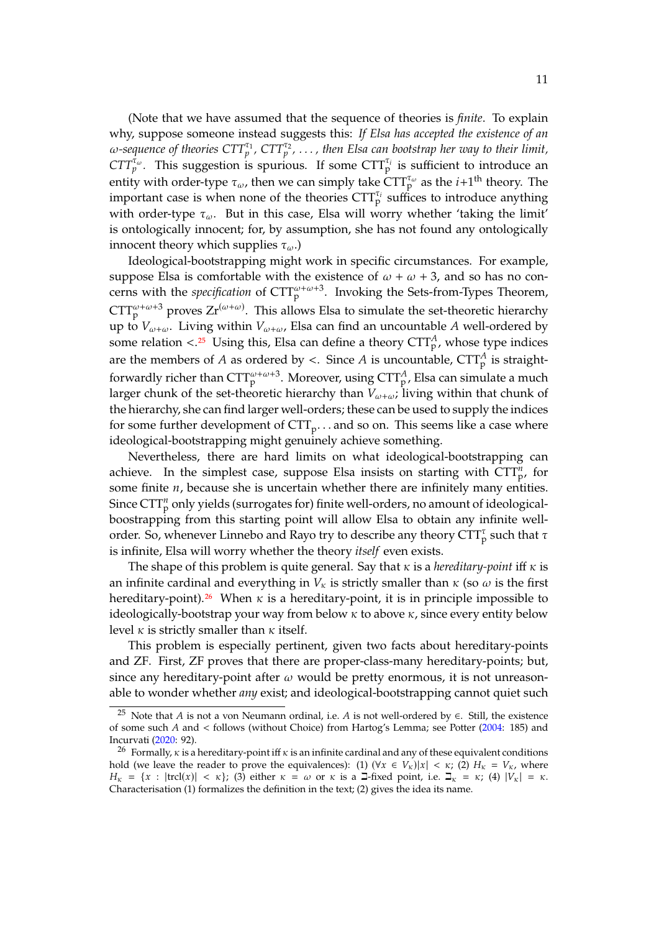(Note that we have assumed that the sequence of theories is *finite*. To explain why, suppose someone instead suggests this: *If Elsa has accepted the existence of an*  $\omega$ -sequence of theories  $CTT_p^{\tau_1}$ ,  $CTT_p^{\tau_2}$ ,  $\ldots$  , then Elsa can bootstrap her way to their limit,  $CTT_p^{\tau_\omega}$ . This suggestion is spurious. If some  $CTT_p^{\tau_i}$  is sufficient to introduce an entity with order-type  $\tau_{\omega}$ , then we can simply take  $\widehat{\text{CTT}}_{p}^{\tau_{\omega}}$  as the  $i+1^{\text{th}}$  theory. The important case is when pope of the theories  $\widehat{\text{CTT}}^{\tau_{i}}$  suffices to introduce anything important case is when none of the theories  $CTT_p^{\tau_i}$  suffices to introduce anything with order-type  $\tau_{\omega}$ . But in this case, Elsa will worry whether 'taking the limit' is ontologically innocent; for, by assumption, she has not found any ontologically innocent theory which supplies  $\tau_{\omega}$ .)

Ideological-bootstrapping might work in specific circumstances. For example, suppose Elsa is comfortable with the existence of  $\omega + \omega + 3$ , and so has no concerns with the *specification* of  $CTT_p^{\omega+\omega+3}$ . Invoking the Sets-from-Types Theorem,  $CTT_p^{\omega+\omega+3}$  proves  $Zr^{(\omega+\omega)}$ . This allows Elsa to simulate the set-theoretic hierarchy up to  $V_{\omega+\omega}$ . Living within  $V_{\omega+\omega}$ , Elsa can find an uncountable A well-ordered by some relation <.<sup>[25](#page-10-0)</sup> Using this, Elsa can define a theory  $CTT_p^A$ , whose type indices are the members of *A* as ordered by <. Since *A* is uncountable,  $\text{CTT}_{p}^{A}$  is straightforwardly richer than  $\text{CTT}_{\text{p}}^{\omega+\omega+3}$ . Moreover, using  $\text{CTT}_{\text{p}}^{A}$ , Elsa can simulate a much larger chunk of the set-theoretic hierarchy than  $V_{\omega+\omega}$ ; living within that chunk of the hierarchy, she can find larger well-orders; these can be used to supply the indices for some further development of  $\text{CTT}_\text{p}$ ... and so on. This seems like a case where ideological-bootstrapping might genuinely achieve something.

Nevertheless, there are hard limits on what ideological-bootstrapping can achieve. In the simplest case, suppose Elsa insists on starting with  $\text{CTT}_{\text{p}}^n$ , for some finite  $n$ , because she is uncertain whether there are infinitely many entities. Since  $\text{CTT}_{\text{p}}^n$  only yields (surrogates for) finite well-orders, no amount of ideologicalboostrapping from this starting point will allow Elsa to obtain any infinite wellorder. So, whenever Linnebo and Rayo try to describe any theory  $\text{CTT}_{\text{p}}^{\tau}$  such that  $\tau$ is infinite, Elsa will worry whether the theory *itself* even exists.

The shape of this problem is quite general. Say that  $\kappa$  is a *hereditary-point* iff  $\kappa$  is an infinite cardinal and everything in  $V_{\kappa}$  is strictly smaller than  $\kappa$  (so  $\omega$  is the first hereditary-point).<sup>[26](#page-10-1)</sup> When  $\kappa$  is a hereditary-point, it is in principle impossible to ideologically-bootstrap your way from below  $\kappa$  to above  $\kappa$ , since every entity below level  $\kappa$  is strictly smaller than  $\kappa$  itself.

This problem is especially pertinent, given two facts about hereditary-points and ZF. First, ZF proves that there are proper-class-many hereditary-points; but, since any hereditary-point after  $\omega$  would be pretty enormous, it is not unreasonable to wonder whether *any* exist; and ideological-bootstrapping cannot quiet such

<span id="page-10-0"></span><sup>&</sup>lt;sup>25</sup> Note that *A* is not a von Neumann ordinal, i.e. *A* is not well-ordered by ∈. Still, the existence of some such  $A$  and < follows (without Choice) from Hartog's Lemma; see Potter [\(2004:](#page-45-5) 185) and Incurvati [\(2020:](#page-44-8) 92).

<span id="page-10-1"></span><sup>&</sup>lt;sup>26</sup> Formally,  $\kappa$  is a hereditary-point iff  $\kappa$  is an infinite cardinal and any of these equivalent conditions hold (we leave the reader to prove the equivalences): (1) ( $\forall x \in V_{\kappa}$ )| $x \in V_{\kappa}$ ; (2)  $H_{\kappa} = V_{\kappa}$ , where  $H_{\kappa} = \{x : |trcl(x)| < \kappa\};$  (3) either  $\kappa = \omega$  or  $\kappa$  is a  $\Box$ -fixed point, i.e.  $\Box_{\kappa} = \kappa$ ; (4)  $|V_{\kappa}| = \kappa$ . Characterisation (1) formalizes the definition in the text; (2) gives the idea its name.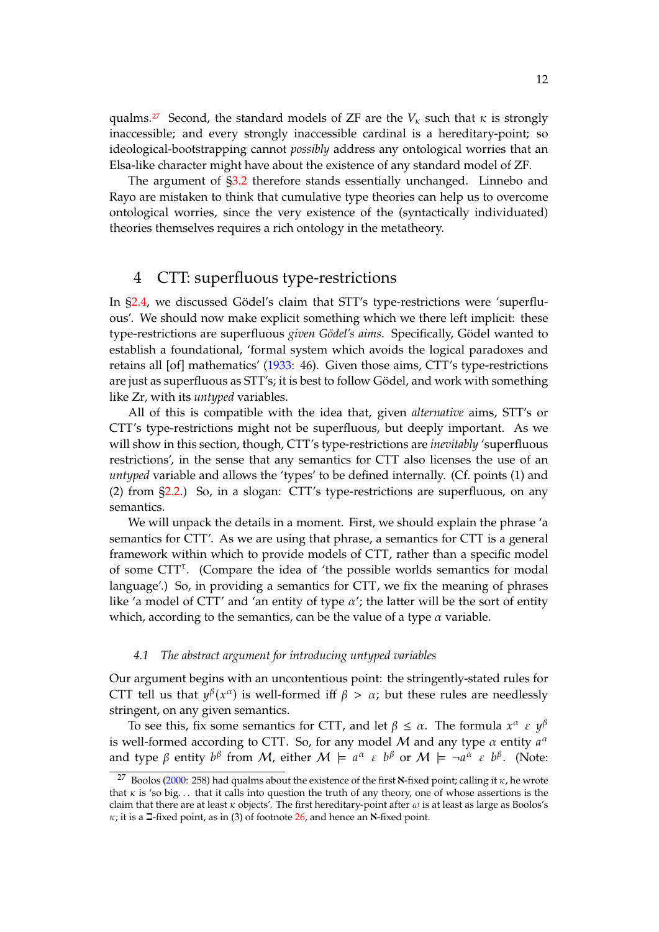qualms.<sup>[27](#page-11-1)</sup> Second, the standard models of ZF are the  $V_k$  such that  $\kappa$  is strongly inaccessible; and every strongly inaccessible cardinal is a hereditary-point; so ideological-bootstrapping cannot *possibly* address any ontological worries that an Elsa-like character might have about the existence of any standard model of ZF.

The argument of [§3.2](#page-8-1) therefore stands essentially unchanged. Linnebo and Rayo are mistaken to think that cumulative type theories can help us to overcome ontological worries, since the very existence of the (syntactically individuated) theories themselves requires a rich ontology in the metatheory.

### <span id="page-11-0"></span>4 CTT: superfluous type-restrictions

In [§2.4,](#page-6-7) we discussed Gödel's claim that STT's type-restrictions were 'superfluous'. We should now make explicit something which we there left implicit: these type-restrictions are superfluous *given Gödel's aims*. Specifically, Gödel wanted to establish a foundational, 'formal system which avoids the logical paradoxes and retains all [of] mathematics' [\(1933:](#page-44-5) 46). Given those aims, CTT's type-restrictions are just as superfluous as STT's; it is best to follow Gödel, and work with something like Zr, with its *untyped* variables.

All of this is compatible with the idea that, given *alternative* aims, STT's or CTT's type-restrictions might not be superfluous, but deeply important. As we will show in this section, though, CTT's type-restrictions are *inevitably* 'superfluous restrictions', in the sense that any semantics for CTT also licenses the use of an *untyped* variable and allows the 'types' to be defined internally. (Cf. points (1) and (2) from [§2.2.](#page-4-2)) So, in a slogan: CTT's type-restrictions are superfluous, on any semantics.

We will unpack the details in a moment. First, we should explain the phrase 'a semantics for CTT'. As we are using that phrase, a semantics for CTT is a general framework within which to provide models of CTT, rather than a specific model of some CTT<sup>7</sup>. (Compare the idea of 'the possible worlds semantics for modal language'.) So, in providing a semantics for CTT, we fix the meaning of phrases like 'a model of CTT' and 'an entity of type  $\alpha'$ ; the latter will be the sort of entity which, according to the semantics, can be the value of a type  $\alpha$  variable.

#### <span id="page-11-2"></span>*4.1 The abstract argument for introducing untyped variables*

Our argument begins with an uncontentious point: the stringently-stated rules for CTT tell us that  $y^{\beta}(x^{\alpha})$  is well-formed iff  $\beta > \alpha$ ; but these rules are needlessly stripgont on any given computies. stringent, on any given semantics.

To see this, fix some semantics for CTT, and let  $\beta \leq \alpha$ . The formula  $x^{\alpha} \in y^{\beta}$ is well-formed according to CTT. So, for any model M and any type  $\alpha$  entity  $a^{\alpha}$ <br>and type  $\beta$  entity  $b^{\beta}$  from M either  $M \models a^{\alpha} \in b^{\beta}$  or  $M \models -a^{\alpha} \in b^{\beta}$ . (Note) and type  $\beta$  entity  $b^{\beta}$  from  $M$ , either  $M \models a^{\alpha} \in b^{\beta}$  or  $M \models \neg a^{\alpha} \in b^{\beta}$ . (Note:

<span id="page-11-1"></span><sup>&</sup>lt;sup>27</sup> Boolos [\(2000:](#page-44-9) 258) had qualms about the existence of the first **N**-fixed point; calling it  $\kappa$ , he wrote that  $\kappa$  is 'so big... that it calls into question the truth of any theory, one of whose assertions is the claim that there are at least  $\kappa$  objects'. The first hereditary-point after  $\omega$  is at least as large as Boolos's  $\kappa$ ; it is a  $\Box$ -fixed point, as in (3) of footnote [26,](#page-10-1) and hence an **N**-fixed point.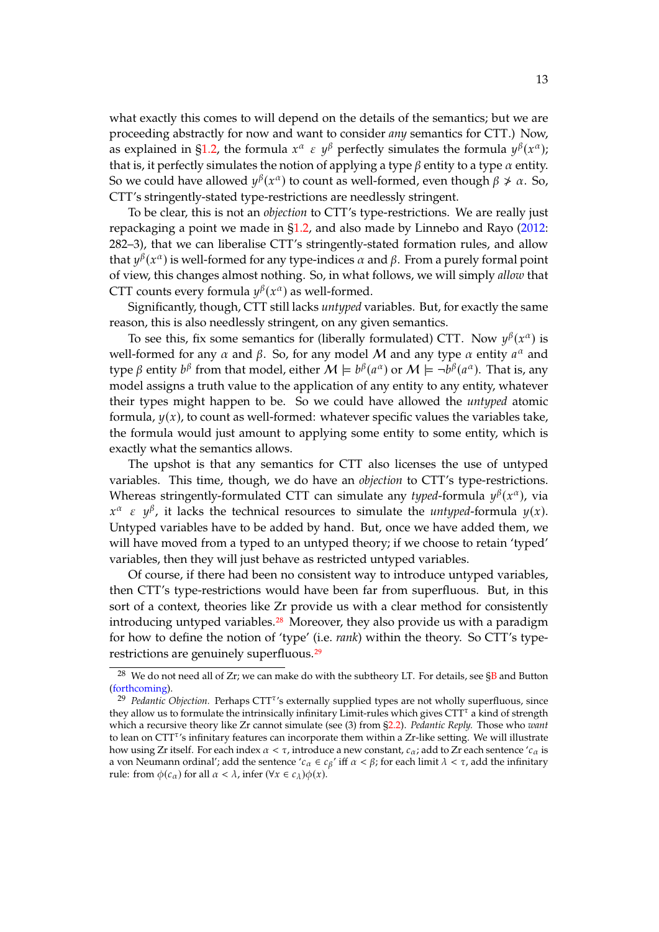what exactly this comes to will depend on the details of the semantics; but we are proceeding abstractly for now and want to consider *any* semantics for CTT.) Now, as explained in [§1.2,](#page-1-0) the formula  $x^{\alpha} \in y^{\beta}$  perfectly simulates the formula  $y^{\beta}(x^{\alpha})$ ;<br>that is it perfectly simulates the potion of applying a type  $\beta$  entity to a type  $\alpha$  entity. that is, it perfectly simulates the notion of applying a type  $\beta$  entity to a type  $\alpha$  entity. So we could have allowed  $y^{\beta}(x^{\alpha})$  to count as well-formed, even though  $\beta \neq \alpha$ . So, CTT's stringently-stated type-restrictions are needlessly stringent.

To be clear, this is not an *objection* to CTT's type-restrictions. We are really just repackaging a point we made in [§1.2,](#page-1-0) and also made by Linnebo and Rayo [\(2012:](#page-44-0) 282–3), that we can liberalise CTT's stringently-stated formation rules, and allow that  $y^{\beta}(x^{\alpha})$  is well-formed for any type-indices  $\alpha$  and  $\beta$ . From a purely formal point of view this changes almost pothing. So, in what follows, we will simply allow that of view, this changes almost nothing. So, in what follows, we will simply *allow* that CTT counts every formula  $y^{\beta}(x^{\alpha})$  as well-formed.<br>Significantly, though CTT still lacks untured you

Significantly, though, CTT still lacks *untyped* variables. But, for exactly the same reason, this is also needlessly stringent, on any given semantics.

To see this, fix some semantics for (liberally formulated) CTT. Now  $y^{\beta}(x^{\alpha})$  is<br>l formed for any  $\alpha$  and  $\beta$ . So, for any model M and any type  $\alpha$  entity  $a^{\alpha}$  and well-formed for any *α* and *β*. So, for any model *M* and any type *α* entity  $a^{\alpha}$  and type *β* ontity  $b^{\beta}$  from that model either  $M \models b^{\beta}(\alpha^{\alpha})$  or  $M \models -b^{\beta}(\alpha^{\alpha})$ . That is any type  $\beta$  entity  $b^{\beta}$  from that model, either  $M \models b^{\beta}(a^{\alpha})$  or  $M \models \neg b^{\beta}(a^{\alpha})$ . That is, any model assigns a truth value to the application of any ority to any ority whatever model assigns a truth value to the application of any entity to any entity, whatever their types might happen to be. So we could have allowed the *untyped* atomic formula,  $y(x)$ , to count as well-formed: whatever specific values the variables take, the formula would just amount to applying some entity to some entity, which is exactly what the semantics allows.

The upshot is that any semantics for CTT also licenses the use of untyped variables. This time, though, we do have an *objection* to CTT's type-restrictions. Whereas stringently-formulated CTT can simulate any *typed*-formula  $y^{\beta}(x^{\alpha})$ , via<br> $x^{\alpha}$ ,  $\varepsilon$ ,  $y^{\beta}$ , it looks the technical recourses to simulate the *untuned* formula  $y(x)$ . Untyped variables have to be added by hand. But, once we have added them, we  $\alpha$   $\epsilon$   $y^{\beta}$ , it lacks the technical resources to simulate the *untyped*-formula  $y(x)$ . will have moved from a typed to an untyped theory; if we choose to retain 'typed' variables, then they will just behave as restricted untyped variables.

Of course, if there had been no consistent way to introduce untyped variables, then CTT's type-restrictions would have been far from superfluous. But, in this sort of a context, theories like Zr provide us with a clear method for consistently introducing untyped variables. $28$  Moreover, they also provide us with a paradigm for how to define the notion of 'type' (i.e. *rank*) within the theory. So CTT's type-restrictions are genuinely superfluous.<sup>[29](#page-12-0)</sup>

<span id="page-12-1"></span><sup>&</sup>lt;sup>28</sup> We do not need all of Zr; we can make do with the subtheory LT. For details, see  $\S$ B and Button [\(forthcoming\)](#page-44-10).

<span id="page-12-0"></span><sup>&</sup>lt;sup>29</sup> Pedantic Objection. Perhaps CTT<sup>T</sup>'s externally supplied types are not wholly superfluous, since they allow us to formulate the intrinsically infinitary Limit-rules which gives  $CTT^{\tau}$  a kind of strength which a recursive theory like Zr cannot simulate (see (3) from [§2.2\)](#page-4-2). *Pedantic Reply.* Those who *want* to lean on  $CTT<sup>\tau</sup>$ 's infinitary features can incorporate them within a Zr-like setting. We will illustrate how using Zr itself. For each index  $\alpha < \tau$ , introduce a new constant,  $c_{\alpha}$ ; add to Zr each sentence ' $c_{\alpha}$  is a von Neumann ordinal'; add the sentence ' $c_{\alpha} \in c_{\beta}$ ' iff  $\alpha < \beta$ ; for each limit  $\lambda < \tau$ , add the infinitary rule: from  $\phi(c_{\alpha})$  for all  $\alpha < \lambda$ , infer  $(\forall x \in c_{\lambda})\phi(x)$ .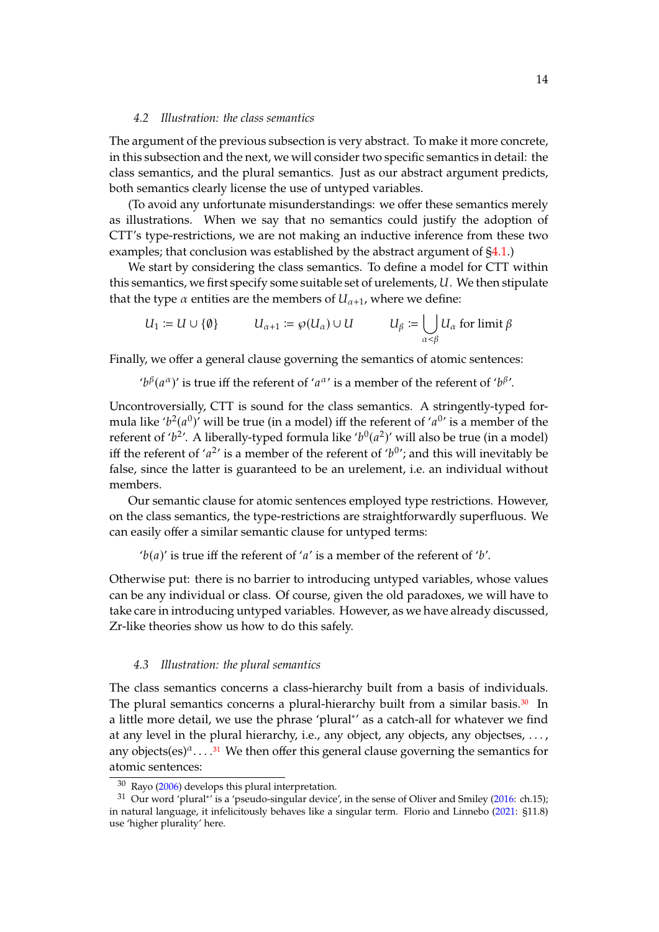#### <span id="page-13-3"></span>*4.2 Illustration: the class semantics*

The argument of the previous subsection is very abstract. To make it more concrete, in this subsection and the next, we will consider two specific semantics in detail: the class semantics, and the plural semantics. Just as our abstract argument predicts, both semantics clearly license the use of untyped variables.

(To avoid any unfortunate misunderstandings: we offer these semantics merely as illustrations. When we say that no semantics could justify the adoption of CTT's type-restrictions, we are not making an inductive inference from these two examples; that conclusion was established by the abstract argument of  $\S4.1$ .)

We start by considering the class semantics. To define a model for CTT within this semantics, we first specify some suitable set of urelements, U. We then stipulate that the type  $\alpha$  entities are the members of  $U_{\alpha+1}$ , where we define:

$$
U_1 := U \cup \{\emptyset\} \qquad \qquad U_{\alpha+1} := \wp(U_\alpha) \cup U \qquad \qquad U_\beta := \bigcup_{\alpha < \beta} U_\alpha \text{ for limit } \beta
$$

Finally, we offer a general clause governing the semantics of atomic sentences:

' $b^{\beta}(a^{\alpha})'$  is true iff the referent of ' $a^{\alpha}$ ' is a member of the referent of ' $b^{\beta}$ '.

Uncontroversially, CTT is sound for the class semantics. A stringently-typed formula like ' $b^2(a^0)$ ' will be true (in a model) iff the referent of ' $a^{0}$ ' is a member of the referent of ' $b^2$ '. A liberally typed formula like ' $b^0(a^2)$ ' will also be true (in a model) referent of ' $b^2$ '. A liberally-typed formula like ' $b^0(a^2)$ ' will also be true (in a model)<br>iff the referent of ' $a^{2}$ ' is a member of the referent of ' $b^{0}$ '; and this will inevitably be iff the referent of ' $a^2$ ' is a member of the referent of ' $b^0$ '; and this will inevitably be<br>false, since the latter is quaranteed to be an urelement, i.e., an individual without false, since the latter is guaranteed to be an urelement, i.e. an individual without members.

Our semantic clause for atomic sentences employed type restrictions. However, on the class semantics, the type-restrictions are straightforwardly superfluous. We can easily offer a similar semantic clause for untyped terms:

' $b(a)$ ' is true iff the referent of 'a' is a member of the referent of 'b'.

Otherwise put: there is no barrier to introducing untyped variables, whose values can be any individual or class. Of course, given the old paradoxes, we will have to take care in introducing untyped variables. However, as we have already discussed, Zr-like theories show us how to do this safely.

#### <span id="page-13-0"></span>*4.3 Illustration: the plural semantics*

The class semantics concerns a class-hierarchy built from a basis of individuals. The plural semantics concerns a plural-hierarchy built from a similar basis.<sup>[30](#page-13-1)</sup> In a little more detail, we use the phrase 'plural<sup>∗</sup> ' as a catch-all for whatever we find at any level in the plural hierarchy, i.e., any object, any objects, any objectses,  $\dots$ , any objects $(es)^{\alpha}$ ....<sup>[31](#page-13-2)</sup> We then offer this general clause governing the semantics for atomic sentences:

<span id="page-13-2"></span><span id="page-13-1"></span><sup>30</sup> Rayo [\(2006\)](#page-45-6) develops this plural interpretation.

<sup>&</sup>lt;sup>31</sup> Our word 'plural<sup>\*'</sup> is a 'pseudo-singular device', in the sense of Oliver and Smiley [\(2016:](#page-45-7) ch.15); in natural language, it infelicitously behaves like a singular term. Florio and Linnebo [\(2021:](#page-44-11) §11.8) use 'higher plurality' here.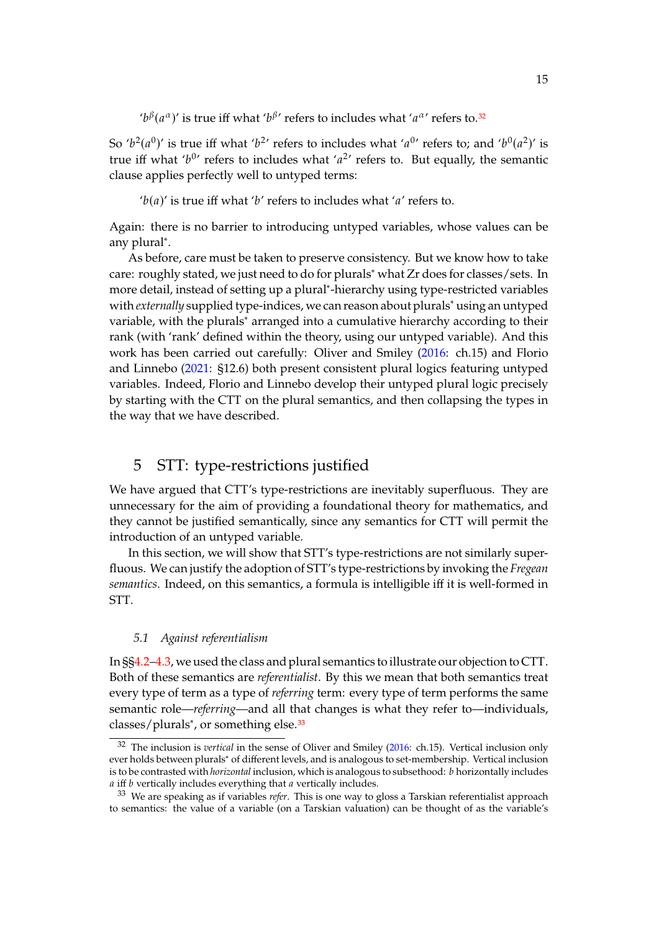' $b^{\beta}(a^{\alpha})'$  is true iff what ' $b^{\beta}$ ' refers to includes what ' $a^{\alpha}$ ' refers to.<sup>[32](#page-14-1)</sup>

So ' $b^2(a^0)$ ' is true iff what ' $b^{2}$ ' refers to includes what ' $a^{0}$ ' refers to; and ' $b^0(a^2)$ ' is<br>true iff what ' $b^{0}$ ' refers to includes what ' $a^{2}$ ' refers to. But equally the semantic true iff what ' $b^{0}$ ' refers to includes what ' $a^{2}$ ' refers to. But equally, the semantic clause applies perfectly well to untuped terms: clause applies perfectly well to untyped terms:

' $b(a)$ ' is true iff what ' $b'$  refers to includes what ' $a'$  refers to.

Again: there is no barrier to introducing untyped variables, whose values can be any plural<sup>∗</sup> .

As before, care must be taken to preserve consistency. But we know how to take care: roughly stated, we just need to do for plurals<sup>∗</sup> what Zr does for classes/sets. In more detail, instead of setting up a plural<sup>∗</sup> -hierarchy using type-restricted variables with *externally* supplied type-indices, we can reason about plurals<sup>\*</sup> using an untyped variable, with the plurals<sup>\*</sup> arranged into a cumulative hierarchy according to their rank (with 'rank' defined within the theory, using our untyped variable). And this work has been carried out carefully: Oliver and Smiley [\(2016:](#page-45-7) ch.15) and Florio and Linnebo [\(2021:](#page-44-11) §12.6) both present consistent plural logics featuring untyped variables. Indeed, Florio and Linnebo develop their untyped plural logic precisely by starting with the CTT on the plural semantics, and then collapsing the types in the way that we have described.

### <span id="page-14-0"></span>5 STT: type-restrictions justified

We have argued that CTT's type-restrictions are inevitably superfluous. They are unnecessary for the aim of providing a foundational theory for mathematics, and they cannot be justified semantically, since any semantics for CTT will permit the introduction of an untyped variable.

In this section, we will show that STT's type-restrictions are not similarly superfluous. We can justify the adoption of STT's type-restrictions by invoking the *Fregean semantics*. Indeed, on this semantics, a formula is intelligible iff it is well-formed in STT.

#### *5.1 Against referentialism*

In §[§4.2–](#page-13-3)[4.3,](#page-13-0) we used the class and plural semantics to illustrate our objection to CTT. Both of these semantics are *referentialist*. By this we mean that both semantics treat every type of term as a type of *referring* term: every type of term performs the same semantic role—*referring*—and all that changes is what they refer to—individuals, classes/plurals<sup>∗</sup>, or something else.<sup>[33](#page-14-2)</sup>

<span id="page-14-1"></span><sup>32</sup> The inclusion is *vertical* in the sense of Oliver and Smiley [\(2016:](#page-45-7) ch.15). Vertical inclusion only ever holds between plurals<sup>∗</sup> of different levels, and is analogous to set-membership. Vertical inclusion is to be contrasted with *horizontal* inclusion, which is analogous to subsethood: *b* horizontally includes  $a$  iff  $b$  vertically includes everything that  $a$  vertically includes.

<span id="page-14-2"></span><sup>33</sup> We are speaking as if variables *refer*. This is one way to gloss a Tarskian referentialist approach to semantics: the value of a variable (on a Tarskian valuation) can be thought of as the variable's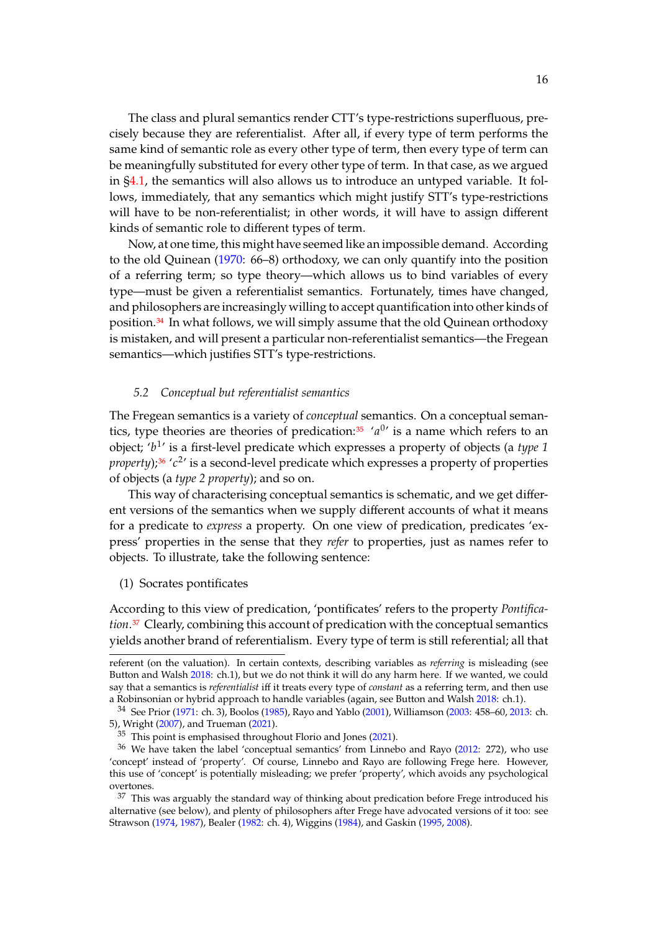The class and plural semantics render CTT's type-restrictions superfluous, precisely because they are referentialist. After all, if every type of term performs the same kind of semantic role as every other type of term, then every type of term can be meaningfully substituted for every other type of term. In that case, as we argued in [§4.1,](#page-11-2) the semantics will also allows us to introduce an untyped variable. It follows, immediately, that any semantics which might justify STT's type-restrictions will have to be non-referentialist; in other words, it will have to assign different kinds of semantic role to different types of term.

Now, at one time, this might have seemed like an impossible demand. According to the old Quinean [\(1970:](#page-45-8) 66–8) orthodoxy, we can only quantify into the position of a referring term; so type theory—which allows us to bind variables of every type—must be given a referentialist semantics. Fortunately, times have changed, and philosophers are increasingly willing to accept quantification into other kinds of position.[34](#page-15-0) In what follows, we will simply assume that the old Quinean orthodoxy is mistaken, and will present a particular non-referentialist semantics—the Fregean semantics—which justifies STT's type-restrictions.

#### <span id="page-15-5"></span>*5.2 Conceptual but referentialist semantics*

The Fregean semantics is a variety of *conceptual* semantics. On a conceptual seman-tics, type theories are theories of predication:<sup>[35](#page-15-1)</sup> ' $a^{0}$ ' is a name which refers to an object: 'h<sup>1</sup>' is a first lovel predicate which expresses a property of objects (a tune 1) object; 'b<sup>1</sup>' is a first-level predicate which expresses a property of objects (a *type 1* negative).<sup>36</sup> 'c<sup>2'</sup> is a second level predicate which expresses a property of properties *property*);<sup>[36](#page-15-2)</sup> '*c*<sup>2</sup>' is a second-level predicate which expresses a property of properties of objects (a time 2 propertie); and so on of objects (a *type 2 property*); and so on.

This way of characterising conceptual semantics is schematic, and we get different versions of the semantics when we supply different accounts of what it means for a predicate to *express* a property. On one view of predication, predicates 'express' properties in the sense that they *refer* to properties, just as names refer to objects. To illustrate, take the following sentence:

#### <span id="page-15-4"></span>(1) Socrates pontificates

According to this view of predication, 'pontificates' refers to the property *Pontification*.[37](#page-15-3) Clearly, combining this account of predication with the conceptual semantics yields another brand of referentialism. Every type of term is still referential; all that

referent (on the valuation). In certain contexts, describing variables as *referring* is misleading (see Button and Walsh [2018:](#page-44-12) ch.1), but we do not think it will do any harm here. If we wanted, we could say that a semantics is *referentialist* iff it treats every type of *constant* as a referring term, and then use a Robinsonian or hybrid approach to handle variables (again, see Button and Walsh [2018:](#page-44-12) ch.1).

<span id="page-15-0"></span><sup>34</sup> See Prior [\(1971:](#page-45-9) ch. 3), Boolos [\(1985\)](#page-44-13), Rayo and Yablo [\(2001\)](#page-45-10), Williamson [\(2003:](#page-45-11) 458–60, [2013:](#page-45-0) ch. 5), Wright [\(2007\)](#page-45-12), and Trueman [\(2021\)](#page-45-4).

<span id="page-15-2"></span><span id="page-15-1"></span> $35$  This point is emphasised throughout Florio and Jones [\(2021\)](#page-44-1).

<sup>36</sup> We have taken the label 'conceptual semantics' from Linnebo and Rayo [\(2012:](#page-44-0) 272), who use 'concept' instead of 'property'. Of course, Linnebo and Rayo are following Frege here. However, this use of 'concept' is potentially misleading; we prefer 'property', which avoids any psychological overtones.

<span id="page-15-3"></span> $37$  This was arguably the standard way of thinking about predication before Frege introduced his alternative (see below), and plenty of philosophers after Frege have advocated versions of it too: see Strawson [\(1974,](#page-45-13) [1987\)](#page-45-14), Bealer [\(1982:](#page-44-14) ch. 4), Wiggins [\(1984\)](#page-45-15), and Gaskin [\(1995,](#page-44-15) [2008\)](#page-44-16).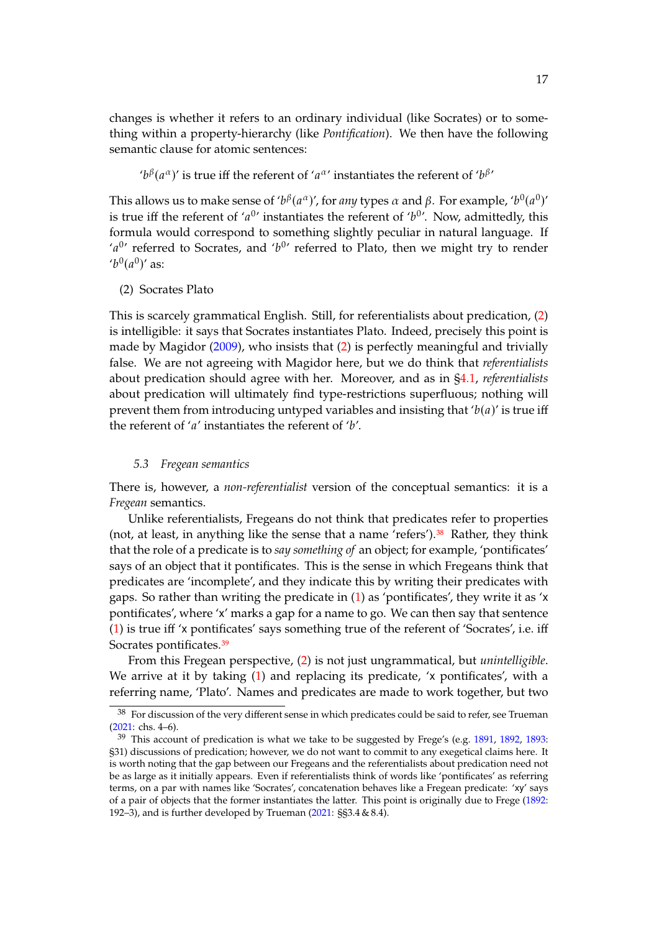changes is whether it refers to an ordinary individual (like Socrates) or to something within a property-hierarchy (like *Pontification*). We then have the following semantic clause for atomic sentences:

' $b^{\beta}(a^{\alpha})'$  is true iff the referent of ' $a^{\alpha}$ ' instantiates the referent of ' $b^{\beta}$ '

This allows us to make sense of ' $b^{\beta}(a^{\alpha})'$ , for *any* types  $\alpha$  and  $\beta$ . For example, ' $b^0(a^0)'$ <br>is true iff the referent of ' $a^0'$  instantiates the referent of ' $b^0'$ . Now, admittedly, this is true iff the referent of ' $a^{0}$ ' instantiates the referent of ' $b^{0}$ '. Now, admittedly, this formula would correspond to comething elightly posular in patural language. If formula would correspond to something slightly peculiar in natural language. If 'a<sup>0</sup>' referred to Socrates, and 'b<sup>0</sup>' referred to Plato, then we might try to render<br>'b<sup>0</sup>(a<sup>0</sup>)' as:  $'b^0(a^0)'$  as:

<span id="page-16-0"></span>(2) Socrates Plato

This is scarcely grammatical English. Still, for referentialists about predication, [\(2\)](#page-16-0) is intelligible: it says that Socrates instantiates Plato. Indeed, precisely this point is made by Magidor [\(2009\)](#page-44-17), who insists that [\(2\)](#page-16-0) is perfectly meaningful and trivially false. We are not agreeing with Magidor here, but we do think that *referentialists* about predication should agree with her. Moreover, and as in [§4.1,](#page-11-2) *referentialists* about predication will ultimately find type-restrictions superfluous; nothing will prevent them from introducing untyped variables and insisting that ' $b(a)$ ' is true iff the referent of ' $a'$  instantiates the referent of ' $b'$ .

#### <span id="page-16-3"></span>*5.3 Fregean semantics*

There is, however, a *non-referentialist* version of the conceptual semantics: it is a *Fregean* semantics.

Unlike referentialists, Fregeans do not think that predicates refer to properties (not, at least, in anything like the sense that a name 'refers'). $38$  Rather, they think that the role of a predicate is to *say something of* an object; for example, 'pontificates' says of an object that it pontificates. This is the sense in which Fregeans think that predicates are 'incomplete', and they indicate this by writing their predicates with gaps. So rather than writing the predicate in [\(1\)](#page-15-4) as 'pontificates', they write it as 'x pontificates', where 'x' marks a gap for a name to go. We can then say that sentence [\(1\)](#page-15-4) is true iff 'x pontificates' says something true of the referent of 'Socrates', i.e. iff Socrates pontificates.<sup>[39](#page-16-2)</sup>

From this Fregean perspective, [\(2\)](#page-16-0) is not just ungrammatical, but *unintelligible*. We arrive at it by taking [\(1\)](#page-15-4) and replacing its predicate, 'x pontificates', with a referring name, 'Plato'. Names and predicates are made to work together, but two

<span id="page-16-1"></span><sup>38</sup> For discussion of the very different sense in which predicates could be said to refer, see Trueman [\(2021:](#page-45-4) chs. 4–6).

<span id="page-16-2"></span> $39$  This account of predication is what we take to be suggested by Frege's (e.g. [1891,](#page-44-18) [1892,](#page-44-19) [1893:](#page-44-20) §31) discussions of predication; however, we do not want to commit to any exegetical claims here. It is worth noting that the gap between our Fregeans and the referentialists about predication need not be as large as it initially appears. Even if referentialists think of words like 'pontificates' as referring terms, on a par with names like 'Socrates', concatenation behaves like a Fregean predicate: 'xy' says of a pair of objects that the former instantiates the latter. This point is originally due to Frege [\(1892:](#page-44-19) 192–3), and is further developed by Trueman [\(2021:](#page-45-4) §§3.4 & 8.4).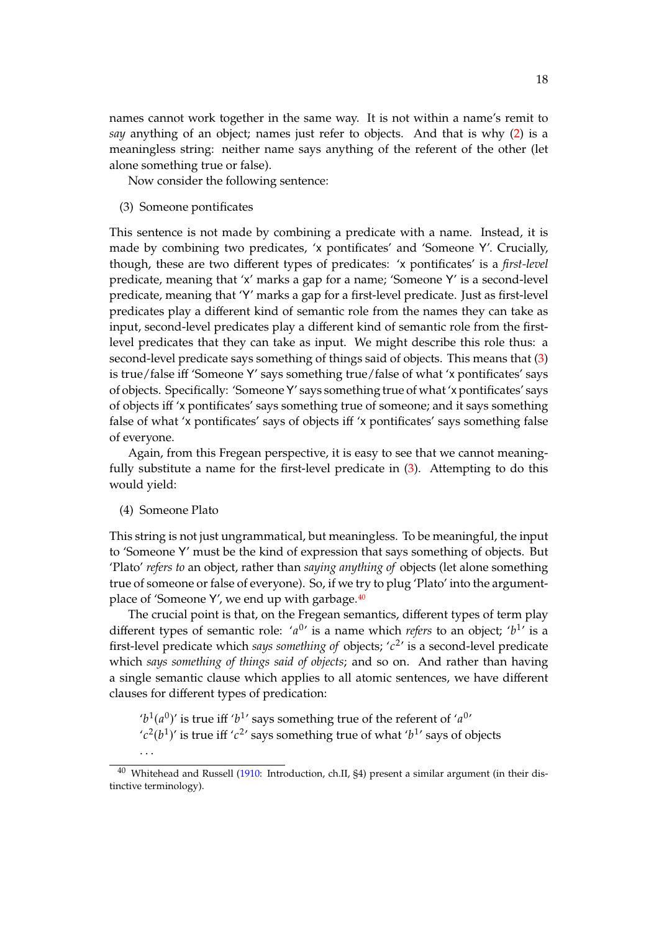names cannot work together in the same way. It is not within a name's remit to *say* anything of an object; names just refer to objects. And that is why [\(2\)](#page-16-0) is a meaningless string: neither name says anything of the referent of the other (let alone something true or false).

Now consider the following sentence:

<span id="page-17-0"></span>(3) Someone pontificates

This sentence is not made by combining a predicate with a name. Instead, it is made by combining two predicates, 'x pontificates' and 'Someone Y'. Crucially, though, these are two different types of predicates: 'x pontificates' is a *first-level* predicate, meaning that 'x' marks a gap for a name; 'Someone Y' is a second-level predicate, meaning that 'Y' marks a gap for a first-level predicate. Just as first-level predicates play a different kind of semantic role from the names they can take as input, second-level predicates play a different kind of semantic role from the firstlevel predicates that they can take as input. We might describe this role thus: a second-level predicate says something of things said of objects. This means that [\(3\)](#page-17-0) is true/false iff 'Someone Y' says something true/false of what 'x pontificates' says of objects. Specifically: 'Someone Y' says something true of what 'x pontificates' says of objects iff 'x pontificates' says something true of someone; and it says something false of what 'x pontificates' says of objects iff 'x pontificates' says something false of everyone.

Again, from this Fregean perspective, it is easy to see that we cannot meaningfully substitute a name for the first-level predicate in [\(3\)](#page-17-0). Attempting to do this would yield:

(4) Someone Plato

This string is not just ungrammatical, but meaningless. To be meaningful, the input to 'Someone Y' must be the kind of expression that says something of objects. But 'Plato' *refers to* an object, rather than *saying anything of* objects (let alone something true of someone or false of everyone). So, if we try to plug 'Plato' into the argument-place of 'Someone Y', we end up with garbage.<sup>[40](#page-17-1)</sup>

The crucial point is that, on the Fregean semantics, different types of term play different types of semantic role:  $'a^{0'}$  is a name which *refers* to an object;  $'b^{1'}$  is a first lovel prodicate which *cave conntitive* of objects:  $'a^{2'}$  is a second lovel prodicate first-level predicate which *says something of* objects;  $'c^2$  is a second-level predicate which *says something of things said of objects*; and so on. And rather than having a single semantic clause which applies to all atomic sentences, we have different clauses for different types of predication:

' $b^1(a^0)$ ' is true iff ' $b^1$ ' says something true of the referent of ' $a^{0}$ '<br>' $a^2(b^1)$ ' is true iff ' $a^{2}$ ' says something true of what ' $b^{1}$ ' says of o ' $c^2(b^1)$ ' is true iff ' $c^2$ ' says something true of what ' $b^1$ ' says of objects . . .

<span id="page-17-1"></span><sup>&</sup>lt;sup>40</sup> Whitehead and Russell [\(1910:](#page-45-16) Introduction, ch.II, §4) present a similar argument (in their distinctive terminology).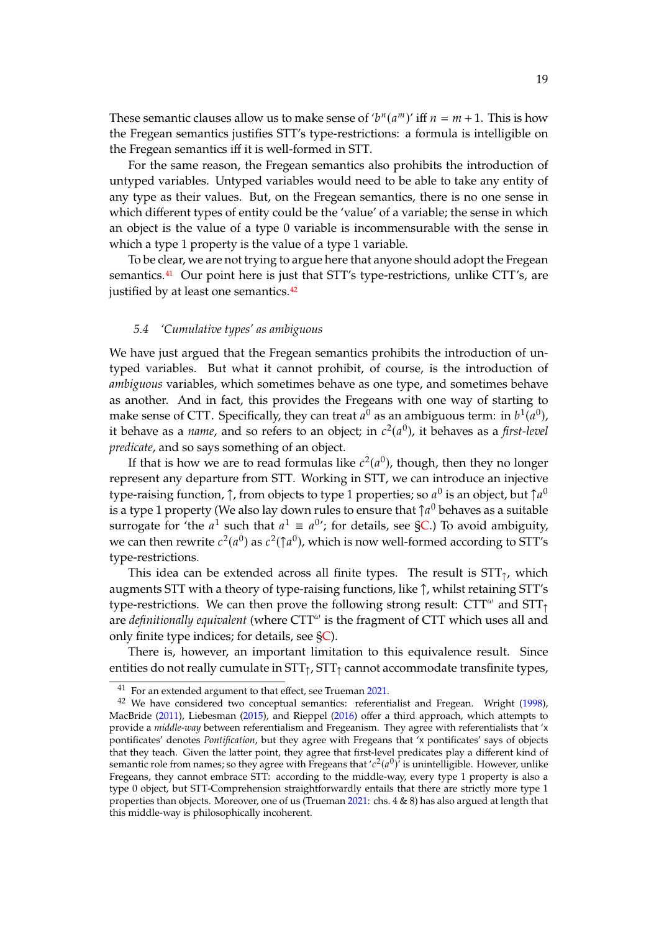These semantic clauses allow us to make sense of ' $b^n(a^m)$ ' iff  $n = m + 1$ . This is how<br>the Freggen computies justifies STT's type restrictions: a formula is intelligible on the Fregean semantics justifies STT's type-restrictions: a formula is intelligible on the Fregean semantics iff it is well-formed in STT.

For the same reason, the Fregean semantics also prohibits the introduction of untyped variables. Untyped variables would need to be able to take any entity of any type as their values. But, on the Fregean semantics, there is no one sense in which different types of entity could be the 'value' of a variable; the sense in which an object is the value of a type 0 variable is incommensurable with the sense in which a type 1 property is the value of a type 1 variable.

To be clear, we are not trying to argue here that anyone should adopt the Fregean semantics.<sup>[41](#page-18-0)</sup> Our point here is just that STT's type-restrictions, unlike CTT's, are justified by at least one semantics.<sup>[42](#page-18-1)</sup>

#### <span id="page-18-2"></span>*5.4 'Cumulative types' as ambiguous*

We have just argued that the Fregean semantics prohibits the introduction of untyped variables. But what it cannot prohibit, of course, is the introduction of *ambiguous* variables, which sometimes behave as one type, and sometimes behave as another. And in fact, this provides the Fregeans with one way of starting to make sense of CTT. Specifically, they can treat  $a^0$  as an ambiguous term: in  $b^1(a^0)$ ,<br>it behave as a name, and so refers to an object: in  $c^2(a^0)$ , it behaves as a first level it behave as a *name*, and so refers to an object; in  $c^2(a^0)$ , it behaves as a *first-level*<br>*predicate* and so save something of an object *predicate*, and so says something of an object.

If that is how we are to read formulas like  $c^2(a^0)$ , though, then they no longer<br>recent any departure from STT. Working in STT, we can introduce an injective represent any departure from STT. Working in STT, we can introduce an injective type-raising function,  $\uparrow$ , from objects to type 1 properties; so  $a^0$  is an object, but  $\uparrow a^0$ <br>is a type 1 property (Mo also lay down rules to ensure that  $\uparrow a^0$  behaves as a suitable is a type 1 property (We also lay down rules to ensure that  $\uparrow a^0$  behaves as a suitable<br>surrogate for 'the  $a^1$  such that  $a^1 = a^{0}$ ' for details, see SC.) To avoid ambiguity. surrogate for 'the  $a^1$  such that  $a^1 \equiv a^{0}$ '; for details, see [§C.](#page-37-0)) To avoid ambiguity,<br>we can then rewrite  $c^2(a^0)$  as  $c^2(\uparrow a^0)$ , which is now well fermed according to STT's we can then rewrite  $c^2(a^0)$  as  $c^2(\uparrow a^0)$ , which is now well-formed according to STT's<br>type restrictions type-restrictions.

This idea can be extended across all finite types. The result is  $STT<sub>0</sub>$ , which augments STT with a theory of type-raising functions, like ↑, whilst retaining STT's type-restrictions. We can then prove the following strong result:  $CTT^{\omega}$  and  $STT_{\uparrow}$ are *definitionally equivalent* (where  $CTT^{\omega}$  is the fragment of  $CTT$  which uses all and only finite type indices; for details, see [§C\)](#page-37-0).

There is, however, an important limitation to this equivalence result. Since entities do not really cumulate in  $STT<sub>1</sub>$ ,  $STT<sub>1</sub>$  cannot accommodate transfinite types,

<span id="page-18-1"></span><span id="page-18-0"></span><sup>41</sup> For an extended argument to that effect, see Trueman [2021.](#page-45-4)

 $42$  We have considered two conceptual semantics: referentialist and Fregean. Wright [\(1998\)](#page-45-17), MacBride [\(2011\)](#page-44-21), Liebesman [\(2015\)](#page-44-22), and Rieppel [\(2016\)](#page-45-18) offer a third approach, which attempts to provide a *middle-way* between referentialism and Fregeanism. They agree with referentialists that 'x pontificates' denotes *Pontification*, but they agree with Fregeans that 'x pontificates' says of objects that they teach. Given the latter point, they agree that first-level predicates play a different kind of semantic role from names; so they agree with Fregeans that  $c^2(a^0)$  is unintelligible. However, unlike<br>Fregeans, they cannot embrace STT: according to the middle-way every type 1 property is also a Fregeans, they cannot embrace STT: according to the middle-way, every type 1 property is also a type 0 object, but STT-Comprehension straightforwardly entails that there are strictly more type 1 properties than objects. Moreover, one of us (Trueman [2021:](#page-45-4) chs. 4 & 8) has also argued at length that this middle-way is philosophically incoherent.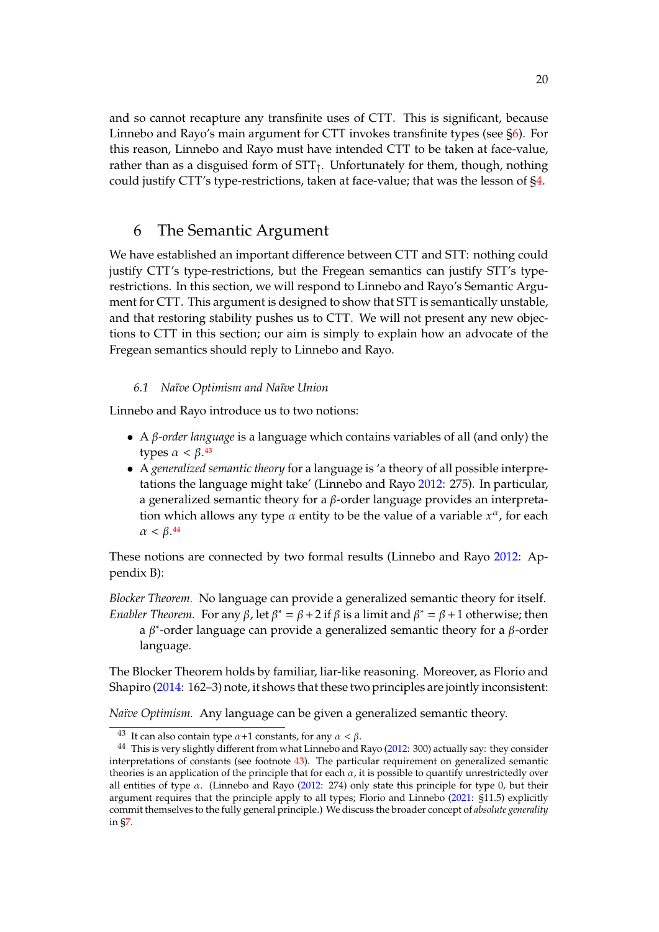and so cannot recapture any transfinite uses of CTT. This is significant, because Linnebo and Rayo's main argument for CTT invokes transfinite types (see [§6\)](#page-19-0). For this reason, Linnebo and Rayo must have intended CTT to be taken at face-value, rather than as a disguised form of  $STT_1$ . Unfortunately for them, though, nothing could justify CTT's type-restrictions, taken at face-value; that was the lesson of [§4.](#page-11-0)

### <span id="page-19-0"></span>6 The Semantic Argument

We have established an important difference between CTT and STT: nothing could justify CTT's type-restrictions, but the Fregean semantics can justify STT's typerestrictions. In this section, we will respond to Linnebo and Rayo's Semantic Argument for CTT. This argument is designed to show that STT is semantically unstable, and that restoring stability pushes us to CTT. We will not present any new objections to CTT in this section; our aim is simply to explain how an advocate of the Fregean semantics should reply to Linnebo and Rayo.

#### *6.1 Naïve Optimism and Naïve Union*

Linnebo and Rayo introduce us to two notions:

- A  $\beta$ -*order language* is a language which contains variables of all (and only) the types  $\alpha < \beta$ .<sup>[43](#page-19-1)</sup>
- A *generalized semantic theory* for a language is 'a theory of all possible interpretations the language might take' (Linnebo and Rayo [2012:](#page-44-0) 275). In particular, a generalized semantic theory for a  $\beta$ -order language provides an interpretation which allows any type  $\alpha$  entity to be the value of a variable  $x^{\alpha}$ , for each  $\alpha < \beta$  44  $\alpha < \beta$ .<sup>[44](#page-19-2)</sup>

These notions are connected by two formal results (Linnebo and Rayo [2012:](#page-44-0) Appendix B):

*Blocker Theorem.* No language can provide a generalized semantic theory for itself. *Enabler Theorem.* For any  $\beta$ , let  $\beta^* = \beta + 2$  if  $\beta$  is a limit and  $\beta^* = \beta + 1$  otherwise; then a  $\beta^*$ -order language can provide a generalized semantic theory for a  $\beta$ -order language.

The Blocker Theorem holds by familiar, liar-like reasoning. Moreover, as Florio and Shapiro [\(2014:](#page-44-23) 162–3) note, it shows that these two principles are jointly inconsistent:

*Naïve Optimism.* Any language can be given a generalized semantic theory.

<span id="page-19-2"></span><span id="page-19-1"></span><sup>&</sup>lt;sup>43</sup> It can also contain type  $\alpha+1$  constants, for any  $\alpha < \beta$ .

<sup>44</sup> This is very slightly different from what Linnebo and Rayo [\(2012:](#page-44-0) 300) actually say: they consider interpretations of constants (see footnote [43\)](#page-19-1). The particular requirement on generalized semantic theories is an application of the principle that for each  $\alpha$ , it is possible to quantify unrestrictedly over all entities of type  $\alpha$ . (Linnebo and Rayo [\(2012:](#page-44-0) 274) only state this principle for type 0, but their argument requires that the principle apply to all types; Florio and Linnebo [\(2021:](#page-44-11) §11.5) explicitly commit themselves to the fully general principle.) We discuss the broader concept of *absolute generality* in [§7.](#page-21-0)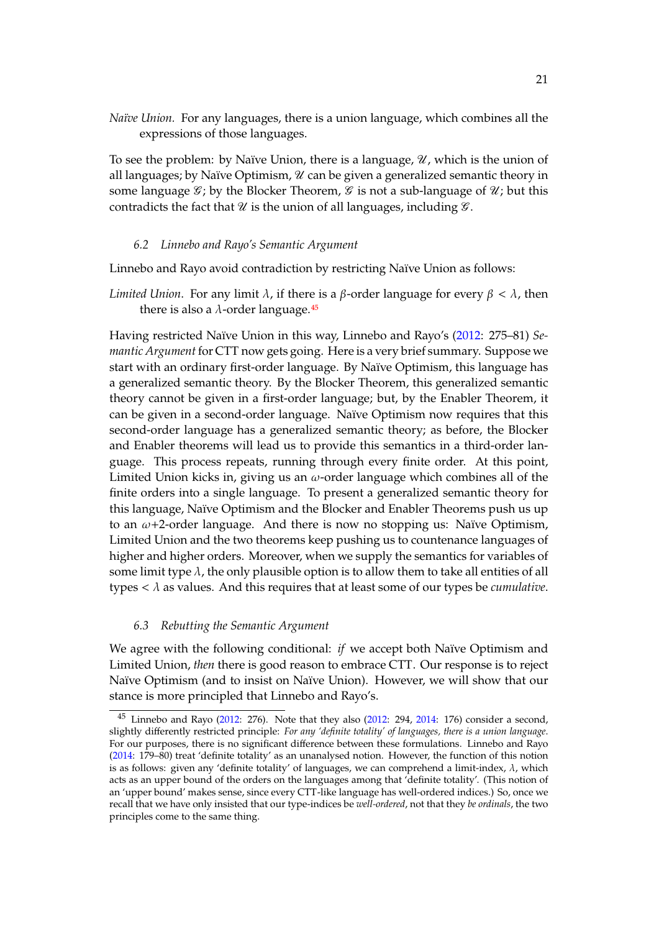*Naïve Union.* For any languages, there is a union language, which combines all the expressions of those languages.

To see the problem: by Naïve Union, there is a language,  $\mathcal{U}$ , which is the union of all languages; by Naïve Optimism,  $\mathcal U$  can be given a generalized semantic theory in some language  $\mathcal{G}$ ; by the Blocker Theorem,  $\mathcal{G}$  is not a sub-language of  $\mathcal{U}$ ; but this contradicts the fact that  $\mathcal U$  is the union of all languages, including  $\mathcal G$ .

#### *6.2 Linnebo and Rayo's Semantic Argument*

Linnebo and Rayo avoid contradiction by restricting Naïve Union as follows:

*Limited Union.* For any limit  $\lambda$ , if there is a  $\beta$ -order language for every  $\beta < \lambda$ , then there is also a  $\lambda$ -order language.<sup>[45](#page-20-0)</sup>

Having restricted Naïve Union in this way, Linnebo and Rayo's [\(2012:](#page-44-0) 275–81) *Semantic Argument* for CTT now gets going. Here is a very brief summary. Suppose we start with an ordinary first-order language. By Naïve Optimism, this language has a generalized semantic theory. By the Blocker Theorem, this generalized semantic theory cannot be given in a first-order language; but, by the Enabler Theorem, it can be given in a second-order language. Naïve Optimism now requires that this second-order language has a generalized semantic theory; as before, the Blocker and Enabler theorems will lead us to provide this semantics in a third-order language. This process repeats, running through every finite order. At this point, Limited Union kicks in, giving us an  $\omega$ -order language which combines all of the finite orders into a single language. To present a generalized semantic theory for this language, Naïve Optimism and the Blocker and Enabler Theorems push us up to an  $\omega$ +2-order language. And there is now no stopping us: Naïve Optimism, Limited Union and the two theorems keep pushing us to countenance languages of higher and higher orders. Moreover, when we supply the semantics for variables of some limit type  $\lambda$ , the only plausible option is to allow them to take all entities of all types  $\langle \lambda \rangle$  as values. And this requires that at least some of our types be *cumulative*.

#### *6.3 Rebutting the Semantic Argument*

We agree with the following conditional: *if* we accept both Naïve Optimism and Limited Union, *then* there is good reason to embrace CTT. Our response is to reject Naïve Optimism (and to insist on Naïve Union). However, we will show that our stance is more principled that Linnebo and Rayo's.

<span id="page-20-0"></span><sup>&</sup>lt;sup>45</sup> Linnebo and Rayo [\(2012:](#page-44-0) 276). Note that they also (2012: 294, [2014:](#page-44-4) 176) consider a second, slightly differently restricted principle: *For any 'definite totality' of languages, there is a union language*. For our purposes, there is no significant difference between these formulations. Linnebo and Rayo [\(2014:](#page-44-4) 179–80) treat 'definite totality' as an unanalysed notion. However, the function of this notion is as follows: given any 'definite totality' of languages, we can comprehend a limit-index,  $\lambda$ , which acts as an upper bound of the orders on the languages among that 'definite totality'. (This notion of an 'upper bound' makes sense, since every CTT-like language has well-ordered indices.) So, once we recall that we have only insisted that our type-indices be *well-ordered*, not that they *be ordinals*, the two principles come to the same thing.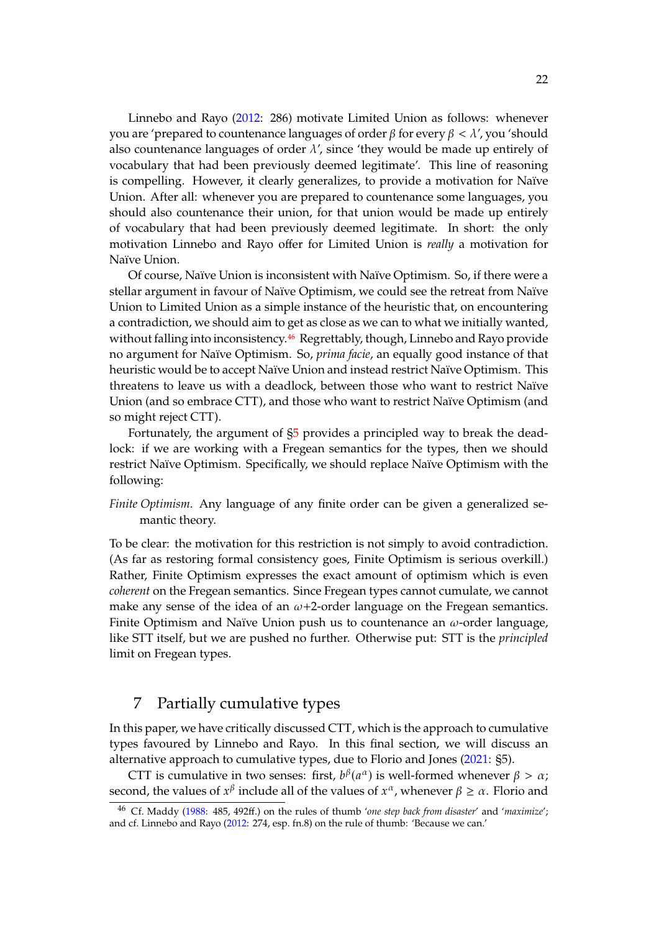Linnebo and Rayo [\(2012:](#page-44-0) 286) motivate Limited Union as follows: whenever you are 'prepared to countenance languages of order  $\beta$  for every  $\beta < \lambda'$ , you 'should also countenance languages of order  $\lambda'$ , since 'they would be made up entirely of vocabulary that had been previously deemed legitimate'. This line of reasoning is compelling. However, it clearly generalizes, to provide a motivation for Naïve Union. After all: whenever you are prepared to countenance some languages, you should also countenance their union, for that union would be made up entirely of vocabulary that had been previously deemed legitimate. In short: the only motivation Linnebo and Rayo offer for Limited Union is *really* a motivation for Naïve Union.

Of course, Naïve Union is inconsistent with Naïve Optimism. So, if there were a stellar argument in favour of Naïve Optimism, we could see the retreat from Naïve Union to Limited Union as a simple instance of the heuristic that, on encountering a contradiction, we should aim to get as close as we can to what we initially wanted, without falling into inconsistency.<sup>[46](#page-21-1)</sup> Regrettably, though, Linnebo and Rayo provide no argument for Naïve Optimism. So, *prima facie*, an equally good instance of that heuristic would be to accept Naïve Union and instead restrict Naïve Optimism. This threatens to leave us with a deadlock, between those who want to restrict Naïve Union (and so embrace CTT), and those who want to restrict Naïve Optimism (and so might reject CTT).

Fortunately, the argument of [§5](#page-14-0) provides a principled way to break the deadlock: if we are working with a Fregean semantics for the types, then we should restrict Naïve Optimism. Specifically, we should replace Naïve Optimism with the following:

*Finite Optimism*. Any language of any finite order can be given a generalized semantic theory.

To be clear: the motivation for this restriction is not simply to avoid contradiction. (As far as restoring formal consistency goes, Finite Optimism is serious overkill.) Rather, Finite Optimism expresses the exact amount of optimism which is even *coherent* on the Fregean semantics. Since Fregean types cannot cumulate, we cannot make any sense of the idea of an  $\omega$ +2-order language on the Fregean semantics. Finite Optimism and Naïve Union push us to countenance an  $\omega$ -order language, like STT itself, but we are pushed no further. Otherwise put: STT is the *principled* limit on Fregean types.

## <span id="page-21-0"></span>7 Partially cumulative types

In this paper, we have critically discussed CTT, which is the approach to cumulative types favoured by Linnebo and Rayo. In this final section, we will discuss an alternative approach to cumulative types, due to Florio and Jones [\(2021:](#page-44-1) §5).

CTT is cumulative in two senses: first,  $b^{\beta}(a^{\alpha})$  is well-formed whenever  $\beta > \alpha$ ;<br>and the values of  $x^{\beta}$  include all of the values of  $x^{\alpha}$ , whenever  $\beta > \alpha$ . Floria and second, the values of  $x^{\beta}$  include all of the values of  $x^{\alpha}$ , whenever  $\beta \ge \alpha$ . Florio and

<span id="page-21-1"></span><sup>46</sup> Cf. Maddy [\(1988:](#page-44-24) 485, 492ff.) on the rules of thumb '*one step back from disaster*' and '*maximize*'; and cf. Linnebo and Rayo [\(2012:](#page-44-0) 274, esp. fn.8) on the rule of thumb: 'Because we can.'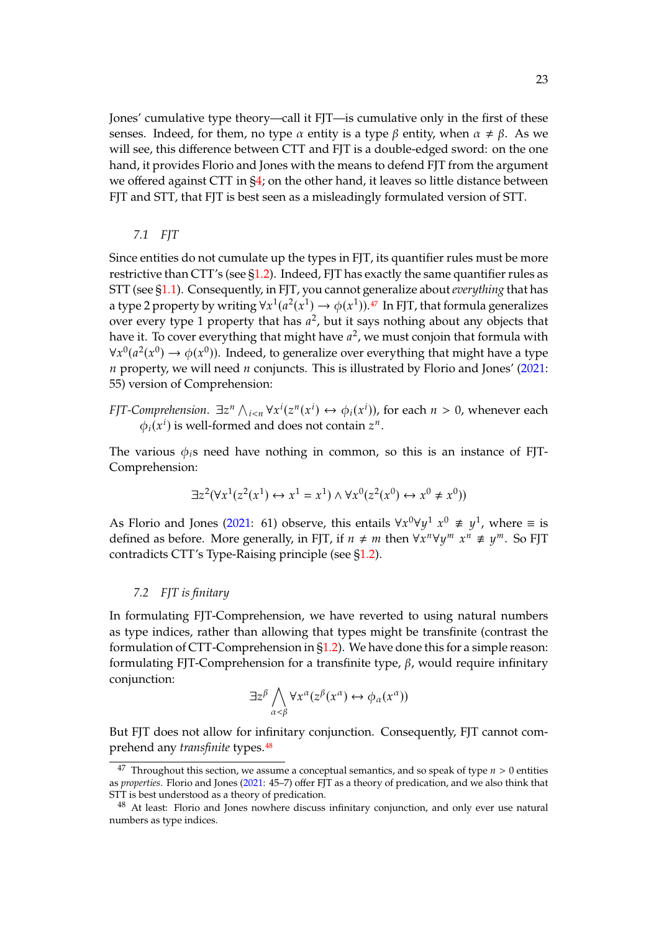Jones' cumulative type theory—call it FJT—is cumulative only in the first of these senses. Indeed, for them, no type  $\alpha$  entity is a type  $\beta$  entity, when  $\alpha \neq \beta$ . As we will see, this difference between CTT and FJT is a double-edged sword: on the one hand, it provides Florio and Jones with the means to defend FJT from the argument we offered against CTT in [§4;](#page-11-0) on the other hand, it leaves so little distance between FJT and STT, that FJT is best seen as a misleadingly formulated version of STT.

#### *7.1 FJT*

Since entities do not cumulate up the types in FJT, its quantifier rules must be more restrictive than CTT's (see  $\S1.2$ ). Indeed, FJT has exactly the same quantifier rules as STT (see [§1.1\)](#page-1-1). Consequently, in FJT, you cannot generalize about*everything* that has a type 2 property by writing  $\forall x^1(a^2(x^1) \rightarrow \phi(x^1))$ .<sup>[47](#page-22-0)</sup> In FJT, that formula generalizes<br>over every type 1 property that has  $a^2$ , but it save nothing about any objects that over every type 1 property that has  $a^2$ , but it says nothing about any objects that have it. To cover everything that might have  $a^2$ , we must conjoin that formula with have it. To cover everything that might have  $a^2$ , we must conjoin that formula with  $\mathcal{L}^{0}(\alpha^2(x^0) \rightarrow \phi(x^0))$ . Indeed, to conomize over everything that might have a type  $\forall x^{0}(a^{2}(x^{0}) \rightarrow \phi(x^{0}))$ . Indeed, to generalize over everything that might have a type  $n$  property, we will need  $n$  conjuncts. This is illustrated by Florio and Jones' [\(2021:](#page-44-1) 55) version of Comprehension:

*FJT-Comprehension*.  $\exists z^n \bigwedge_{i \leq n} \forall x^i (z^n(x^i) \leftrightarrow \phi_i(x^i))$ , for each  $n > 0$ , whenever each  $\phi_i(x^i)$  is you formed and does not contain  $z^n$ .  $\phi_i(x^i)$  is well-formed and does not contain  $z^n$ .

The various  $\phi_i$ s need have nothing in common, so this is an instance of FJT-Comprehension:

$$
\exists z^2 (\forall x^1 (z^2(x^1) \leftrightarrow x^1 = x^1) \land \forall x^0 (z^2(x^0) \leftrightarrow x^0 \neq x^0))
$$

As Florio and Jones [\(2021:](#page-44-1) 61) observe, this entails  $\forall x^{0}\forall y^{1} \ x^{0} \neq y^{1}$ , where  $\equiv$  is defined as before. More concrelly in FIT if  $u \neq w$  then  $\forall x^{n}\forall y^{1}, w^{n} \neq y^{m}$ . So FIT defined as before. More generally, in FJT, if  $n \neq m$  then  $\forall x^n \forall y^m$   $x^n \neq y^m$ . So FJT contradicts CTT's Type-Raising principle (see [§1.2\)](#page-1-0).

#### <span id="page-22-2"></span>*7.2 FJT is finitary*

In formulating FJT-Comprehension, we have reverted to using natural numbers as type indices, rather than allowing that types might be transfinite (contrast the formulation of CTT-Comprehension in [§1.2\)](#page-1-0). We have done this for a simple reason: formulating FJT-Comprehension for a transfinite type,  $\beta$ , would require infinitary conjunction:

$$
\exists z^{\beta} \bigwedge_{\alpha < \beta} \forall x^{\alpha} (z^{\beta}(x^{\alpha}) \leftrightarrow \phi_{\alpha}(x^{\alpha}))
$$

But FJT does not allow for infinitary conjunction. Consequently, FJT cannot comprehend any *transfinite* types.[48](#page-22-1)

<span id="page-22-0"></span><sup>&</sup>lt;sup>47</sup> Throughout this section, we assume a conceptual semantics, and so speak of type  $n > 0$  entities as *properties*. Florio and Jones [\(2021:](#page-44-1) 45–7) offer FJT as a theory of predication, and we also think that STT is best understood as a theory of predication.

<span id="page-22-1"></span><sup>48</sup> At least: Florio and Jones nowhere discuss infinitary conjunction, and only ever use natural numbers as type indices.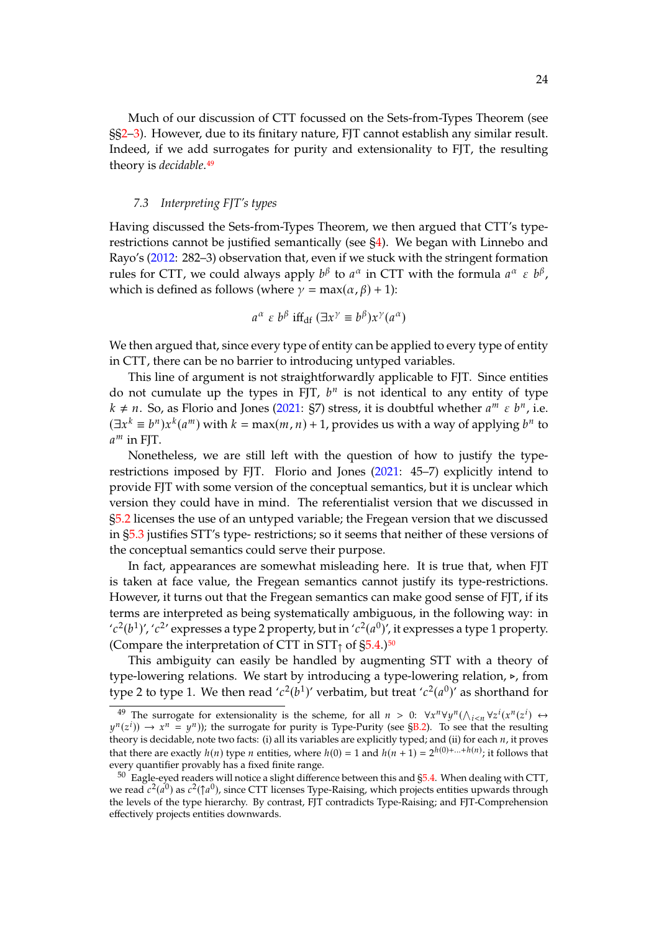Much of our discussion of CTT focussed on the Sets-from-Types Theorem (see §[§2–](#page-3-0)[3\)](#page-7-0). However, due to its finitary nature, FJT cannot establish any similar result. Indeed, if we add surrogates for purity and extensionality to FJT, the resulting theory is *decidable*.[49](#page-23-0)

#### *7.3 Interpreting FJT's types*

Having discussed the Sets-from-Types Theorem, we then argued that CTT's typerestrictions cannot be justified semantically (see [§4\)](#page-11-0). We began with Linnebo and Rayo's [\(2012:](#page-44-0) 282–3) observation that, even if we stuck with the stringent formation rules for CTT, we could always apply  $b^{\beta}$  to  $a^{\alpha}$  in CTT with the formula  $a^{\alpha} \in b^{\beta}$ ,<br>which is defined as follows (where  $y = \max(a, \beta) + 1$ ). which is defined as follows (where  $\gamma = \max(\alpha, \beta) + 1$ ):

$$
a^{\alpha} \varepsilon b^{\beta} \text{ iff}_{\text{df}} (\exists x^{\gamma} \equiv b^{\beta}) x^{\gamma} (a^{\alpha})
$$

We then argued that, since every type of entity can be applied to every type of entity in CTT, there can be no barrier to introducing untyped variables.

This line of argument is not straightforwardly applicable to FJT. Since entities do not cumulate up the types in FJT,  $b^n$  is not identical to any entity of type  $k+n$ . So as Florio and Jones (2021; S7) stress, it is doubtful whather  $a^m$  s  $b^n$  i.e.  $k \neq n$ . So, as Florio and Jones [\(2021:](#page-44-1) §7) stress, it is doubtful whether  $a^m \varepsilon b^n$ , i.e.<br> $(a^m \varepsilon b^n)$ ,  $b^n \varepsilon b^n$ , with  $k = \max(m, n) + 1$  provides us with a way of applying  $b^n$  to  $(\exists x^k \equiv b^n) x^k (a^m)$  with  $k = \max(m, n) + 1$ , provides us with a way of applying  $b^n$  to  $a^m$  in FIT  $a^m$  in FIT.

Nonetheless, we are still left with the question of how to justify the type-restrictions imposed by FJT. Florio and Jones [\(2021:](#page-44-1) 45-7) explicitly intend to provide FJT with some version of the conceptual semantics, but it is unclear which version they could have in mind. The referentialist version that we discussed in [§5.2](#page-15-5) licenses the use of an untyped variable; the Fregean version that we discussed in [§5.3](#page-16-3) justifies STT's type- restrictions; so it seems that neither of these versions of the conceptual semantics could serve their purpose.

In fact, appearances are somewhat misleading here. It is true that, when FJT is taken at face value, the Fregean semantics cannot justify its type-restrictions. However, it turns out that the Fregean semantics can make good sense of FJT, if its terms are interpreted as being systematically ambiguous, in the following way: in ' $c^2(b^1)'$ , ' $c^2$ ' expresses a type 2 property, but in ' $c^2(a^0)'$ , it expresses a type 1 property.<br>(Compare the interpretation of CTT in STT, of  $55, 4, 150$ (Compare the interpretation of CTT in  $STT<sub>1</sub>$  of  $\S5.4$ .)<sup>[50](#page-23-1)</sup>

This ambiguity can easily be handled by augmenting STT with a theory of type-lowering relations. We start by introducing a type-lowering relation, ⊳, from type 2 to type 1. We then read ' $c^2(b^1)$ ' verbatim, but treat ' $c^2(a^0)$ ' as shorthand for

<span id="page-23-0"></span><sup>&</sup>lt;sup>49</sup> The surrogate for extensionality is the scheme, for all  $n > 0$ : ∀ $\chi^n \forall y^n (\bigwedge_{i \leq n} \forall z^i (x^n(z^i) \leftrightarrow \iota(z^i)) \rightarrow \chi^n - \iota^n)$ ; the surrogate for purity is Type-Purity (see SB.2). To see that the resulting theory is decidable, note two facts: (i) all its variables are explicitly typed; and (ii) for each *n*, it proves<br>that there are even the *k(n)* type *n* and iting subsets (i)) and  $h$ (*n* + 1)  $2h(0) + ... + h(n)$ , it follows t  $\pi^{(z)}(\vec{z}) \rightarrow x^n = y^n$ ); the surrogate for purity is Type-Purity (see [§B.2\)](#page-32-0). To see that the resulting<br>people is decidable note two facts: (i) all its variables are evolicitly typed; and (ii) for each *n* it proves that there are exactly  $h(n)$  type *n* entities, where  $h(0) = 1$  and  $h(n + 1) = 2^{h(0) + ... + h(n)}$ ; it follows that every quantifier provably has a fixed finite range.

<span id="page-23-1"></span> $50$  Eagle-eyed readers will notice a slight difference between this and  $\S 5.4$ . When dealing with CTT, we read  $c^2(a^0)$  as  $c^2(\uparrow a^0)$ , since CTT licenses Type-Raising, which projects entities upwards through<br>the levels of the type hierarchy. By contrast, EIT contradicts Type-Raising; and EIT-Comprehension the levels of the type hierarchy. By contrast, FJT contradicts Type-Raising; and FJT-Comprehension effectively projects entities downwards.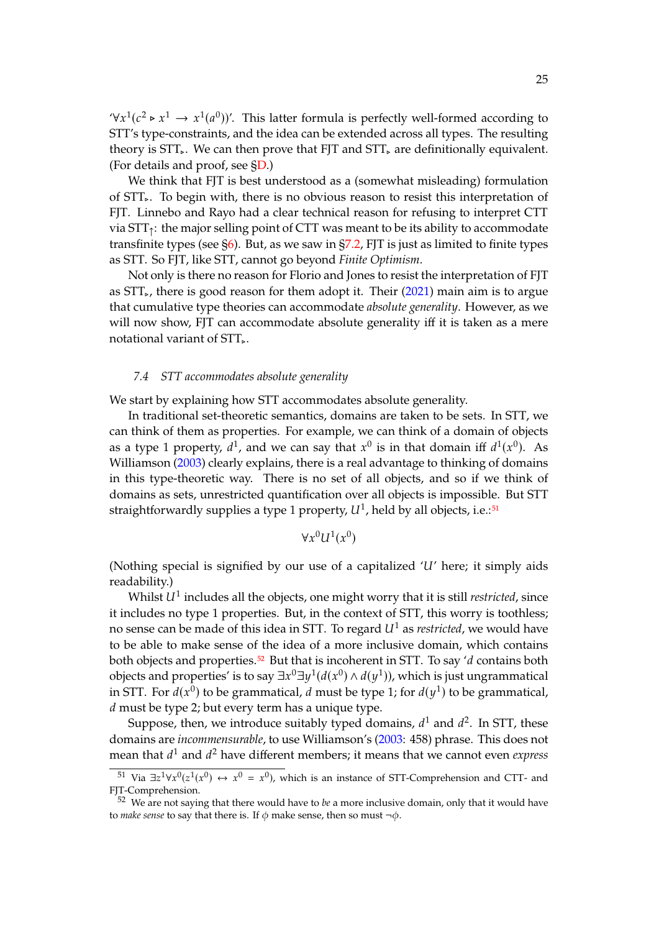$\forall x^1(c^2 \triangleright x^1 \rightarrow x^1(a^0))'$ . This latter formula is perfectly well-formed according to  $STT'$  type constraints and the idea can be extended across all types. The resulting STT's type-constraints, and the idea can be extended across all types. The resulting theory is STT, We can then prove that FJT and STT, are definitionally equivalent. (For details and proof, see [§D.](#page-40-0))

We think that FJT is best understood as a (somewhat misleading) formulation of STT⊲. To begin with, there is no obvious reason to resist this interpretation of FJT. Linnebo and Rayo had a clear technical reason for refusing to interpret CTT via  $STT_1$ : the major selling point of CTT was meant to be its ability to accommodate transfinite types (see [§6\)](#page-19-0). But, as we saw in [§7.2,](#page-22-2) FJT is just as limited to finite types as STT. So FJT, like STT, cannot go beyond *Finite Optimism*.

Not only is there no reason for Florio and Jones to resist the interpretation of FJT as  $STT_{\nu}$ , there is good reason for them adopt it. Their [\(2021\)](#page-44-1) main aim is to argue that cumulative type theories can accommodate *absolute generality*. However, as we will now show, FJT can accommodate absolute generality iff it is taken as a mere notational variant of STT.

#### <span id="page-24-2"></span>*7.4 STT accommodates absolute generality*

We start by explaining how STT accommodates absolute generality.

In traditional set-theoretic semantics, domains are taken to be sets. In STT, we can think of them as properties. For example, we can think of a domain of objects as a type 1 property,  $d^1$ , and we can say that  $x^0$  is in that domain iff  $d^1(x^0)$ . As<br>Williamson (2003) closuly explains there is a real advantage to thinking of domains Williamson [\(2003\)](#page-45-11) clearly explains, there is a real advantage to thinking of domains in this type-theoretic way. There is no set of all objects, and so if we think of domains as sets, unrestricted quantification over all objects is impossible. But STT straightforwardly supplies a type 1 property,  $U^1$ , held by all objects, i.e.:<sup>[51](#page-24-0)</sup>

$$
\forall x^0 U^1(x^0)
$$

(Nothing special is signified by our use of a capitalized  $'U'$  here; it simply aids readability.)

Whilst  $U^1$  includes all the objects, one might worry that it is still *restricted*, since  $\Omega$  and  $\Omega$  are proportion. But, in the context of STT, this worry is toothloogy it includes no type 1 properties. But, in the context of STT, this worry is toothless; no sense can be made of this idea in STT. To regard  $U^1$  as *restricted*, we would have to be able to make sense of the idea of a more inclusive domain, which contains both objects and properties.<sup>[52](#page-24-1)</sup> But that is incoherent in STT. To say 'd contains both objects and properties' is to say  $\exists x^0 \exists y^1 (d(x^0) \wedge d(y^1))$ , which is just ungrammatical<br>in STT, For  $d(x^0)$  to be examinatical, d must be type 1: for  $d(u^1)$  to be examinatical in STT. For  $d(x^0)$  to be grammatical, d must be type 1; for  $d(y^1)$  to be grammatical, d must be type 2; but every term because type  $d$  must be type 2; but every term has a unique type.

Suppose, then, we introduce suitably typed domains,  $d^1$  and  $d^2$ . In STT, these<br>pairs are incommencurable to use Williamson's (2003; 458) phrase. This does not domains are *incommensurable*, to use Williamson's [\(2003:](#page-45-11) 458) phrase. This does not mean that  $d^1$  and  $d^2$  have different members; it means that we cannot even *express* 

<span id="page-24-0"></span><sup>&</sup>lt;sup>51</sup> Via  $\exists z^1 \forall x^0 (z^1(x^0) \leftrightarrow x^0 = x^0)$ , which is an instance of STT-Comprehension and CTT- and T-Comprehension FJT-Comprehension.

<span id="page-24-1"></span><sup>52</sup> We are not saying that there would have to *be* a more inclusive domain, only that it would have to *make sense* to say that there is. If  $\phi$  make sense, then so must  $\neg \phi$ .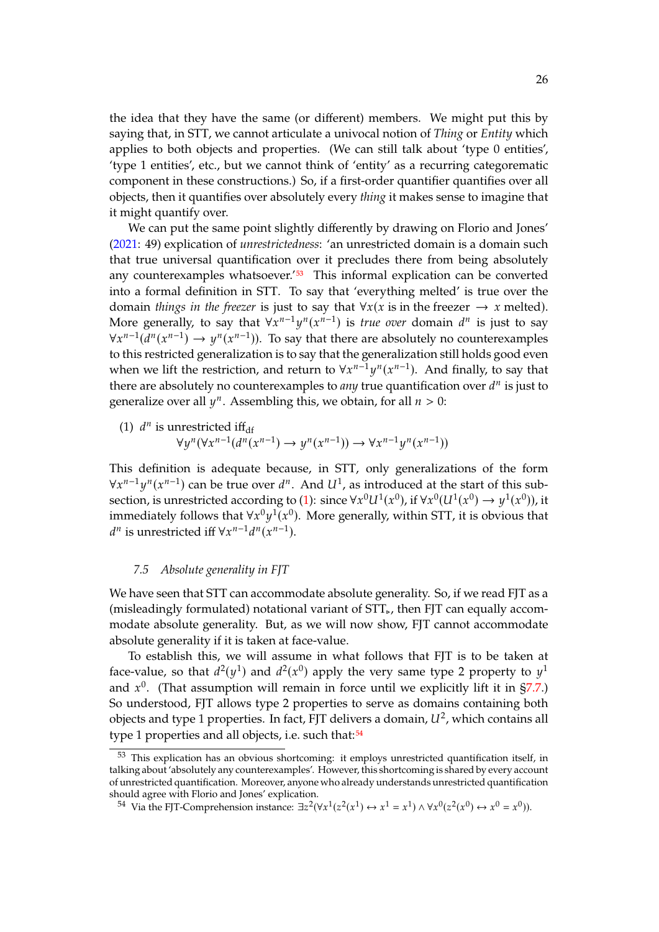the idea that they have the same (or different) members. We might put this by saying that, in STT, we cannot articulate a univocal notion of *Thing* or *Entity* which applies to both objects and properties. (We can still talk about 'type 0 entities', 'type 1 entities', etc., but we cannot think of 'entity' as a recurring categorematic component in these constructions.) So, if a first-order quantifier quantifies over all objects, then it quantifies over absolutely every *thing* it makes sense to imagine that it might quantify over.

We can put the same point slightly differently by drawing on Florio and Jones' [\(2021:](#page-44-1) 49) explication of *unrestrictedness*: 'an unrestricted domain is a domain such that true universal quantification over it precludes there from being absolutely any counterexamples whatsoever.<sup>'[53](#page-25-0)</sup> This informal explication can be converted into a formal definition in STT. To say that 'everything melted' is true over the domain *things in the freezer* is just to say that  $\forall x(x)$  is in the freezer  $\rightarrow x$  melted). More generally, to say that  $\forall x^{n-1}y^{n}(x^{n-1})$  is *true over* domain  $d^{n}$  is just to say  $\forall x^{n-1}(d^{n}(x^{n-1})) \rightarrow u^{n}(x^{n-1})$ . To say that there are absolutely no counterexamples  $\forall x^{n-1}(\bar{d}^n(x^{n-1}) \to y^n(x^{n-1}))$ . To say that there are absolutely no counterexamples to this restricted generalization is to say that the generalization still holds good even when we lift the restriction, and return to  $\forall x^{n-1}y^{n}(x^{n-1})$ . And finally, to say that there are absolutely no counterexamples to any true quantification over  $d^{n}$  is just to there are absolutely no counterexamples to *any* true quantification over  $d^n$  is just to conoralize over all  $u^n$ . Assembling this we obtain for all  $u > 0$ . generalize over all  $y^n$ . Assembling this, we obtain, for all  $n > 0$ :

<span id="page-25-1"></span>(1) 
$$
d^n
$$
 is unrestricted iff<sub>df</sub>  
\n $\forall y^n (\forall x^{n-1} (d^n(x^{n-1}) \rightarrow y^n(x^{n-1})) \rightarrow \forall x^{n-1} y^n(x^{n-1}))$ 

This definition is adequate because, in STT, only generalizations of the form  $\forall x^{n-1} y^n (x^{n-1})$  can be true over  $d^n$ . And  $U^1$ , as introduced at the start of this subsection is unrestricted according to (1); since  $\forall x^0 U^1 U^1(x^0)$  if  $\forall x^0 (U^1(x^0) \rightarrow u^1(x^0))$  if section, is unrestricted according to [\(1\)](#page-25-1): since  $\forall x^0 U^1(x^0)$ , if  $\forall x^0 (U^1(x^0) \rightarrow y^1(x^0))$ , it<br>immodiately follows that  $\forall x^0 u^1(x^0)$ . More concrelly within STT, it is obvious that immediately follows that  $\forall x^0 y^1(x^0)$ . More generally, within STT, it is obvious that  $d^n$  is uprostricted if  $\forall x^{n-1}d^n(x^{n-1})$ <sup>*n*</sup> is unrestricted iff  $\forall x^{n-1}d^n(x^{n-1})$ .

#### <span id="page-25-3"></span>*7.5 Absolute generality in FJT*

We have seen that STT can accommodate absolute generality. So, if we read FJT as a (misleadingly formulated) notational variant of STT⊲, then FJT can equally accommodate absolute generality. But, as we will now show, FJT cannot accommodate absolute generality if it is taken at face-value.

To establish this, we will assume in what follows that FJT is to be taken at face-value, so that  $d^2(y^1)$  and  $d^2(x^0)$  apply the very same type 2 property to  $y^1$ <br>and  $x^0$ . (That assumption will remain in force until we evolviding lift it in  $57.7$ ) and  $x^0$ . (That assumption will remain in force until we explicitly lift it in [§7.7.](#page-29-0))<br>So understood EIT allows time 2 proporties to serve as domains containing both So understood, FJT allows type 2 properties to serve as domains containing both objects and type 1 properties. In fact, FJT delivers a domain,  $U^2$ , which contains all<br>type 1 properties and all objects, i.e. such that  $\frac{54}{1}$ type 1 properties and all objects, i.e. such that:<sup>[54](#page-25-2)</sup>

<span id="page-25-0"></span><sup>&</sup>lt;sup>53</sup> This explication has an obvious shortcoming: it employs unrestricted quantification itself, in talking about 'absolutely any counterexamples'. However, this shortcoming is shared by every account of unrestricted quantification. Moreover, anyone who already understands unrestricted quantification should agree with Florio and Jones' explication.

<span id="page-25-2"></span><sup>&</sup>lt;sup>54</sup> Via the FJT-Comprehension instance:  $\exists z^2(\forall x^1(z^2(x^1) \leftrightarrow x^1 = x^1) \land \forall x^0(z^2(x^0) \leftrightarrow x^0 = x^0)$ ).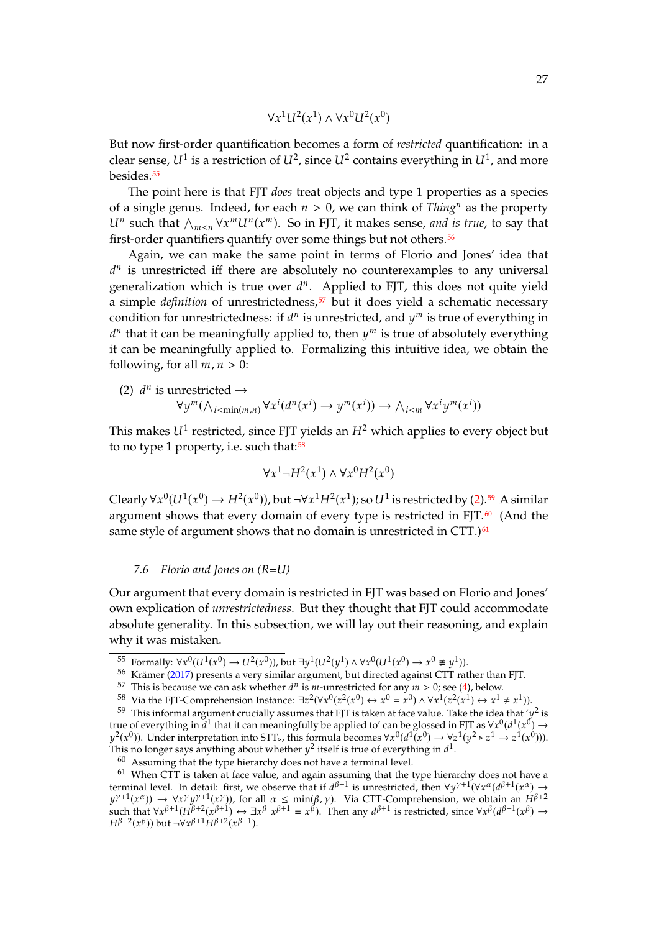$$
\forall x^1 U^2(x^1) \land \forall x^0 U^2(x^0)
$$

But now first-order quantification becomes a form of *restricted* quantification: in a clear sense,  $U^1$  is a restriction of  $U^2$ , since  $U^2$  contains everything in  $U^1$ , and more<br>bosides  $\frac{55}{2}$ besides.<sup>[55](#page-26-0)</sup>

The point here is that FJT *does* treat objects and type 1 properties as a species of a single genus. Indeed, for each  $n > 0$ , we can think of *Thing<sup>n</sup>* as the property  $\alpha$  such that  $\gamma_{m \le n}$  v  $\alpha$   $\alpha$   $\alpha$ . So in F<sub>J</sub><sub>1</sub>, it makes sense, and if itst-order quantifiers quantify over some things but not others.<sup>[56](#page-26-1)</sup> such that  $\bigwedge_{m \le n} \forall x^m U^n(x^m)$ . So in FJT, it makes sense, *and is true*, to say that

Again, we can make the same point in terms of Florio and Jones' idea that generalization which is true over  $d^n$ . Applied to FJT, this does not quite yield  $^{\mathit{n}}$  is unrestricted iff there are absolutely no counterexamples to any universal a simple *definition* of unrestrictedness,<sup>[57](#page-26-2)</sup> but it does yield a schematic necessary condition for unrestrictedness: if  $d^n$  is unrestricted, and  $y^m$  is true of everything in  $d^n$  that it can be meaningfully applied to then  $u^m$  is true of absolutely everything it can be meaningfully applied to. Formalizing this intuitive idea, we obtain the  $\mu$  that it can be meaningfully applied to, then  $y^m$  is true of absolutely everything<br>can be meaningfully applied to Fermalizing this intuitive idea, we obtain the following, for all  $m, n > 0$ :

<span id="page-26-4"></span>(2) 
$$
d^n
$$
 is unrestricted  $\rightarrow$   
\n $\forall y^m(\wedge_{i < \min(m,n)} \forall x^i (d^n(x^i) \rightarrow y^m(x^i)) \rightarrow \wedge_{i < m} \forall x^i y^m(x^i))$ 

This makes  $U^1$  restricted, since FJT yields an  $H^2$  which applies to every object but<br>to no type 1 property i.e. such that  $^{58}$ to no type 1 property, i.e. such that: $58$ 

$$
\forall x^1 \neg H^2(x^1) \land \forall x^0 H^2(x^0)
$$

Clearly  $\forall x^0(U^1(x^0) \rightarrow H^2(x^0))$ , but  $\neg \forall x^1 H^2(x^1)$ ; so  $U^1$  is restricted by [\(2\)](#page-26-4).<sup>[59](#page-26-5)</sup> A similar argument shows that every demain of every type is restricted in FIT 60. (And the argument shows that every domain of every type is restricted in FJT. $60$  (And the same style of argument shows that no domain is unrestricted in CTT.)<sup>[61](#page-26-7)</sup>

#### *7.6 Florio and Jones on (R=U)*

Our argument that every domain is restricted in FJT was based on Florio and Jones' own explication of *unrestrictedness*. But they thought that FJT could accommodate absolute generality. In this subsection, we will lay out their reasoning, and explain why it was mistaken.

<span id="page-26-0"></span><sup>55</sup> Formally:  $\forall x^0 (U^1(x^0) \rightarrow U^2(x^0))$ , but  $\exists y^1 (U^2(y^1) \land \forall x^0 (U^1(x^0) \rightarrow x^0 \not\equiv y^1))$ .<br>56 Krämer (2017) presents a very similar argument, but directed against CTT rat

<span id="page-26-1"></span> $56$  Krämer [\(2017\)](#page-44-2) presents a very similar argument, but directed against CTT rather than FJT.

<span id="page-26-2"></span><sup>&</sup>lt;sup>57</sup> This is because we can ask whether  $d^n$  is m-unrestricted for any  $m > 0$ ; see [\(4\)](#page-28-0), below.<br><sup>58</sup> Via the ELI Comprehension Instance:  $\frac{\partial^2 \chi(x,0)}{\partial x^2}$  ( $\chi^0$ ),  $\chi^0 = \chi^0$ ),  $\chi^0 \chi^1(\chi^2(x^1), \chi^1)$ 

<span id="page-26-5"></span><span id="page-26-3"></span><sup>&</sup>lt;sup>58</sup> Via the FJT-Comprehension Instance:  $\exists z^2(\forall x^0(z^2(x^0) \leftrightarrow x^0 = x^0) \land \forall x^1(z^2(x^1) \leftrightarrow x^1 \neq x^1))$ .<br><sup>59</sup> This informal argument guidally assumes that EIT is taken at face value. Take the idea that 't

<sup>&</sup>lt;sup>59</sup> This informal argument crucially assumes that FJT is taken at face value. Take the idea that ' $y^2$  is<br>use of everything in  $d^1$  that it can meaningfully be applied to' can be glossed in FIT as  $\forall x^0 (d^1(x^0) \rightarrow$ true of everything in  $\vec{d}^1$  that it can meaningfully be applied to' can be glossed in FJT as  $\forall x^0 (d^1(x^0) \rightarrow u^2(x^0))$ .<br> $u^2(x^0)$  Linder interpretation into STT this formula becomes  $\forall x^0 (d^1(x^0) \rightarrow \forall x^1 (u^2 \land \vec{x}^1 \rightarrow \$ This no longer says anything about whether  $y^2$  itself is true of everything in  $d^1$ .<br>
<sup>60</sup> Assuming that the time biorarchy does not baye a terminal layel  $2(x^0)$ ). Under interpretation into STT,, this formula becomes  $\forall x^0(d^1(x^0) \rightarrow \forall z^1(y^2 \triangleright z^1 \rightarrow z^1(x^0)))$ .<br>his no longer save anything about whether  $\nu^2$  itself is true of everything in  $d^1$ .

<span id="page-26-7"></span><span id="page-26-6"></span> $60$  Assuming that the type hierarchy does not have a terminal level.

 $61$  When CTT is taken at face value, and again assuming that the type hierarchy does not have a terminal level. In detail: first, we observe that if d<br> $u^{\gamma+1}(x^{\alpha}) \rightarrow \forall x^{\gamma}u^{\gamma+1}(x^{\gamma})$  for all  $\alpha < \min(\beta, \gamma)$  $\beta+1$  is unrestricted, then  $\forall y^{\gamma+1}(\forall x^{\alpha}(d^{\beta+1}(x^{\alpha})) \rightarrow$ <br>Via CTT-Comprehension, we obtain an H<sup>β+2</sup> ر<br>د  $\frac{\gamma+1(x^{\alpha})) \rightarrow \forall x^{\gamma}}{\gamma+1(x^{\alpha})) \rightarrow \forall x^{\gamma}}$ γ<br>Γβ  $(\gamma+1(\chi \gamma))$ , for all  $\alpha \le \min(\beta, \gamma)$ . Via CTT-Comprehension, we obtain an  $H^{\beta+2}$ <br> $(2\gamma\beta+1) \leftrightarrow \exists \gamma\beta \gamma\beta+1 \equiv \gamma\beta$ ). Then any  $d^{\beta+1}$  is restricted since  $\forall \gamma\beta(d^{\beta+1}(\gamma\beta))$ such that  $\forall x^{\beta+1} (H^{\beta+2}(x^{\beta+1})) \leftrightarrow \exists x^{\beta}$ <br> $H^{\beta+2}(x^{\beta})$  but  $\exists x^{\beta+1} H^{\beta+2}(x^{\beta+1})$  $x^{\beta+1} \equiv x^{\beta}$ ). Then any  $d^{\beta+1}$  is restricted, since  $\forall x^{\beta} (d^{\beta+1}(x^{\beta}) \rightarrow$  $H^{\beta+2}(x^{\beta})$  but  $\neg \forall x^{\beta+1} H^{\beta+2}(x^{\beta+1})$ .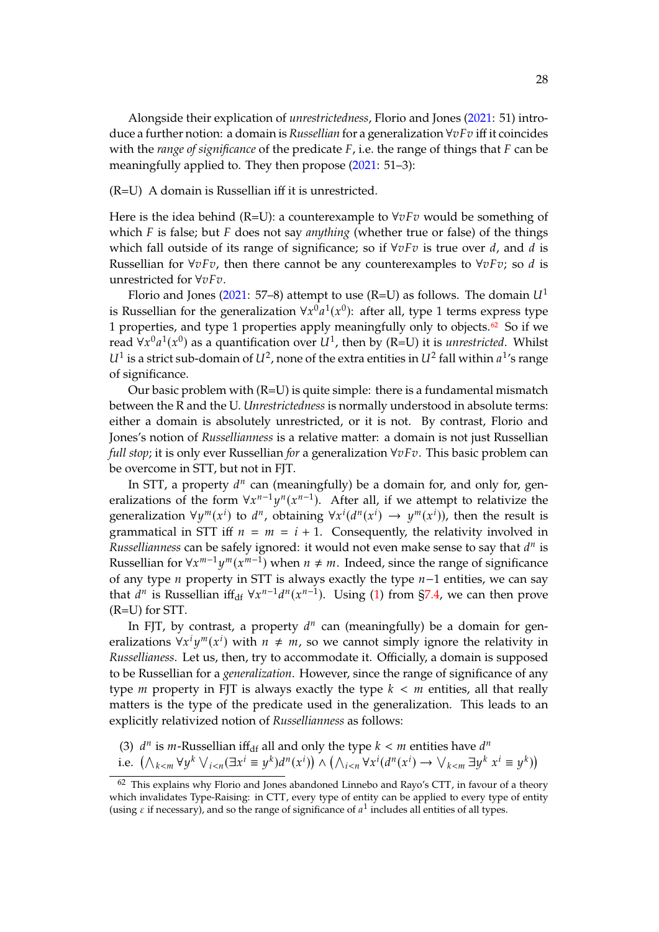Alongside their explication of *unrestrictedness*, Florio and Jones [\(2021:](#page-44-1) 51) introduce a further notion: a domain is *Russellian* for a generalization  $\forall v F v$  iff it coincides with the *range* of significance of the predicate  $F$ , i.e. the range of things that  $F$  can be meaningfully applied to. They then propose [\(2021:](#page-44-1) 51–3):

#### (R=U) A domain is Russellian iff it is unrestricted.

Here is the idea behind (R=U): a counterexample to  $\forall v F v$  would be something of which  $F$  is false; but  $F$  does not say *anything* (whether true or false) of the things which fall outside of its range of significance; so if  $\forall v F v$  is true over d, and d is Russellian for  $\forall v F v$ , then there cannot be any counterexamples to  $\forall v F v$ ; so d is unrestricted for ∀vFv.

Florio and Jones [\(2021:](#page-44-1) 57–8) attempt to use (R=U) as follows. The domain  $U^1$ is Russellian for the generalization  $\forall x^0 a^1(x^0)$ : after all, type 1 terms express type<br>1 proporties and type 1 proporties apply meaningfully only to objects  $\frac{62}{50}$ . So if yes 1 properties, and type 1 properties apply meaningfully only to objects.<sup>[62](#page-27-0)</sup> So if we read  $\forall x^0 a^1(x^0)$  as a quantification over  $U^1$ , then by (R=U) it is *unrestricted*. Whilst<br> $U^1$  is a strict sub domain of  $U^2$  pope of the extra entities in  $U^2$  fall within  $a^{1/2}$  range  $U^1$  is a strict sub-domain of  $U^2$ , none of the extra entities in  $U^2$  fall within  $a^1$ 's range of significance.

Our basic problem with  $(R=U)$  is quite simple: there is a fundamental mismatch between the R and the U. *Unrestrictedness* is normally understood in absolute terms: either a domain is absolutely unrestricted, or it is not. By contrast, Florio and Jones's notion of *Russellianness* is a relative matter: a domain is not just Russellian *full stop*; it is only ever Russellian *for* a generalization  $\forall v Fv$ . This basic problem can be overcome in STT, but not in FJT.

In STT, a property  $d^n$  can (meaningfully) be a domain for, and only for, gen-<br>izations of the form  $\forall x^{n-1}u^n(x^{n-1})$ . After all, if we attemnt to relativize the eralizations of the form  $\forall x^{n-1}y^{n}(x^{n-1})$ . After all, if we attempt to relativize the generalization  $\forall y^m(x^i)$  to  $d^n$ , obtaining  $\forall x^i(d^n(x^i) \rightarrow y^m(x^i))$ , then the result is grammatical in STT iff  $n = m = i + 1$ . Consequently, the relativity involved in grammatical in STT iff  $n = m = i + 1$ . Consequently, the relativity involved in *Russellianness* can be safely ignored: it would not even make sense to say that  $d^n$  is<br>Pussellian for  $\forall x^m{}^{-1}u^m(x^{m-1})$  when  $u \neq w$ , Indeed, since the range of significance Russellian for  $\forall x^{m-1}y^m(x^{m-1})$  when  $n \neq m$ . Indeed, since the range of significance of any type *n* property in STT is always exactly the type  $n-1$  entities, we can say that  $d^n$  is Russellian if  $f_{df}$   $\forall x^{n-1}d^n(x^{n-1})$ . Using [\(1\)](#page-25-1) from [§7.4,](#page-24-2) we can then prove (R=U) for STT.

In FJT, by contrast, a property  $d^n$  can (meaningfully) be a domain for gen-<br>irations  $\forall x^i \psi^m(x^i)$  with  $u \neq w$  so we cannot simply ignore the relativity in eralizations  $\forall x^i y^m(x^i)$  with  $n \neq m$ , so we cannot simply ignore the relativity in<br>Pursuliances, Let us then twite accommodate it. Officially a demain is supposed erailizations  $\forall x \ y \ (\bar{x})$  with  $n \neq m$ , so we cannot simply ignore the relativity in<br>Russellianess. Let us, then, try to accommodate it. Officially, a domain is supposed to be Russellian for a *generalization*. However, since the range of significance of any type  $m$  property in FJT is always exactly the type  $k < m$  entities, all that really matters is the type of the predicate used in the generalization. This leads to an explicitly relativized notion of *Russellianness* as follows:

<span id="page-27-1"></span>(3)  $d^n$  is m-Russellian iff<sub>df</sub> all and only the type  $k < m$  entities have  $d^n$ <br>i.e.  $(\wedge \qquad \vee \wedge^{(k)} \vee \qquad (\exists x^i - \vee^{(k)} \wedge^{(k)} \wedge \wedge \qquad \vee^{(k)} \wedge^{(k)} \wedge \vee \qquad \exists x^k$ 

i.e. 
$$
(\bigwedge_{k\leq m}\forall y^k\bigvee_{i\leq n}(\exists x^i\equiv y^k)d^n(x^i))\wedge (\bigwedge_{i\leq n}\forall x^i(d^n(x^i)\rightarrow \bigvee_{k\leq m}\exists y^k\ x^i\equiv y^k))
$$

<span id="page-27-0"></span> $62$  This explains why Florio and Jones abandoned Linnebo and Rayo's CTT, in favour of a theory which invalidates Type-Raising: in CTT, every type of entity can be applied to every type of entity (using  $\varepsilon$  if necessary), and so the range of significance of  $a^1$  includes all entities of all types.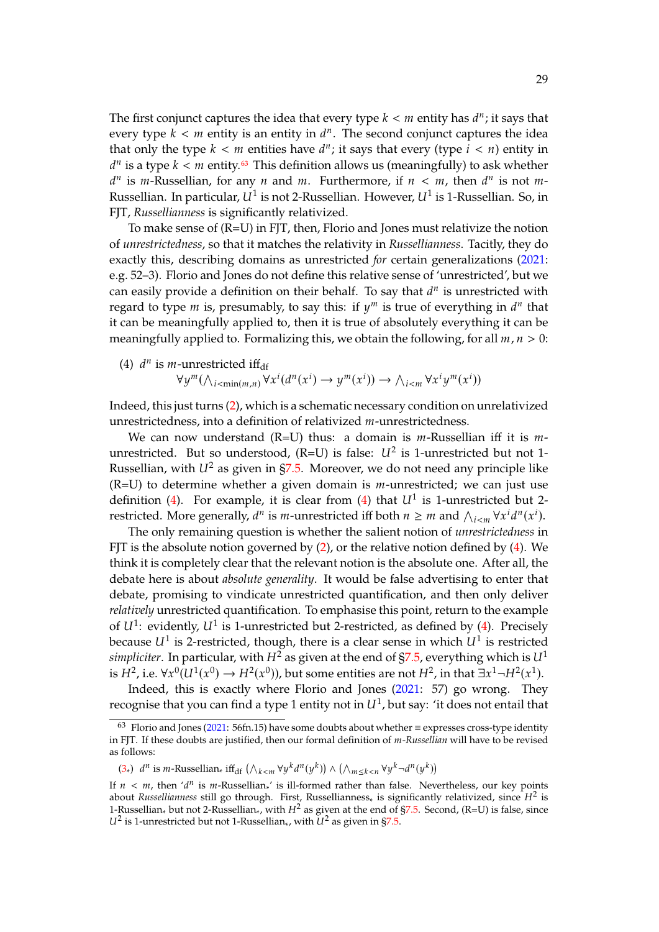The first conjunct captures the idea that every type  $k < m$  entity has  $d^n$ ; it says that every type  $k < m$  entity is an entity in  $d^n$ . The second conjunct captures the idea every type  $k < m$  entity is an entity in  $d^n$ . The second conjunct captures the idea<br>that only the type  $k < m$  entities have  $d^n$ , it says that every (type  $i < n$ ) entity in that only the type  $k < m$  entities have  $d^n$ ; it says that every (type  $i < n$ ) entity in  $d^n$  is a type  $k < m$  entity  $\mathfrak{B}$ . This definition allows us (meaningfully) to ask whather  $d^n$  is m-Russellian, for any *n* and *m*. Furthermore, if  $n < m$ , then  $d^n$  is not *m*-<br>Pussellian, In particular  $U^1$  is not 2 Pussellian. However  $U^1$  is 1 Pussellian. So in <sup>*n*</sup> is a type  $k < m$  entity.<sup>[63](#page-28-1)</sup> This definition allows us (meaningfully) to ask whether  $n_i$  is m Pussellian, for any *n* and *m*. Furthermore, if  $n < m$ , then  $d^n$  is not *m*. Russellian. In particular,  $U^1$  is not 2-Russellian. However,  $U^1$  is 1-Russellian. So, in FJT, *Russellianness* is significantly relativized.

To make sense of (R=U) in FJT, then, Florio and Jones must relativize the notion of *unrestrictedness*, so that it matches the relativity in *Russellianness*. Tacitly, they do exactly this, describing domains as unrestricted *for* certain generalizations [\(2021:](#page-44-1) e.g. 52–3). Florio and Jones do not define this relative sense of 'unrestricted', but we can easily provide a definition on their behalf. To say that  $d^n$  is unrestricted with<br>recard to type  $m$  is presumably to say this: if  $u^m$  is true of everything in  $d^n$  that regard to type  $m$  is, presumably, to say this: if  $y^m$  is true of everything in  $d^n$  that it can be meaningfully applied to then it is true of ebsolutely everything it can be it can be meaningfully applied to, then it is true of absolutely everything it can be meaningfully applied to. Formalizing this, we obtain the following, for all  $m, n > 0$ :

<span id="page-28-0"></span>(4) 
$$
d^n
$$
 is *m*-unrestricted iff<sub>df</sub>  
\n $\forall y^m (\wedge_{i < \min(m,n)} \forall x^i (d^n(x^i) \rightarrow y^m(x^i)) \rightarrow \wedge_{i < m} \forall x^i y^m(x^i))$ 

Indeed, this just turns [\(2\)](#page-26-4), which is a schematic necessary condition on unrelativized unrestrictedness, into a definition of relativized *m*-unrestrictedness.

We can now understand (R=U) thus: a domain is  $m$ -Russellian iff it is  $m$ unrestricted. But so understood,  $(R=U)$  is false:  $U^2$  is 1-unrestricted but not 1-<br>Puscellian with  $U^2$  as given in  $57.5$ . Moreover, we do not need any principle like Russellian, with  $U^2$  as given in [§7.5.](#page-25-3) Moreover, we do not need any principle like ( $R=U$ ) to determine whether a given domain is *m*-unrestricted; we can just use definition [\(4\)](#page-28-0). For example, it is clear from (4) that  $U^1$  is 1-unrestricted but 2-<br>restricted More concrelly  $d^n$  is munrestricted iff both  $n > m$  and  $\Delta = \forall x^i d^n(x^i)$ restricted. More generally,  $d^n$  is *m*-unrestricted iff both  $n \geq m$  and  $\bigwedge_{i \leq m} \forall x^i d^n(x^i)$ .<br>The only remaining question is whother the selient potion of *unrestrictedness* in

Ficted. More generally,  $u^T$  is m-differencied in both  $n \ge m$  and  $\bigwedge_{i \le m} \forall x \ u^T(x)$ .<br>The only remaining question is whether the salient notion of *unrestrictedness* in FJT is the absolute notion governed by  $(2)$ , or the relative notion defined by  $(4)$ . We think it is completely clear that the relevant notion is the absolute one. After all, the debate here is about *absolute generality*. It would be false advertising to enter that debate, promising to vindicate unrestricted quantification, and then only deliver *relatively* unrestricted quantification. To emphasise this point, return to the example of  $U^1$ : evidently,  $U^1$  is 1-unrestricted but 2-restricted, as defined by [\(4\)](#page-28-0). Precisely<br>because  $U^1$  is 2 restricted, though there is a clear sonse in which  $U^1$  is restricted because  $U^1$  is 2-restricted, though, there is a clear sense in which  $U^1$  is restricted<br>cinudiator. In particular with  $U^2$  as given at the and of  $57.5$  symmetring which is  $U^1$ *simpliciter*. In particular, with  $H^2$  as given at the end of  $\S7.5$ , everything which is  $U^1$ is  $H^2$ , i.e.  $\forall x^0 (U^1(x^0) \rightarrow H^2(x^0))$ , but some entities are not  $H^2$ , in that  $\exists x^1 \neg H^2(x^1)$ .<br>Indeed, this is exactly where Florie and Jones (2021, 57) so wrong. Then

Indeed, this is exactly where Florio and Jones [\(2021:](#page-44-1) 57) go wrong. They recognise that you can find a type 1 entity not in  $U^1$ , but say: 'it does not entail that

<span id="page-28-1"></span> $63$  Florio and Jones [\(2021:](#page-44-1) 56fn.15) have some doubts about whether ≡ expresses cross-type identity in FJT. If these doubts are justified, then our formal definition of *m-Russellian* will have to be revised as follows:

[<sup>\(3</sup>](#page-27-1)∗)  $d^n$  is  $m$ -Russellian∗ iff<sub>df</sub>  $(\wedge_{k \le m} \forall y^k d^n(y^k)) \wedge (\wedge_{m \le k \le n} \forall y^k d^n(y^k))$ 

If  $n < m$ , then ' $d^n$  is m-Russellian, ' is ill-formed rather than false. Nevertheless, our key points<br>about Russellianuess still go through. First, Russellianness, is significantly relativized, since  $H^2$  is about *Russellianness* still go through. First, Russellianness<sub>\*</sub> is significantly relativized, since  $H^2$  is 1-Russellian, but not 2-Russellian, with  $H^2$  as given at the end of  $57.5$ , Second  $(R-I)$  is false since 1-Russellian<sub>\*</sub> but not 2-Russellian<sub>\*</sub>, with  $H^2$  as given at the end of [§7.5.](#page-25-3) Second, (R=U) is false, since  $U^2$  is 1-unrestricted but not 1-Russellian<sub>\*</sub>, with  $U^2$  as given in [§7.5.](#page-25-3)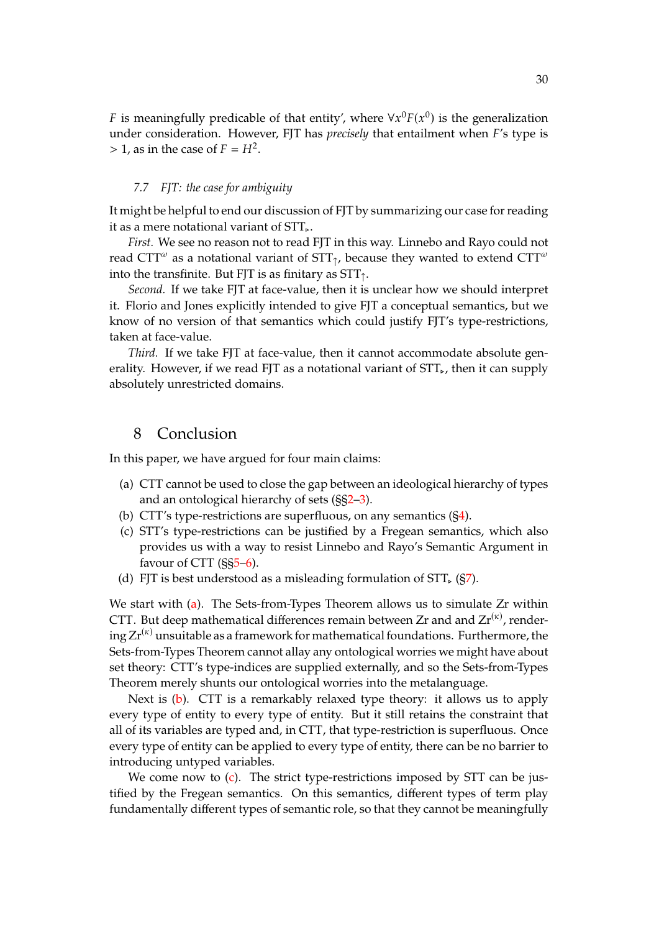*F* is meaningfully predicable of that entity', where  $\forall x^0 F(x^0)$  is the generalization under consideration. However, EIT has *precisely that entailment when*  $F(x)$  type is under consideration. However, FJT has *precisely* that entailment when F's type is  $> 1$ , as in the case of  $F = H^2$ .

#### <span id="page-29-0"></span>*7.7 FJT: the case for ambiguity*

It might be helpful to end our discussion of FJT by summarizing our case for reading it as a mere notational variant of STT⊲.

*First.* We see no reason not to read FJT in this way. Linnebo and Rayo could not read CTT $^\omega$  as a notational variant of STT<sub>↑</sub>, because they wanted to extend CTT $^\omega$ into the transfinite. But FJT is as finitary as  $STT<sub>1</sub>$ .

*Second.* If we take FJT at face-value, then it is unclear how we should interpret it. Florio and Jones explicitly intended to give FJT a conceptual semantics, but we know of no version of that semantics which could justify FJT's type-restrictions, taken at face-value.

*Third.* If we take FJT at face-value, then it cannot accommodate absolute generality. However, if we read FJT as a notational variant of STT,, then it can supply absolutely unrestricted domains.

## 8 Conclusion

In this paper, we have argued for four main claims:

- <span id="page-29-1"></span>(a) CTT cannot be used to close the gap between an ideological hierarchy of types and an ontological hierarchy of sets (§[§2–](#page-3-0)[3\)](#page-7-0).
- <span id="page-29-2"></span>(b) CTT's type-restrictions are superfluous, on any semantics ([§4\)](#page-11-0).
- <span id="page-29-3"></span>(c) STT's type-restrictions can be justified by a Fregean semantics, which also provides us with a way to resist Linnebo and Rayo's Semantic Argument in favour of CTT (§[§5–](#page-14-0)[6\)](#page-19-0).
- <span id="page-29-4"></span>(d) FJT is best understood as a misleading formulation of  $STT_{\epsilon}$  ([§7\)](#page-21-0).

We start with [\(a\)](#page-29-1). The Sets-from-Types Theorem allows us to simulate Zr within CTT. But deep mathematical differences remain between Zr and and  $Zr^{(\kappa)}$ , rendering  $Zr^{(\kappa)}$  unsuitable as a framework for mathematical foundations. Furthermore, the Sets-from-Types Theorem cannot allay any ontological worries we might have about set theory: CTT's type-indices are supplied externally, and so the Sets-from-Types Theorem merely shunts our ontological worries into the metalanguage.

Next is [\(b\)](#page-29-2). CTT is a remarkably relaxed type theory: it allows us to apply every type of entity to every type of entity. But it still retains the constraint that all of its variables are typed and, in CTT, that type-restriction is superfluous. Once every type of entity can be applied to every type of entity, there can be no barrier to introducing untyped variables.

We come now to [\(c\)](#page-29-3). The strict type-restrictions imposed by STT can be justified by the Fregean semantics. On this semantics, different types of term play fundamentally different types of semantic role, so that they cannot be meaningfully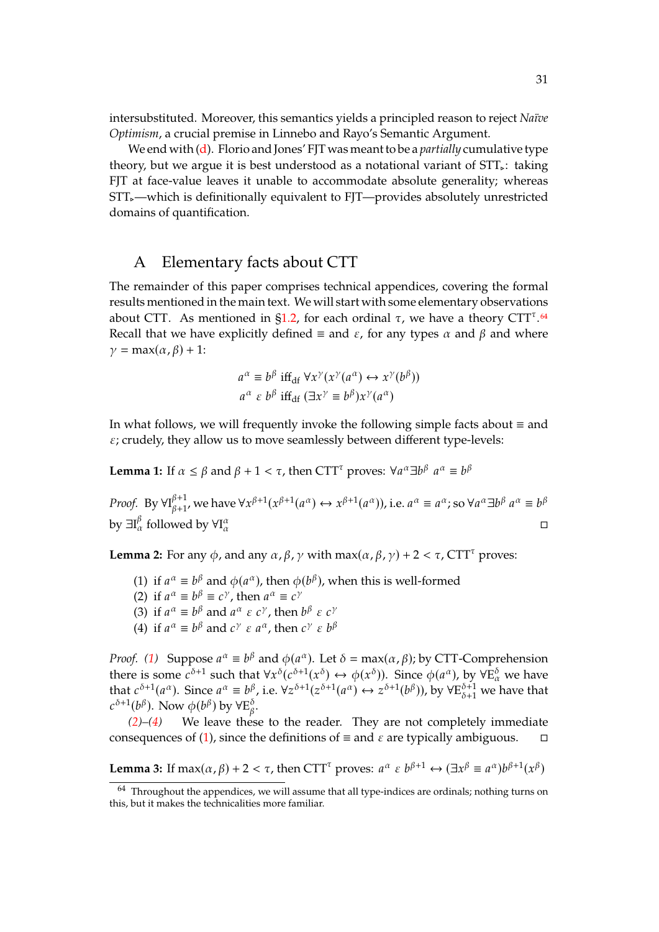intersubstituted. Moreover, this semantics yields a principled reason to reject *Naïve Optimism*, a crucial premise in Linnebo and Rayo's Semantic Argument.

We end with [\(d\)](#page-29-4). Florio and Jones' FJT was meant to be a *partially* cumulative type theory, but we argue it is best understood as a notational variant of  $STT_{\epsilon}$ : taking FJT at face-value leaves it unable to accommodate absolute generality; whereas STT<sub></sub>-which is definitionally equivalent to FJT—provides absolutely unrestricted domains of quantification.

## <span id="page-30-1"></span>A Elementary facts about CTT

The remainder of this paper comprises technical appendices, covering the formal results mentioned in the main text. We will start with some elementary observations about CTT. As mentioned in  $\S1.2$ , for each ordinal  $\tau$ , we have a theory CTT<sup> $\tau$ </sup>.<sup>[64](#page-30-3)</sup> Recall that we have explicitly defined  $\equiv$  and  $\varepsilon$ , for any types  $\alpha$  and  $\beta$  and where  $\gamma = \max(\alpha, \beta) + 1$ :

$$
a^{\alpha} \equiv b^{\beta} \text{ iff}_{\text{df}} \forall x^{\gamma}(x^{\gamma}(a^{\alpha}) \leftrightarrow x^{\gamma}(b^{\beta}))
$$
  

$$
a^{\alpha} \varepsilon b^{\beta} \text{ iff}_{\text{df}} (\exists x^{\gamma} \equiv b^{\beta}) x^{\gamma}(a^{\alpha})
$$

In what follows, we will frequently invoke the following simple facts about ≡ and  $\varepsilon$ ; crudely, they allow us to move seamlessly between different type-levels:

<span id="page-30-2"></span>**Lemma 1:** If  $\alpha \leq \beta$  and  $\beta + 1 < \tau$ , then CTT<sup> $\tau$ </sup> proves:  $\forall a^{\alpha} \exists b^{\beta}$  $a^{\alpha} \equiv b^{\beta}$ 

*Proof.* By  $\forall I_{\beta+1}^{\beta+1}$  ${}_{\beta+1}^{\beta+1}$ , we have  $\forall x^{\beta+1}(x^{\beta+1}(a^{\alpha}) \leftrightarrow x^{\beta+1}(a^{\alpha}))$ , i.e.  $a^{\alpha} \equiv a^{\alpha}$ ; so  $\forall a^{\alpha} \exists b^{\beta}$  $a^{\alpha} \equiv b^{\beta}$ by  $\exists I_{\alpha}^{\beta}$  followed by  $\forall I_{\alpha}^{\alpha}$  $\alpha$  and  $\alpha$ 

<span id="page-30-4"></span><span id="page-30-0"></span>**Lemma 2:** For any  $\phi$ , and any  $\alpha$ ,  $\beta$ ,  $\gamma$  with max( $\alpha$ ,  $\beta$ ,  $\gamma$ ) + 2 <  $\tau$ , CTT<sup> $\tau$ </sup> proves:

- (1) if  $a^{\alpha} \equiv b^{\beta}$  and  $\phi(a^{\alpha})$ , then  $\phi(b^{\beta})$ , when this is well-formed<br>(2) if  $a^{\alpha} = b^{\beta} = c^{\gamma}$  then  $a^{\alpha} = c^{\gamma}$
- <span id="page-30-5"></span>(2) if  $a^{\alpha} \equiv b^{\beta} \equiv c^{\gamma}$ , then  $a^{\alpha} \equiv c^{\gamma}$ <br>(3) if  $a^{\alpha} = b^{\beta}$  and  $a^{\alpha} \in c^{\gamma}$  then
- (3) if  $a^{\alpha} \equiv b^{\beta}$  and  $a^{\alpha} \in c^{\gamma}$ , then  $b^{\beta} \in c^{\gamma}$ <br>(4) if  $a^{\alpha} = b^{\beta}$  and  $c^{\gamma} \in a^{\alpha}$ , then  $c^{\gamma} \in b^{\beta}$
- <span id="page-30-6"></span>(4) if  $a^{\alpha} \equiv b^{\beta}$  and  $c^{\gamma} \varepsilon a^{\alpha}$ , then  $c^{\gamma} \varepsilon b^{\beta}$

*Proof.* [\(1\)](#page-30-4) Suppose a<br>thoro is some  $e^{\delta+1}$  su  $\alpha \equiv b^{\beta}$  and  $\phi(a^{\alpha})$ . Let  $\delta = \max(\alpha, \beta)$ ; by CTT-Comprehension<br>ch that  $\forall x \delta(\alpha \delta + 1(\alpha \delta) \leftrightarrow \phi(\alpha \delta))$ . Since  $\phi(a^{\alpha})$  by  $\forall E^{\delta}$  we have there is some  $c^{\delta+1}$  such that  $\forall x^{\delta}(c^{\delta+1}(x^{\delta}) \leftrightarrow \phi(x^{\delta}))$ . Since  $\phi(a^{\alpha})$ , by  $\forall E_{\alpha}^{\delta}$  we have that  $c^{\delta+1}(a^{\alpha})$ . Since  $a^{\alpha} \equiv b^{\beta}$ , i.e.  $\forall z^{\delta+1}(z^{\delta+1}(a^{\alpha}) \leftrightarrow z^{\delta+1}(b^{\beta}))$ , by  $\forall E_{\delta+1}^{\delta+1}$  we have that  $\delta^{+1}(b^{\beta})$ . Now  $\phi(b^{\beta})$  by  $\forall E^{\delta}_{\beta}$ ο<br>β.

*[\(2\)](#page-30-5)–[\(4\)](#page-30-6)* We leave these to the reader. They are not completely immediate consequences of [\(1\)](#page-30-4), since the definitions of  $\equiv$  and  $\varepsilon$  are typically ambiguous.  $\Box$ 

<span id="page-30-7"></span>**Lemma 3:** If  $\max(\alpha, \beta) + 2 < \tau$ , then CTT<sup> $\tau$ </sup> proves:  $a^{\alpha} \in b^{\beta+1} \leftrightarrow (\exists x^{\beta} \equiv a^{\alpha})b^{\beta+1}(x^{\beta})$ 

<span id="page-30-3"></span><sup>&</sup>lt;sup>64</sup> Throughout the appendices, we will assume that all type-indices are ordinals; nothing turns on this, but it makes the technicalities more familiar.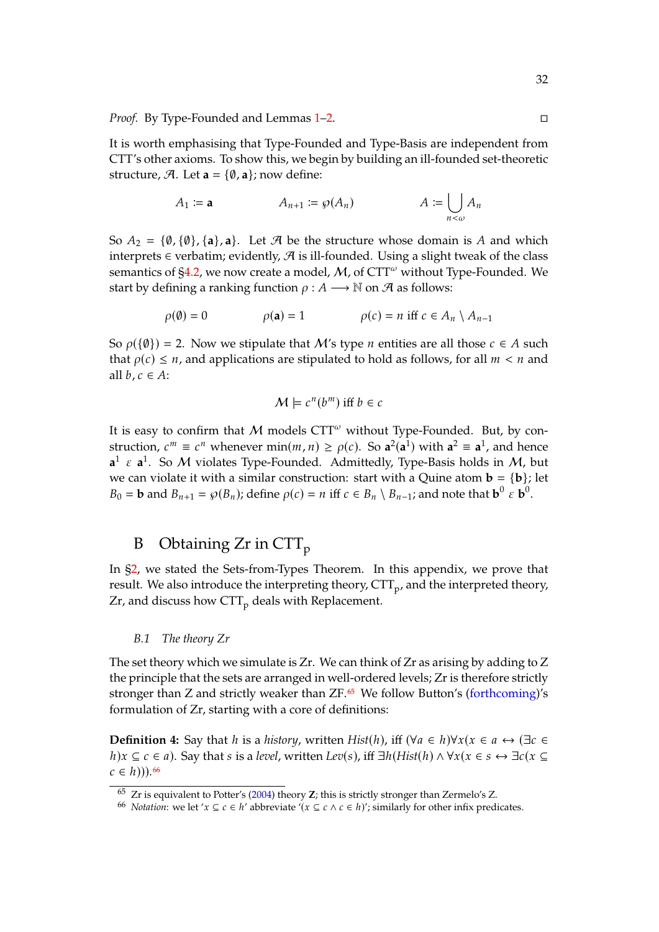*Proof.* By Type-Founded and Lemmas [1](#page-30-2)[–2.](#page-30-0)

It is worth emphasising that Type-Founded and Type-Basis are independent from CTT's other axioms. To show this, we begin by building an ill-founded set-theoretic structure,  $\mathcal{A}$ . Let  $\mathbf{a} = \{\emptyset, \mathbf{a}\}\;$  now define:

$$
A_1 := \mathbf{a} \qquad A_{n+1} := \wp(A_n) \qquad A := \bigcup_{n < \omega} A_n
$$

So  $A_2 = \{\emptyset, \{\emptyset\}, \{\mathbf{a}\}, \mathbf{a}\}.$  Let  $\mathcal{A}$  be the structure whose domain is A and which interprets ∈ verbatim; evidently,  $\mathcal A$  is ill-founded. Using a slight tweak of the class semantics of  $\S4.2$ , we now create a model, M, of CTT<sup>ω</sup> without Type-Founded. We start by defining a ranking function  $\rho : A \longrightarrow \mathbb{N}$  on  $\mathcal{A}$  as follows:

$$
\rho(\emptyset) = 0 \qquad \rho(\mathbf{a}) = 1 \qquad \rho(c) = n \text{ iff } c \in A_n \setminus A_{n-1}
$$

So  $\rho({\{\emptyset\}}) = 2$ . Now we stipulate that *M*'s type *n* entities are all those  $c \in A$  such that  $\rho(c) \leq n$ , and applications are stipulated to hold as follows, for all  $m < n$  and all  $b, c \in A$ :

$$
\mathcal{M} \models c^n(b^m) \text{ iff } b \in c
$$

It is easy to confirm that  $M$  models CTT<sup> $\omega$ </sup> without Type-Founded. But, by construction,  $c^m \equiv c^n$  whenever  $\min(m, n) \ge \rho(c)$ . So  $\mathbf{a}^2(\mathbf{a}^1)$  with  $\mathbf{a}^2 \equiv \mathbf{a}^1$ , and hence  $a^1 \varepsilon a^1$ . So M violates Type-Founded. Admittedly, Type-Basis holds in M, but we can violate it with a similar construction: start with a Quine atom  $\mathbf{b} = {\mathbf{b}}$ ; let  $B_0 = \mathbf{b}$  and  $B_{n+1} = \wp(B_n)$ ; define  $\rho(c) = n$  iff  $c \in B_n \setminus B_{n-1}$ ; and note that  $\mathbf{b}^0 \in \mathbf{b}^0$ .

## <span id="page-31-0"></span>B Obtaining Zr in  $\text{CTT}_p$

In [§2,](#page-3-0) we stated the Sets-from-Types Theorem. In this appendix, we prove that result. We also introduce the interpreting theory, CTT<sub>p</sub>, and the interpreted theory,  $Zr$ , and discuss how  $\text{CTT}_p$  deals with Replacement.

#### *B.1 The theory Zr*

<span id="page-31-1"></span>The set theory which we simulate is Zr. We can think of Zr as arising by adding to Z the principle that the sets are arranged in well-ordered levels; Zr is therefore strictly stronger than  $Z$  and strictly weaker than  $ZF.65$  $ZF.65$  We follow Button's [\(forthcoming\)](#page-44-10)'s formulation of Zr, starting with a core of definitions:

<span id="page-31-4"></span>**Definition 4:** Say that *h* is a *history*, written *Hist*(*h*), iff ( $\forall a \in h$ ) $\forall x (x \in a \leftrightarrow (\exists c \in a)$ *h*) $x \subseteq c \in a$ ). Say that s is a *level*, written *Lev*(s), iff  $\exists h(Hist(h) \land \forall x (x \in s \leftrightarrow \exists c (x \subseteq s))$  $c \in h$ )).<sup>[66](#page-31-3)</sup>

<span id="page-31-2"></span><sup>65</sup> Zr is equivalent to Potter's [\(2004\)](#page-45-5) theory **Z**; this is strictly stronger than Zermelo's Z.

<span id="page-31-3"></span><sup>66</sup> *Notation*: we let ' $x \subseteq c \in h'$  abbreviate ' $(x \subseteq c \land c \in h)$ '; similarly for other infix predicates.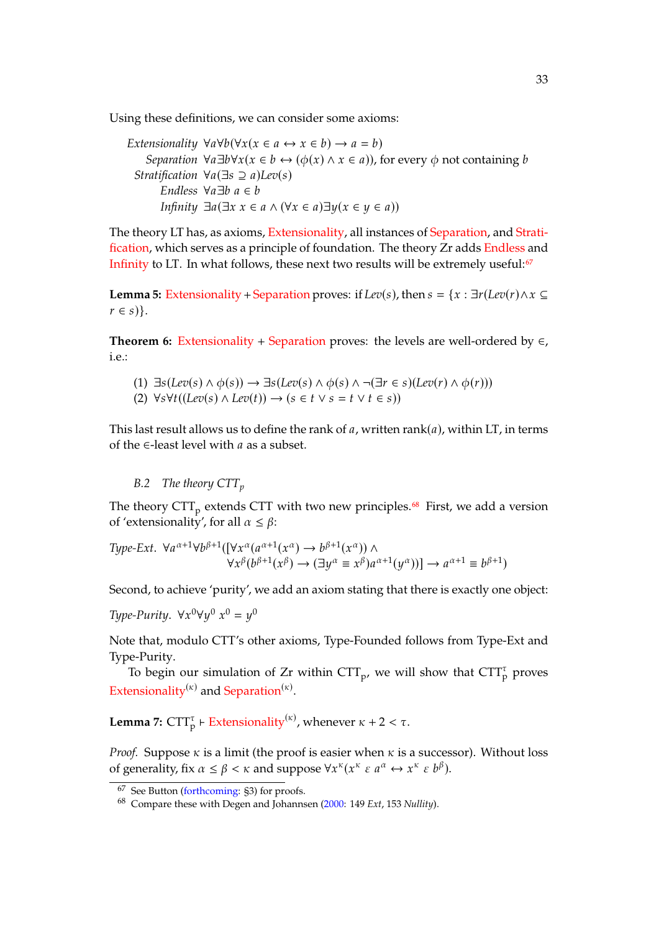Using these definitions, we can consider some axioms:

*Extensionality*  $\forall a \forall b (\forall x (x \in a \leftrightarrow x \in b) \rightarrow a = b)$ *Separation*  $\forall a \exists b \forall x (x \in b \leftrightarrow (\phi(x) \land x \in a))$ , for every  $\phi$  not containing b *Stratification*  $\forall a (\exists s \supseteq a)$ *Lev*(s) *Endless* ∀a∃b a ∈ b *Infinity*  $\exists a(\exists x \ x \in a \land (\forall x \in a) \exists y(x \in y \in a))$ 

The theory LT has, as axioms, [Extensionality,](#page-31-4) all instances of [Separation,](#page-31-4) and [Strati](#page-31-4)[fication,](#page-31-4) which serves as a principle of foundation. The theory Zr adds [Endless](#page-31-4) and [Infinity](#page-31-4) to LT. In what follows, these next two results will be extremely useful: $67$ 

<span id="page-32-3"></span>**Lemma 5:** [Extensionality](#page-31-4) + [Separation](#page-31-4) proves: if  $Lev(s)$ , then  $s = \{x : \exists r(Lev(r) \land x \subseteq s \land w(r))\}$  $r \in s$ ).

<span id="page-32-4"></span>**Theorem 6:** [Extensionality](#page-31-4) + [Separation](#page-31-4) proves: the levels are well-ordered by  $\in$ , i.e.:

(1)  $\exists s(Lev(s) \land \phi(s)) \rightarrow \exists s(Lev(s) \land \phi(s) \land \neg(\exists r \in s)(Lev(r) \land \phi(r)))$ (2)  $\forall s \forall t ((Lev(s) \land Lev(t)) \rightarrow (s \in t \lor s = t \lor t \in s))$ 

This last result allows us to define the rank of  $a$ , written rank $(a)$ , within LT, in terms of the  $\in$ -least level with a as a subset.

<span id="page-32-0"></span>B.2 The theory 
$$
CTT_p
$$

The theory  $\text{CTT}_p$  extends CTT with two new principles.<sup>[68](#page-32-2)</sup> First, we add a version of 'extensionality', for all  $\alpha \leq \beta$ :

$$
\begin{aligned} \textit{Type-Ext.} \ \ \forall a^{\alpha+1} \forall b^{\beta+1}([\forall x^{\alpha}(a^{\alpha+1}(x^{\alpha}) \to b^{\beta+1}(x^{\alpha})) \land \\ \forall x^{\beta}(b^{\beta+1}(x^{\beta}) \to (\exists y^{\alpha} \equiv x^{\beta}) a^{\alpha+1}(y^{\alpha}))] \to a^{\alpha+1} \equiv b^{\beta+1}) \end{aligned}
$$

Second, to achieve 'purity', we add an axiom stating that there is exactly one object:

*Type-Purity*.  $\forall x^0 \forall y^0 x^0 = y^0$ 

Note that, modulo CTT's other axioms, Type-Founded follows from Type-Ext and Type-Purity.

To begin our simulation of Zr within  $CTT_p$ , we will show that  $CTT_p^{\tau}$  proves [Extensionality](#page-31-4)<sup>( $\kappa$ )</sup> and [Separation](#page-31-4)<sup>( $\kappa$ )</sup>.

<span id="page-32-5"></span>**Lemma 7:**  $\text{CTT}_{p}^{\tau}$   $\vdash$  [Extensionality](#page-31-4)<sup>( $\kappa$ )</sup>, whenever  $\kappa + 2 < \tau$ .

*Proof.* Suppose  $\kappa$  is a limit (the proof is easier when  $\kappa$  is a successor). Without loss of generality, fix  $\alpha \le \beta < \kappa$  and suppose  $\forall x^{\kappa} (x^{\kappa} \varepsilon a^{\alpha} \leftrightarrow x^{\kappa} \varepsilon b^{\beta})$ .

<span id="page-32-1"></span><sup>67</sup> See Button [\(forthcoming:](#page-44-10) §3) for proofs.

<span id="page-32-2"></span><sup>68</sup> Compare these with Degen and Johannsen [\(2000:](#page-44-3) 149 *Ext*, 153 *Nullity*).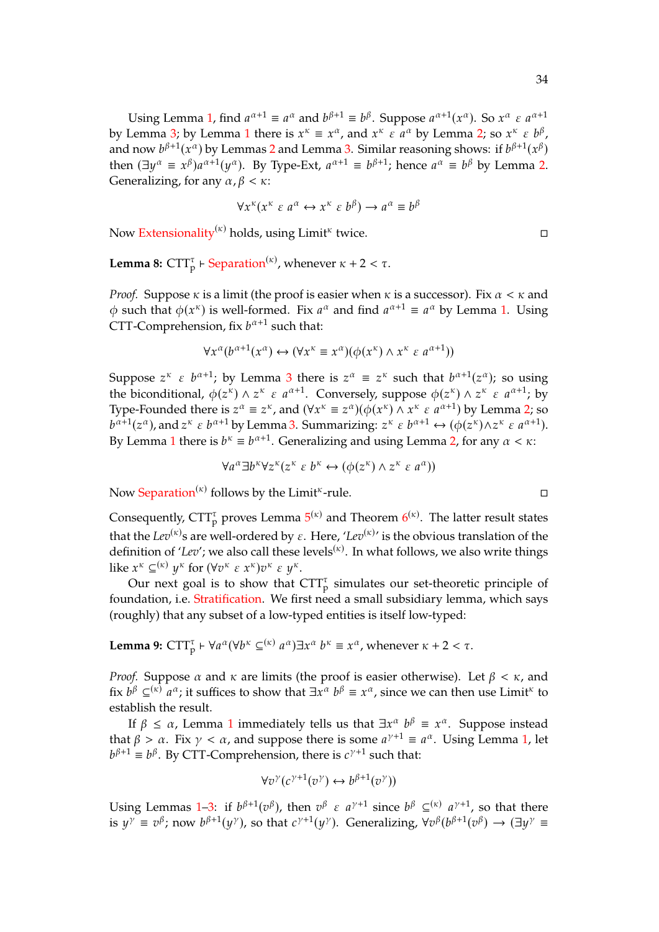Using Lemma [1,](#page-30-2) find  $a^{\alpha+1} \equiv a^{\alpha}$  and  $b^{\beta+1} \equiv b^{\beta}$ . Suppose  $a^{\alpha+1}(x^{\alpha})$ . So  $x^{\alpha} \in a^{\alpha+1}$ <br>Lemma 3: by Lemma 1 there is  $x^{\kappa} = x^{\alpha}$  and  $x^{\kappa} \in a^{\alpha}$  by Lemma 3: so  $x^{\kappa} \in b^{\beta}$ by Lemma [3;](#page-30-7) by Lemma [1](#page-30-2) there is  $x^k \equiv x^{\alpha}$ , and  $x^k \in a^{\alpha}$  by Lemma [2;](#page-30-0) so  $x^k \in b^{\beta}$ ,<br>and now  $b^{\beta+1}(x^{\alpha})$  by Lemmas 2 and Lemma 3. Similar reasoning shows: if  $b^{\beta+1}(x^{\beta})$ and now  $b^{\beta+1}(x^{\alpha})$  by Lemmas [2](#page-30-0) and Lemma [3.](#page-30-7) Similar reasoning shows: if  $b^{\beta+1}(x^{\beta})$ <br>then  $(\exists u^{\alpha} = x^{\beta})e^{\alpha+1}(u^{\alpha})$ . By Type Ext.  $e^{\alpha+1} = b^{\beta+1}$ ; hence  $e^{\alpha} = b^{\beta}$  by Lemma 2. then  $(\exists y^{\alpha} \equiv x^{\beta})a^{\alpha+1}(y^{\alpha})$ . By Type-Ext,  $a^{\alpha+1} \equiv b^{\beta+1}$ ; hence  $a^{\alpha} \equiv b^{\beta}$  by Lemma [2.](#page-30-0) Generalizing, for any  $\alpha$ ,  $\beta < \kappa$ :

$$
\forall x^{\kappa}(x^{\kappa} \varepsilon a^{\alpha} \leftrightarrow x^{\kappa} \varepsilon b^{\beta}) \rightarrow a^{\alpha} \equiv b^{\beta}
$$

Now [Extensionality](#page-31-4)<sup>( $\kappa$ )</sup> holds, using Limit<sup> $\kappa$ </sup> twice.

**Lemma 8:**  $CTT_p^{\tau}$  + [Separation](#page-31-4)<sup> $(\kappa)$ </sup>, whenever  $\kappa + 2 < \tau$ .

*Proof.* Suppose  $\kappa$  is a limit (the proof is easier when  $\kappa$  is a successor). Fix  $\alpha < \kappa$  and  $\phi$  such that  $\phi(x^k)$  is well-formed. Fix  $a^{\alpha}$  and find  $a^{\alpha+1} \equiv a^{\alpha}$  by Lemma [1.](#page-30-2) Using CTT-Comprehension, fix  $b^{\alpha+1}$  such that:

$$
\forall x^{\alpha}(b^{\alpha+1}(x^{\alpha}) \leftrightarrow (\forall x^{\kappa} \equiv x^{\alpha})(\phi(x^{\kappa}) \land x^{\kappa} \varepsilon a^{\alpha+1}))
$$

Suppose  $z^k \varepsilon b^{\alpha+1}$ ; by Lemma [3](#page-30-7) there is  $z^{\alpha} \equiv z^{\kappa}$  such that  $b^{\alpha+1}(z^{\alpha})$ ; so using<br>the bisonditional  $\phi(z^{\kappa}) \wedge z^{\kappa} \varepsilon a^{\alpha+1}$ . Conversely suppose  $\phi(z^{\kappa}) \wedge z^{\kappa} \varepsilon a^{\alpha+1}$ ; by the biconditional,  $\phi(z^k) \wedge z^k \in a^{\alpha+1}$ . Conversely, suppose  $\phi(z^k) \wedge z^k \in a^{\alpha+1}$ ; by Type-Founded there is  $z^{\alpha} \equiv z^{\kappa}$ , and  $(\forall x^{\kappa} \equiv z^{\alpha})(\phi(x^{\kappa}) \wedge x^{\kappa} \varepsilon a^{\alpha+1})$  by Lemma [2;](#page-30-0) so  $a^{\alpha+1}$ ,  $(\forall x^{\alpha})$  and  $\forall x^{\kappa} \in a^{\alpha+1}$ ,  $(\forall x^{\alpha})$  and  $(\forall x^{\kappa})$  and  $(\forall x^{\kappa})$  and  $(\forall x^{\kappa})$  and  $(\forall x^{\kappa})$  a By Lemma [1](#page-30-2) there is  $b^k \equiv b^{\alpha+1}$ . Generalizing and using Lemma [2,](#page-30-0) for any  $\alpha < \kappa$ :  $\alpha+1(z^{\alpha})$ , and  $z^{\kappa} \varepsilon b^{\alpha+1}$  by Lemma [3.](#page-30-7) Summarizing:  $z^{\kappa} \varepsilon b^{\alpha+1} \leftrightarrow (\phi(z^{\kappa}) \wedge z^{\kappa} \varepsilon a^{\alpha+1})$ .

$$
\forall a^{\alpha} \exists b^{\kappa} \forall z^{\kappa} (z^{\kappa} \varepsilon b^{\kappa} \leftrightarrow (\phi(z^{\kappa}) \wedge z^{\kappa} \varepsilon a^{\alpha}))
$$

Now [Separation](#page-31-4)<sup> $(\kappa)$ </sup> follows by the Limit<sup> $\kappa$ </sup>-rule.

Consequently,  $CTT_p^{\tau}$  proves Lemma  $5^{(\kappa)}$  $5^{(\kappa)}$  and Theorem  $6^{(\kappa)}$  $6^{(\kappa)}$ . The latter result states that the  $Lev^{(\kappa)}$ s are well-ordered by  $\varepsilon$ . Here, ' $Lev^{(\kappa)}$ ' is the obvious translation of the definition of '*Lev*'; we also call these levels<sup> $(x)$ </sup>. In what follows, we also write things like  $x^k \subseteq^{(k)} y^k$  for  $(\forall v^k \in x^k) v^k \in y^k$ .<br>Our port coal is to show that  $\ell$ 

Our next goal is to show that  $CTT_p^{\tau}$  simulates our set-theoretic principle of foundation, i.e. [Stratification.](#page-31-4) We first need a small subsidiary lemma, which says (roughly) that any subset of a low-typed entities is itself low-typed:

<span id="page-33-0"></span>**Lemma 9:**  $CTT_p^{\tau} \vdash \forall a^{\alpha} (\forall b^{\kappa} \subseteq^{(\kappa)}$  $\alpha$ ) $\exists x^{\alpha}$  $b^{\kappa} \equiv x^{\alpha}$ , whenever  $\kappa + 2 < \tau$ .

*Proof.* Suppose  $\alpha$  and  $\kappa$  are limits (the proof is easier otherwise). Let  $\beta < \kappa$ , and fix  $b^{\beta} \subseteq^{(\kappa)} a^{\alpha}$ ; it suffices to show that  $\exists x^{\alpha}$  $\frac{1}{2}$  and  $\frac{1}{2}$  establish the result.  $b^{\beta} \equiv x^{\alpha}$ , since we can then use Limit<sup> $\kappa$ </sup> to

If  $\beta \le \alpha$ , Lemma [1](#page-30-2) immediately tells us that  $\exists x^{\alpha} b^{\beta} \equiv x^{\alpha}$ . Suppose instead that  $\beta > \alpha$ . Fix  $\gamma < \alpha$ , and suppose there is some  $a^{\gamma+1} \equiv a^{\alpha}$ . Using Lemma [1,](#page-30-2) let  $b^{\beta+1} \equiv b^{\beta}$ . By CTT-Comprehension, there is  $c^{\gamma+1}$  such that:

$$
\forall v^{\gamma}(c^{\gamma+1}(v^{\gamma}) \leftrightarrow b^{\beta+1}(v^{\gamma}))
$$

Using Lemmas [1–](#page-30-2)[3:](#page-30-7) if  $b^{\beta+1}(v^{\beta})$ , then  $v^{\beta} \in a^{\gamma+1}$  since  $b^{\beta} \subseteq^{(\kappa)} a^{\gamma+1}$ , so that there is  $y^{\gamma} \equiv v^{\beta}$ ; now  $b^{\beta+1}(y^{\gamma})$ , so that  $c^{\gamma+1}(y^{\gamma})$ . Generalizing,  $\forall v^{\beta}(b^{\beta+1}(v^{\beta}) \rightarrow (\exists y^{\gamma})^{\beta}$ 

$$
\Box
$$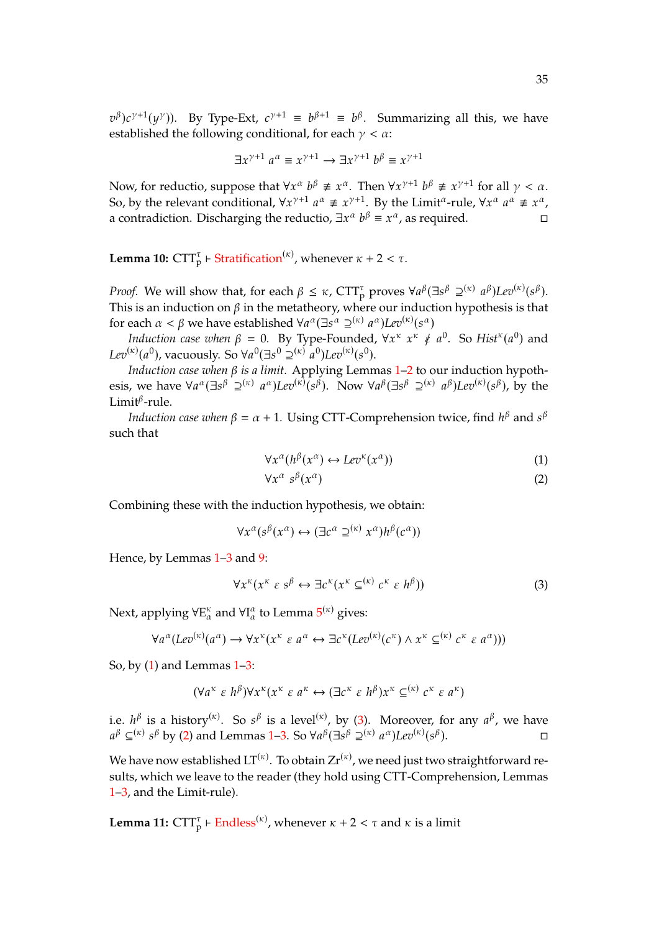established the following conditional, for each  $\gamma < \alpha$ :  $\beta$ ) $c^{\gamma+1}(y^{\gamma})$ ). By Type-Ext,  $c^{\gamma+1} \equiv b^{\beta+1} \equiv b^{\beta}$ . Summarizing all this, we have

$$
\exists x^{\gamma+1} \ a^{\alpha} \equiv x^{\gamma+1} \rightarrow \exists x^{\gamma+1} \ b^{\beta} \equiv x^{\gamma+1}
$$

Now, for reductio, suppose that  $\forall x^{\alpha} b^{\beta} \not\equiv x^{\alpha}$ . Then  $\forall x^{\gamma+1} b^{\beta} \not\equiv x^{\gamma+1}$  for all  $\gamma < \alpha$ .<br>So by the relevant conditional  $\forall x^{\gamma+1} a^{\alpha} \neq x^{\gamma+1}$ . By the Limit<sup>a</sup> rule  $\forall x^{\alpha} a^{\alpha} \neq x^{\alpha}$ . So, by the relevant conditional,  $\forall x^{\gamma+1} \ a^{\alpha} \not\equiv x^{\gamma+1}$ . By the Limit<sup> $\alpha$ </sup>-rule,  $\forall x^{\alpha}$ a contradiction. Discharging the reductio,  $\exists x^{\alpha}$  $a^{\alpha} \neq x^{\alpha}$  $b^{\beta} \equiv x^{\alpha}$ , as required.

<span id="page-34-3"></span>**Lemma 10:**  $\text{CTT}_{p}^{\tau}$   $\vdash$  [Stratification](#page-31-4)<sup>( $\kappa$ )</sup>, whenever  $\kappa + 2 < \tau$ .

*Proof.* We will show that, for each  $\beta \leq \kappa$ ,  $CTT_p^{\tau}$  proves  $\forall a^{\beta}(\exists s^{\beta} \supseteq^{(\kappa)} a^{\beta})Lev^{(\kappa)}(s^{\beta})$ .<br>This is an induction on  $\beta$  in the motatheory where our induction hypothesis is that This is an induction on  $\beta$  in the metatheory, where our induction hypothesis is that for each  $\alpha < \beta$  we have established  $\forall a^{\alpha} (\exists s^{\alpha} \supseteq^{(\kappa)} a^{\alpha}) Lev^{(\kappa)}(s^{\alpha})$ <br>*Induction case when*  $\beta = 0$ , By Type Founded  $\forall x^{\kappa} \notin \mathcal{F}$ 

*Induction case when*  $\beta = 0$ . By Type-Founded,  $\forall x^k$ <br>  $\binom{k}{k}(a^0)$ , vacuously So  $\forall a^0(\exists a^0 \neg (k), a^0)$   $\binom{n}{k}(a^0)$  $\kappa \notin a^0$ . So  $Hist^{\kappa}(a^0)$  and Lev<sup>( $\kappa$ )</sup>( $a^0$ ), vacuously. So  $\forall a^0 (\exists s^0 \geq^{(\kappa)} a^0)$ Lev<sup>( $\kappa$ )</sup>( $s^0$ ).

*Induction case when*  $\beta$  *is a limit.* Applying Lemmas [1–](#page-30-2)[2](#page-30-0) to our induction hypothesis, we have  $\forall a^{\alpha} (\exists s^{\beta} \supseteq^{(\kappa)}))$  $\alpha$ )*Lev*<sup>( $\kappa$ )( $S^{\beta}$ ). Now  $\forall a^{\beta}(\exists s^{\beta} \supseteq^{(\kappa)})$ </sup>  $^{\beta}$ )*Lev*<sup>( $\kappa$ )( $s^{\beta}$ ), by the</sup> Limit $^{\beta}$ -rule.

*Induction case when*  $\beta = \alpha + 1$ . Using CTT-Comprehension twice, find  $h^{\beta}$  and  $s^{\beta}$ such that

<span id="page-34-0"></span>
$$
\forall x^{\alpha}(h^{\beta}(x^{\alpha}) \leftrightarrow Lev^{\kappa}(x^{\alpha})) \tag{1}
$$

<span id="page-34-2"></span><span id="page-34-1"></span>
$$
\forall x^{\alpha} \ s^{\beta}(x^{\alpha}) \tag{2}
$$

Combining these with the induction hypothesis, we obtain:

$$
\forall x^{\alpha}(s^{\beta}(x^{\alpha}) \leftrightarrow (\exists c^{\alpha} \supseteq^{(\kappa)} x^{\alpha})h^{\beta}(c^{\alpha}))
$$

Hence, by Lemmas  $1-3$  $1-3$  and [9:](#page-33-0)

$$
\forall x^{\kappa}(x^{\kappa} \varepsilon s^{\beta} \leftrightarrow \exists c^{\kappa}(x^{\kappa} \subseteq^{(\kappa)} c^{\kappa} \varepsilon h^{\beta}))
$$
 (3)

Next, applying  $\forall \textnormal{E}_\alpha^\kappa$  and  $\forall \textnormal{I}_\alpha^\alpha$  to Lemma  $5^{(\kappa)}$  $5^{(\kappa)}$  gives:

$$
\forall a^{\alpha}(Lev^{(\kappa)}(a^{\alpha}) \to \forall x^{\kappa}(x^{\kappa} \varepsilon a^{\alpha} \leftrightarrow \exists c^{\kappa}(Lev^{(\kappa)}(c^{\kappa}) \wedge x^{\kappa} \subseteq^{(\kappa)} c^{\kappa} \varepsilon a^{\alpha})))
$$

So, by  $(1)$  and Lemmas  $1-3$ :

$$
(\forall a^{\kappa} \varepsilon \; h^{\beta}) \forall x^{\kappa} (x^{\kappa} \varepsilon \; a^{\kappa} \leftrightarrow (\exists c^{\kappa} \varepsilon \; h^{\beta}) x^{\kappa} \subseteq^{(\kappa)} c^{\kappa} \varepsilon \; a^{\kappa})
$$

i.e.  $h^{\beta}$  is a history<sup>( $\kappa$ )</sup>. So  $s^{\beta}$  is a level<sup>( $\kappa$ )</sup>, by [\(3\)](#page-34-1). Moreover, for any  $a^{\beta}$ , we have  $\beta$   $\subset$ ( $\kappa$ )  $s^{\beta}$  by [\(2\)](#page-34-2) and Lemmas [1](#page-30-2)[–3.](#page-30-7) So  $\forall a^{\beta}(\exists s^{\beta} \supseteq^{(\kappa)})$  $\alpha$ )Lev<sup>( $\kappa$ )</sup>( $s^{\beta}$  $\Box$ 

We have now established  $LT^{(\kappa)}$ . To obtain  $Zr^{(\kappa)}$ , we need just two straightforward results, which we leave to the reader (they hold using CTT-Comprehension, Lemmas [1](#page-30-2)[–3,](#page-30-7) and the Limit-rule).

**Lemma 11:**  $\text{CTT}_{\text{p}}^{\tau}$  +  $\text{Endless}^{(\kappa)}$  $\text{Endless}^{(\kappa)}$  $\text{Endless}^{(\kappa)}$ , whenever  $\kappa + 2 < \tau$  and  $\kappa$  is a limit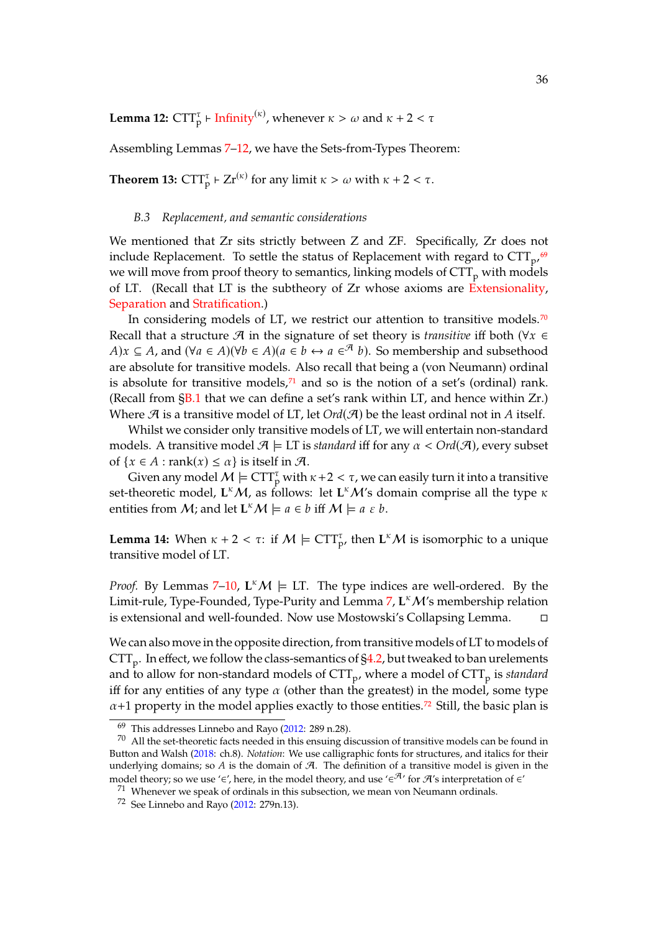<span id="page-35-1"></span>**Lemma 12:**  $CTT_p^{\tau}$   $\vdash$  [Infinity](#page-31-4)<sup>( $\kappa$ ), whenever  $\kappa > \omega$  and  $\kappa + 2 < \tau$ </sup>

Assembling Lemmas [7](#page-32-5)[–12,](#page-35-1) we have the Sets-from-Types Theorem:

<span id="page-35-0"></span>**Theorem 13:**  $CTT_p^{\tau}$  +  $Zr^{(\kappa)}$  for any limit  $\kappa > \omega$  with  $\kappa + 2 < \tau$ .

#### *B.3 Replacement, and semantic considerations*

We mentioned that Zr sits strictly between Z and ZF. Specifically, Zr does not include Replacement. To settle the status of Replacement with regard to  $CTT_{p'}$ <sup>[69](#page-35-2)</sup> we will move from proof theory to semantics, linking models of  $CTT<sub>p</sub>$  with models of LT. (Recall that LT is the subtheory of Zr whose axioms are [Extensionality,](#page-31-4) [Separation](#page-31-4) and [Stratification.](#page-31-4))

In considering models of LT, we restrict our attention to transitive models.<sup>[70](#page-35-3)</sup> Recall that a structure  $\mathcal A$  in the signature of set theory is *transitive* iff both ( $\forall x \in$ *A*) $x \subseteq A$ , and  $(\forall a \in A)(\forall b \in A)(a \in b \leftrightarrow a \in A)$ . So membership and subsethood are absolute for transitive models. Also recall that being a (von Neumann) ordinal is absolute for transitive models, $71$  and so is the notion of a set's (ordinal) rank. (Recall from  $\S 1$  that we can define a set's rank within LT, and hence within Zr.) Where  $\mathcal{A}$  is a transitive model of LT, let  $Ord(\mathcal{A})$  be the least ordinal not in A itself.

Whilst we consider only transitive models of LT, we will entertain non-standard models. A transitive model  $\mathcal{A} \models \text{LT}$  is *standard* iff for any  $\alpha < \text{Ord}(\mathcal{A})$ , every subset of  $\{x \in A : \text{rank}(x) \le \alpha\}$  is itself in  $\mathcal{A}$ .

Given any model  $M \models \text{CTT}_p^{\tau}$  with  $\kappa + 2 < \tau$ , we can easily turn it into a transitive set-theoretic model,  $L^{\kappa}M$ , as follows: let  $L^{\kappa}M'$ s domain comprise all the type  $\kappa$ entities from *M*; and let  $\mathbf{L}^k \mathcal{M} \models a \in b$  iff  $\mathcal{M} \models a \in b$ .

<span id="page-35-6"></span>**Lemma 14:** When  $\kappa + 2 < \tau$ : if  $M \models \text{CTT}_{p'}^{\tau}$ , then  $\text{L}^{\kappa}M$  is isomorphic to a unique transitive model of LT.

*Proof.* By Lemmas [7–](#page-32-5)[10,](#page-34-3)  $L^K M \models LT$ . The type indices are well-ordered. By the Limit-rule, Type-Founded, Type-Purity and Lemma [7,](#page-32-5) L<sup>k</sup> M's membership relation is extensional and well-founded. Now use Mostowski's Collapsing Lemma.

We can also move in the opposite direction, from transitive models of LT to models of  $\text{CTT}_\text{p}.$  In effect, we follow the class-semantics of [§4.2,](#page-13-3) but tweaked to ban urelements and to allow for non-standard models of CTT<sub>p</sub>, where a model of CTT<sub>p</sub> is *standard* iff for any entities of any type  $\alpha$  (other than the greatest) in the model, some type  $\alpha$ +1 property in the model applies exactly to those entities.<sup>[72](#page-35-5)</sup> Still, the basic plan is

<span id="page-35-3"></span><span id="page-35-2"></span><sup>69</sup> This addresses Linnebo and Rayo [\(2012:](#page-44-0) 289 n.28).

 $70$  All the set-theoretic facts needed in this ensuing discussion of transitive models can be found in Button and Walsh [\(2018:](#page-44-12) ch.8). *Notation*: We use calligraphic fonts for structures, and italics for their underlying domains; so  $A$  is the domain of  $A$ . The definition of a transitive model is given in the model theory; so we use '∈', here, in the model theory, and use '∈<sup> $\mathcal{A}'$ </sup> for  $\mathcal{A}'$ 's interpretation of ∈'

<span id="page-35-4"></span> $71$  Whenever we speak of ordinals in this subsection, we mean von Neumann ordinals.

<span id="page-35-5"></span><sup>72</sup> See Linnebo and Rayo [\(2012:](#page-44-0) 279n.13).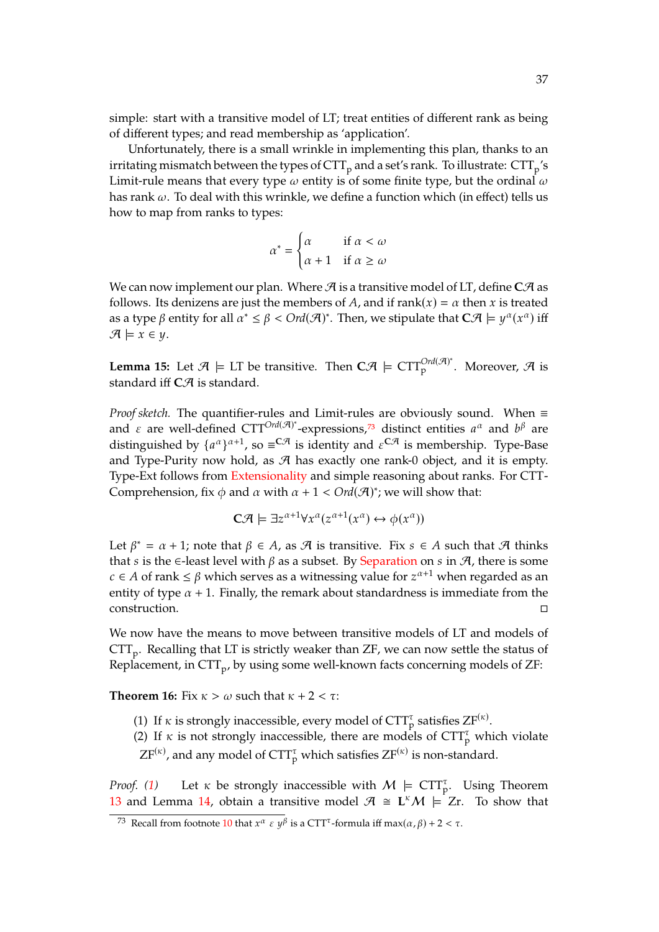simple: start with a transitive model of LT; treat entities of different rank as being of different types; and read membership as 'application'.

Unfortunately, there is a small wrinkle in implementing this plan, thanks to an irritating mismatch between the types of  $\mathrm{CTT}_\mathrm{p}$  and a set's rank. To illustrate:  $\mathrm{CTT}_\mathrm{p}{}'\mathrm{s}$ Limit-rule means that every type  $\omega$  entity is of some finite type, but the ordinal  $\omega$ has rank  $\omega$ . To deal with this wrinkle, we define a function which (in effect) tells us how to map from ranks to types:

$$
\alpha^* = \begin{cases} \alpha & \text{if } \alpha < \omega \\ \alpha + 1 & \text{if } \alpha \ge \omega \end{cases}
$$

We can now implement our plan. Where  $\mathcal A$  is a transitive model of LT, define  $C\mathcal A$  as follows. Its denizens are just the members of A, and if rank( $x$ ) =  $\alpha$  then x is treated as a type  $\beta$  entity for all  $\alpha^* \leq \beta < \text{Ord}(\mathcal{A})^*$ . Then, we stipulate that  $C\mathcal{A} \models y^{\alpha}(x^{\alpha})$  iff  $\mathcal{A} \models x \in \mathcal{Y}$ .

<span id="page-36-3"></span>**Lemma 15:** Let  $\mathcal{A} \models \text{LT}$  be transitive. Then  $\textbf{C}\mathcal{A} \models \text{CTT}_{p}^{\text{Ord}(\mathcal{A})^*}$ . Moreover,  $\mathcal{A}$  is standard iff  $C\mathcal{A}$  is standard.

*Proof sketch.* The quantifier-rules and Limit-rules are obviously sound. When ≡ and  $\epsilon$  are well-defined CTT<sup>Ord( $\mathcal{A}$ )<sup>\*</sup>-expressions,<sup>[73](#page-36-0)</sup> distinct entities  $a^{\alpha}$  and  $b^{\beta}$  are distincturished by  $[a^{\alpha}]^{\alpha+1}$ , so  $-C\mathcal{A}$  is identity and  $c^{CA}$  is membership. Type Base</sup> distinguished by  $\{a^{\alpha}\}^{\alpha+1}$ , so  $\equiv^{C\mathcal{A}}$  is identity and  $\varepsilon^{C\mathcal{A}}$  is membership. Type-Base and Type-Purity now hold, as  $\mathcal A$  has exactly one rank-0 object, and it is empty. Type-Ext follows from [Extensionality](#page-31-4) and simple reasoning about ranks. For CTT-Comprehension, fix  $\phi$  and  $\alpha$  with  $\alpha + 1 < \text{Ord}(\mathcal{A})^*$ ; we will show that:

$$
\mathbf{C}\mathcal{A} \models \exists z^{\alpha+1} \forall x^{\alpha} (z^{\alpha+1}(x^{\alpha}) \leftrightarrow \phi(x^{\alpha}))
$$

Let  $\beta^* = \alpha + 1$ ; note that  $\beta \in A$ , as  $\mathcal A$  is transitive. Fix  $s \in A$  such that  $\mathcal A$  thinks<br>that  $s$  is the  $\beta$  least level with  $\beta$  as a subset. By Separation on  $s$  in  $\mathcal A$  there is some that *s* is the ∈-least level with  $\beta$  as a subset. By [Separation](#page-31-4) on *s* in  $\mathcal{A}$ , there is some  $c \in A$  of rank  $\leq \beta$  which serves as a witnessing value for  $z^{\alpha+1}$  when regarded as an entity of type  $\alpha + 1$ . Finally, the remark about standardness is immediate from the entity of type  $\alpha$  + 1. Finally, the remark about standardness is immediate from the construction.

We now have the means to move between transitive models of LT and models of  $\text{CTT}_\text{p}.$  Recalling that LT is strictly weaker than ZF, we can now settle the status of Replacement, in CTT<sub>p</sub>, by using some well-known facts concerning models of ZF:

<span id="page-36-1"></span>**Theorem 16:** Fix  $\kappa > \omega$  such that  $\kappa + 2 < \tau$ :

- (1) If  $\kappa$  is strongly inaccessible, every model of  $CTT_p^{\tau}$  satisfies  $ZF^{(\kappa)}$ .
- <span id="page-36-2"></span>(2) If  $\kappa$  is not strongly inaccessible, there are models of  $CTT_p^{\tau}$  which violate  $ZF^{(\kappa)}$ , and any model of  $CTT_p^{\tau}$  which satisfies  $ZF^{(\kappa)}$  is non-standard.

*Proof.* [\(1\)](#page-36-1) Let  $\kappa$  be strongly inaccessible with  $M \models \text{CTT}_{p}^{\tau}$ . Using Theorem [13](#page-35-0) and Lemma [14,](#page-35-6) obtain a transitive model  $\mathcal{A} \cong L^k \mathcal{M} \models Zr$ . To show that

<span id="page-36-0"></span><sup>&</sup>lt;sup>73</sup> Recall from footnote [10](#page-4-0) that  $x^{\alpha} \in y^{\beta}$  is a CTT<sup> $\tau$ </sup>-formula iff max $(\alpha, \beta)$  + 2 <  $\tau$ .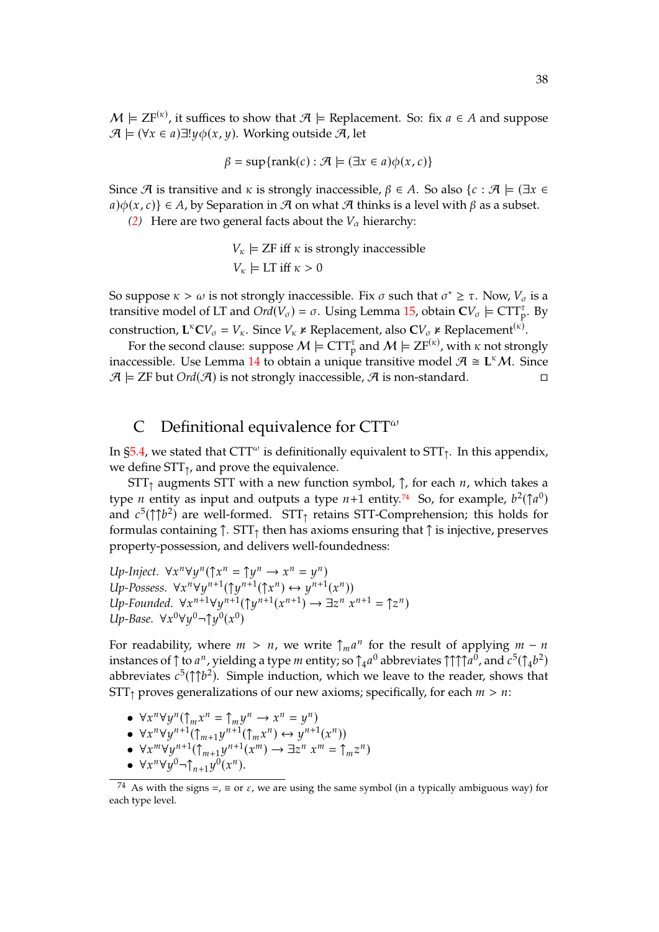$M \models ZF^{(\kappa)}$ , it suffices to show that  $\mathcal{A} \models$  Replacement. So: fix  $a \in A$  and suppose  $\mathcal{A} \models (X \in \mathcal{A}) \exists! u \phi(x, u)$ . Working outside  $\mathcal{A}$  let  $\mathcal{A}$   $\models$  (∀x ∈ a) $\exists !y \phi(x, y)$ . Working outside  $\mathcal{A}$ , let

$$
\beta = \sup\{\text{rank}(c) : \mathcal{A} \models (\exists x \in a)\phi(x, c)\}\
$$

Since  $\mathcal A$  is transitive and  $\kappa$  is strongly inaccessible,  $\beta \in A$ . So also  $\{c : \mathcal A \models (\exists x \in A)$  $a\{\phi(x,c)\}\in A$ , by Separation in  $\mathcal A$  on what  $\mathcal A$  thinks is a level with  $\beta$  as a subset.

*[\(2\)](#page-36-2)* Here are two general facts about the  $V_\alpha$  hierarchy:

 $V_{\kappa}$  = ZF iff  $\kappa$  is strongly inaccessible  $V_{\kappa} \models$  LT iff  $\kappa > 0$ 

So suppose  $\kappa > \omega$  is not strongly inaccessible. Fix  $\sigma$  such that  $\sigma^* \geq \tau$ . Now,  $V_{\sigma}$  is a transitive model of LT and  $Ovd(V) = \sigma$ . Heing Lemma 15, obtain  $CV \models CTT^{T}$ . By transitive model of LT and  $Ord(V_{\sigma}) = \sigma$ . Using Lemma [15,](#page-36-3) obtain  $CV_{\sigma} \models CTT_{p}^{\tau}$ . By construction,  $\mathbf{L}^{\kappa} \mathbf{C} V_{\sigma} = V_{\kappa}$ . Since  $V_{\kappa} \nvDash \text{Replacement}, \text{ also } \mathbf{C} V_{\sigma} \nvDash \text{Replacement}^{(\kappa)}$ .<br>For the second clause: suppose  $M \models \mathbf{C} \mathbf{T}^{\tau}$  and  $M \models \mathbf{Z} \mathbf{E}^{(\kappa)}$ , with  $\nu$  not strong

For the second clause: suppose  $M \models \text{CTT}_{p}^{\tau}$  and  $M \models \text{ZF}^{(\kappa)}$ , with  $\kappa$  not strongly inaccessible. Use Lemma [14](#page-35-6) to obtain a unique transitive model  $\mathcal{A} \cong L^{\kappa} \mathcal{M}$ . Since  $\mathcal{A} \models$  ZF but *Ord*( $\mathcal{A}$ ) is not strongly inaccessible,  $\mathcal{A}$  is non-standard.

## <span id="page-37-0"></span>C Definitional equivalence for  $CTT^{\omega}$

In [§5.4,](#page-18-2) we stated that  $CTT^{\omega}$  is definitionally equivalent to  $STT_{\uparrow}$ . In this appendix, we define  $STT<sub>1</sub>$ , and prove the equivalence.

 $STT<sub>†</sub>$  augments STT with a new function symbol,  $\uparrow$ , for each  $n$ , which takes a type *n* entity as input and outputs a type  $n+1$  entity.<sup>[74](#page-37-1)</sup> So, for example,  $b^2(\uparrow a^0)$ <br>and  $c^5(\uparrow \uparrow b^2)$  are yiell formed. STT, retains STT Comprehension; this holds for and  $c^5(\uparrow\uparrow b^2)$  are well-formed. STT<sub> $\uparrow$ </sub> retains STT-Comprehension; this holds for formulae containing  $\uparrow$  STT, then has axioms encuring that  $\uparrow$  is injective presented formulas containing  $\uparrow$ . STT<sub> $\uparrow$ </sub> then has axioms ensuring that  $\uparrow$  is injective, preserves property-possession, and delivers well-foundedness:

 $U_p$ -Inject.  $\forall x^n \forall y^n (\uparrow x^n = \uparrow y^n \rightarrow x^n = y^n)$ <br> *Un Possess*  $\forall x^n \forall y^n (\uparrow x^n = \uparrow y^n \rightarrow x^n = y^n)$ *Up-Possess.* <sup>∀</sup>𝑥 𝑛∀𝑦 𝑛+1 (↑𝑦 𝑛+1 (↑𝑥 𝑛 ) ↔ 𝑦 𝑛+1 (𝑥 𝑛 ))  $U_p$ -Founded.  $\forall x^{n+1}\forall y^{n+1}(\uparrow y^{n+1}(x^{n+1}) \rightarrow \exists z^n \ x^{n+1} = \uparrow z^n)$ <br>Un Base,  $\forall x^0 \forall y^0 \in \uparrow y^0$ *Up-Base.*  $\forall x^0 \forall y^0 \neg \uparrow y^0(x^0)$ 

For readability, where  $m > n$ , we write  $\int_{m} a^n$  for the result of applying  $m - n$ <br>instances of  $\int_{0}^{n} b a^n$ , vialding a type m ontity; so  $\int_{0}^{n} a^n$  abbreviates  $\int_{0}^{n} \int_{0}^{n} b a^n$ instances of  $\uparrow$  to  $a^n$ , yielding a type *m* entity; so  $\uparrow_4 a^0$  abbreviates  $\uparrow \uparrow \uparrow a^0$ , and  $c^5(\uparrow_4 b^2)$ <br>abbreviates  $c^5(\uparrow \uparrow b^2)$ . Simple induction, which we leave to the reader, shows that abbreviates  $c^5(\uparrow \uparrow b^2)$ . Simple induction, which we leave to the reader, shows that  $STT<sub>↑</sub>$  proves generalizations of our new axioms; specifically, for each  $m > n$ :

• 
$$
\forall x^n \forall y^n (\uparrow_m x^n = \uparrow_m y^n \rightarrow x^n = y^n)
$$
  
\n•  $\forall x^n \forall x \dots^{n+1} (\uparrow_{m \in \mathcal{M}} x^n) \iff x^n \in \mathcal{M}^{n+1} (x^n)$ 

- $\forall x^n \forall y^{n+1} (\uparrow_{m+1} y^{n+1})$  $\begin{pmatrix} m \\ m \end{pmatrix} \leftrightarrow y^{n+1}(x^n)$ <br> $\Rightarrow \exists z^n \cdot x^m = \uparrow$
- $\forall x^m \forall y^{n+1} (\uparrow_{m+1}^n y^{n+1}(x^m) \rightarrow \exists z^n \ x^m = \uparrow_m z^n)$
- <span id="page-37-1"></span>•  $\forall x^n \forall y^0 \neg \uparrow_{n+1} y^0(x^n)$ .

<sup>&</sup>lt;sup>74</sup> As with the signs =,  $\equiv$  or  $\varepsilon$ , we are using the same symbol (in a typically ambiguous way) for each type level.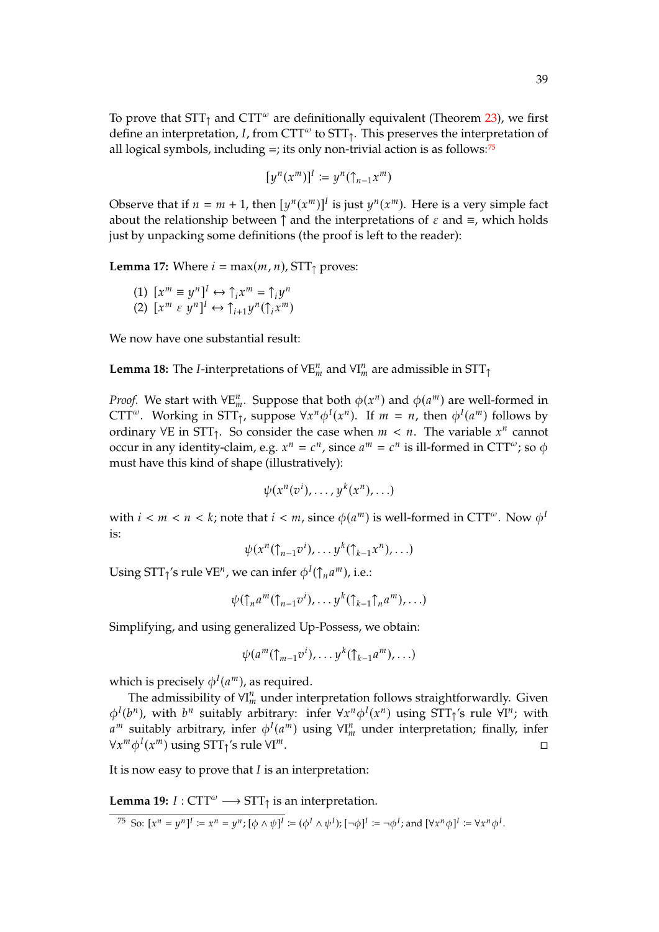To prove that  $STT<sub>↑</sub>$  and  $CTT<sup>ω</sup>$  are definitionally equivalent (Theorem [23\)](#page-40-1), we first define an interpretation, *I*, from CTT<sup> $\omega$ </sup> to STT<sub> $\uparrow$ </sub>. This preserves the interpretation of<br>all logical symbols, including  $\pm$ ; its only non-trivial action is as follows:<sup>75</sup> all logical symbols, including  $=$ ; its only non-trivial action is as follows:<sup>[75](#page-38-0)</sup>

$$
[y^n(x^m)]^l \coloneqq y^n(\uparrow_{n-1} x^m)
$$

Observe that if  $n = m + 1$ , then  $[y^n(x^m)]^T$  is just  $y^n(x^m)$ . Here is a very simple fact about the relationship between  $\uparrow$  and the interpretations of  $\varepsilon$  and  $\equiv$ , which holds just by unpacking some definitions (the proof is left to the reader):

<span id="page-38-4"></span><span id="page-38-2"></span>**Lemma 17:** Where  $i = max(m, n)$ , STT<sub>↑</sub> proves:

- (1)  $[x^m \equiv y^n]^I \leftrightarrow \hat{\mathcal{L}}_i x^m = \hat{\mathcal{L}}_i y^n$ <br>(2)  $[x^m \in y^n]^I \leftrightarrow \hat{\mathcal{L}}_{i+1} y^n (\hat{\mathcal{L}}_i x^m)$
- <span id="page-38-3"></span> $(x^m)$

We now have one substantial result:

<span id="page-38-1"></span>**Lemma 18:** The *I*-interpretations of  $\forall E_m^n$  and  $\forall I_m^n$  are admissible in  $STT_\uparrow$ 

*Proof.* We start with  $\forall E_m^n$ . Suppose that both  $\phi(x^n)$  and  $\phi(a^m)$  are well-formed in  $\text{CTT}^\omega$ . Working in  $\text{STT}$ , suppose  $\forall x^n \phi^I(x^n)$ , If  $m = n$ , then  $\phi^I(a^m)$  follows by CTT<sup>ω</sup>. Working in STT<sub>1</sub>, suppose  $\forall x^n \phi^I(x^n)$ . If  $m = n$ , then  $\phi^I(a^m)$  follows by ending  $\forall F$  in STT<sub>1</sub>. So consider the case when  $m \le n$ . The variable  $x^n$  cannot ordinary  $\forall E$  in  $STT_{\uparrow}$ . So consider the case when  $m < n$ . The variable  $x^n$  cannot occur in any identity-claim, e.g.  $x^n = c^n$ , since  $a^m = c^n$  is ill-formed in CTT<sup> $\omega$ </sup>; so  $\phi$  must have this kind of shape (illustratively). must have this kind of shape (illustratively):

$$
\psi(x^n(v^i),\ldots,y^k(x^n),\ldots)
$$

with  $i < m < n < k$ ; note that  $i < m$ , since  $\phi(a^m)$  is well-formed in CTT<sup> $\omega$ </sup>. Now  $\phi^l$ is:

 $\psi(x^n(\uparrow_{n-1}v^i),\ldots,y^k(\uparrow_{k-1}x^n),\ldots)$ 

Using STT<sub>↑</sub>'s rule  $\forall E^n$ , we can infer  $\phi^I(\uparrow)$  $_{n}a^{m}$ ), i.e.:

 $\psi(\uparrow_n a^m(\uparrow_{n-1} v^i), \ldots y^k(\uparrow_{k-1} \uparrow_n a^m), \ldots)$ 

Simplifying, and using generalized Up-Possess, we obtain:

$$
\psi(a^m(\uparrow_{m-1}v^i),\ldots,y^k(\uparrow_{k-1}a^m),\ldots)
$$

which is precisely  $\phi^I(a^m)$ , as required.<br>The admissibility of  $\mathcal{H}^n$  under inti

The admissibility of  $\forall I_m^n$  under interpretation follows straightforwardly. Given  $h^n$ . with  $h^n$  suitably arbitrary, infor  $\forall x^n \phi(x^n)$  using  $STL(s, \text{rule } \forall I^n$ , with  $\phi^I(b^n)$ , with  $b^n$  suitably arbitrary: infer  $\forall x^n \phi^I(x^n)$  using  $STT_{\uparrow}$ 's rule  $\forall I^n$ ; with  $\phi^m$  and  $\phi^I(a^m)$  using  $\forall I^n$  under interpretation; finally infer  $\forall x^m \phi^I(x^m)$  using  $STT$ <sup>1</sup>'s rule  $\forall I$ <sup>*m*</sup> suitably arbitrary, infer  $\phi^I(a^m)$  using  $\forall I_m^n$  under interpretation; finally, infer  $\phi^I(a^m)$  using  $\forall I_m^n$  $\blacksquare$ .

It is now easy to prove that  $I$  is an interpretation:

<span id="page-38-5"></span>**Lemma 19:**  $I : \text{CTT}^{\omega} \longrightarrow \text{STT}_{\uparrow}$  is an interpretation.

<span id="page-38-0"></span>75 So:  $[x^n = y^n] = x^n = y^n$ ;  $[\phi \wedge \psi] = (\phi^I \wedge \psi^I)$ ;  $[\neg \phi]^I := \neg \phi^I$ ; and  $[\forall x^n \phi]^I := \forall x^n \phi^I$ .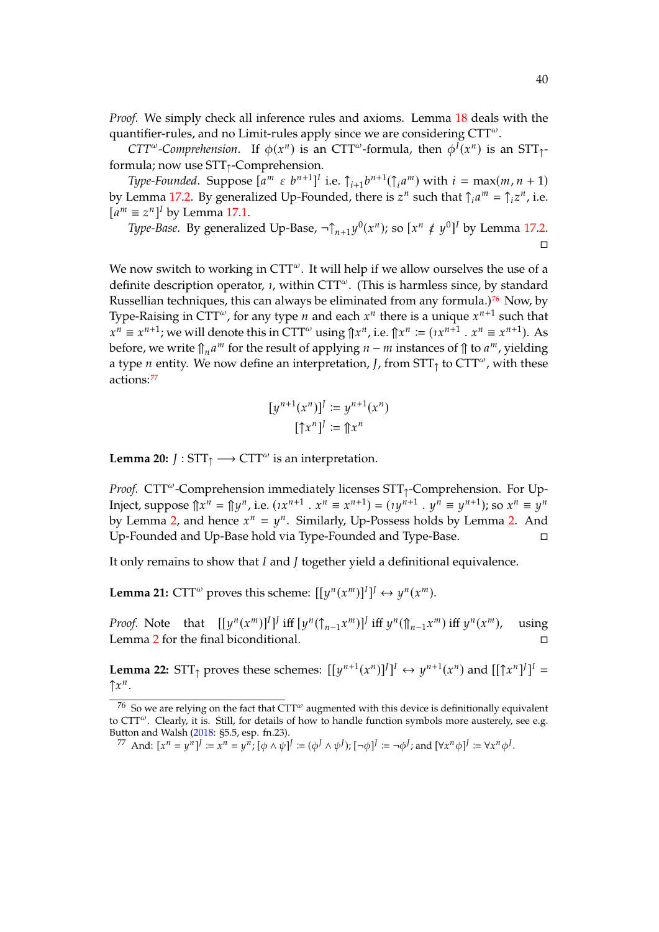*Proof.* We simply check all inference rules and axioms. Lemma [18](#page-38-1) deals with the quantifier-rules, and no Limit-rules apply since we are considering  $CTT^{\omega}$ .

*CTT<sup>ω</sup>*-*Comprehension*. If  $\phi(x^n)$  is an CTT<sup>ω</sup>-formula, then  $\phi^I(x^n)$  is an STT<sub>1</sub>-<br>mula: now use STT. Comprehension formula; now use STT↑-Comprehension.

*Type-Founded.* Suppose  $[a^m \in b^{n+1}]^l$  i.e.  $\int_{i+1}^{l} b^{n+1} (\hat{\theta}_i a^m)$  with  $i = \max(m, n + 1)$ by Lemma [17.](#page-38-2)[2.](#page-38-3) By generalized Up-Founded, there is  $z^n$  such that  $\int_i a^m = \int_i z^n$ , i.e.  $[a<sup>m</sup> \equiv z<sup>n</sup>]$ <sup>*I*</sup> by Lemma [17](#page-38-2)[.1.](#page-38-4)

*Type-Base.* By generalized Up-Base,  $\neg \uparrow_{n+1} y^0(x^n)$ ; so  $[x^n \notin y^0]^I$  by Lemma [17](#page-38-2)[.2.](#page-38-3)  $\Box$ 

We now switch to working in  $CTT^{\omega}$ . It will help if we allow ourselves the use of a definite description operator,  $\iota$ , within CTT<sup> $\omega$ </sup>. (This is harmless since, by standard Russellian techniques, this can always be eliminated from any formula.)<sup>[76](#page-39-0)</sup> Now, by Type-Raising in CTT<sup>ω</sup>, for any type *n* and each  $x^n$  there is a unique  $x^{n+1}$  such that  $x^n = x^{n+1} \cdot y^n$  and that  $x^n = x^{n+1} \cdot y^n = x^{n+1} \cdot \Lambda$ before, we write  $\int_{\mathbb{R}} a^m$  for the result of applying  $n - m$  instances of  $\int_{\mathbb{R}} a^m$ , yielding  $\hat{u}^n \equiv x^{n+1}$ ; we will denote this in CTT<sup>ω</sup> using  $\hat{v}^n$ , i.e.  $\hat{v}^n := (x^{n+1} \cdot x^n \equiv x^{n+1})$ . As a type *n* entity. We now define an interpretation, *J*, from  $STT<sub>†</sub>$  to  $CTT<sup>\omega</sup>$ , with these actions:[77](#page-39-1)

$$
[y^{n+1}(x^n)]^J := y^{n+1}(x^n)
$$

$$
[\uparrow x^n]^J := \uparrow x^n
$$

**Lemma 20:**  $J : \text{STT}_{\uparrow} \longrightarrow \text{CTT}^{\omega}$  is an interpretation.

Proof. CTT<sup>ω</sup>-Comprehension immediately licenses STT<sub>1</sub>-Comprehension. For Up-Inject, suppose  $\|\hat{x}^n = \|y^n\}$ , i.e.  $(\hat{x}^{n+1} \cdot \hat{x}^n \equiv \hat{x}^{n+1}) = (\hat{x}^{n+1} \cdot \hat{y}^n \equiv y^{n+1})$ ; so  $\hat{x}^n \equiv \hat{y}^n$ by Lemma [2,](#page-30-0) and hence  $x^n = y^n$ . Similarly, Up-Possess holds by Lemma [2.](#page-30-0) And<br>Up Founded and Up Base hold via Type Founded and Type Base Up-Founded and Up-Base hold via Type-Founded and Type-Base.

It only remains to show that  $I$  and  $J$  together yield a definitional equivalence.

**Lemma 21:**  $CTT^{\omega}$  proves this scheme:  $[[y^n(x^m)]^I]^J \leftrightarrow y^n(x^m)$ .

*Proof.* Note that  $[[y^n(x^m)]^I]^I$  iff  $[y^n(\uparrow_{n-1} x^m)]^I$  iff  $y^n(\uparrow_{n-1} x^m)$  iff  $y^n(x)$ using Lemma [2](#page-30-0) for the final biconditional.

<span id="page-39-2"></span>**Lemma 22:**  $STT_{\uparrow}$  proves these schemes:  $[[y^{n+1}(x^n)]^J]^I \leftrightarrow y^{n+1}(x^n)$  and  $[[\uparrow x^n]^J]^I = \uparrow x^n$  $\uparrow x^n$ .

<span id="page-39-0"></span> $76$  So we are relying on the fact that CTT<sup> $\omega$ </sup> augmented with this device is definitionally equivalent to  $CTT^{\omega}$ . Clearly, it is. Still, for details of how to handle function symbols more austerely, see e.g. Button and Walsh [\(2018:](#page-44-12) §5.5, esp. fn.23).

<span id="page-39-1"></span><sup>77</sup> And:  $[x^n = y^n] := x^n = y^n$ ;  $[\phi \wedge \psi]^j := (\phi^j \wedge \psi^j)$ ;  $[\neg \phi]^j := \neg \phi^j$ ; and  $[\forall x^n \phi]^j := \forall x^n \phi^j$ .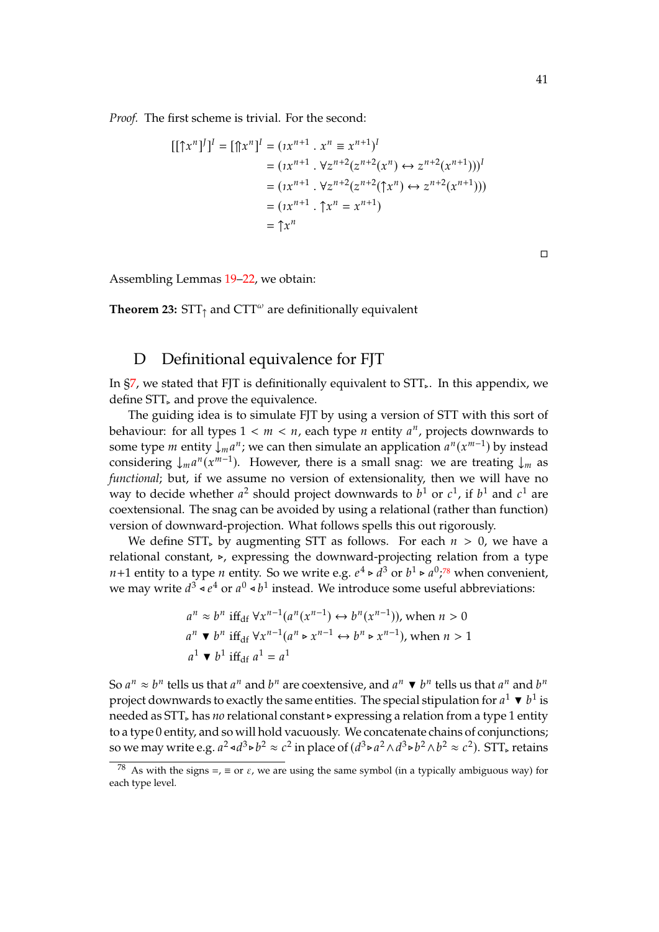*Proof.* The first scheme is trivial. For the second:

$$
[[\uparrow x^n]^J]^I = [\uparrow x^n]^I = (ix^{n+1} \cdot x^n \equiv x^{n+1})^I
$$
  
=  $(ix^{n+1} \cdot \forall z^{n+2}(z^{n+2}(x^n) \leftrightarrow z^{n+2}(x^{n+1})))^I$   
=  $(ix^{n+1} \cdot \forall z^{n+2}(z^{n+2}(\uparrow x^n) \leftrightarrow z^{n+2}(x^{n+1})))$   
=  $(ix^{n+1} \cdot \uparrow x^n = x^{n+1})$   
=  $\uparrow x^n$ 

Assembling Lemmas [19](#page-38-5)[–22,](#page-39-2) we obtain:

<span id="page-40-1"></span>**Theorem 23:**  $STT<sub>↑</sub>$  and  $CTT<sup>ω</sup>$  are definitionally equivalent

## <span id="page-40-0"></span>D Definitional equivalence for FJT

In  $\S7$ , we stated that FJT is definitionally equivalent to  $STT_{\gamma}$ . In this appendix, we define STT<sub>⊳</sub> and prove the equivalence.

The guiding idea is to simulate FJT by using a version of STT with this sort of behaviour: for all types  $1 < m < n$ , each type *n* entity  $a^n$ , projects downwards to some type *m* ontity  $|a^n|$ , we can then simulate an application  $a^n(x^{m-1})$  by instead some type *m* entity  $\int_{m}^{n} a^{n}$ ; we can then simulate an application  $a^{n}(x^{m-1})$  by instead considering  $\downarrow_m a^n(x^{m-1})$ . However, there is a small snag: we are treating  $\downarrow_m$  as *functional*; but, if we assume no version of extensionality, then we will have no way to decide whether  $a^2$  should project downwards to  $b^1$  or  $c^1$ , if  $b^1$  and  $c^1$  are<br>conveniented. The space can be avoided by using a relational (rather than function) coextensional. The snag can be avoided by using a relational (rather than function) version of downward-projection. What follows spells this out rigorously.

We define STT, by augmenting STT as follows. For each  $n > 0$ , we have a relational constant, ⊲, expressing the downward-projecting relation from a type  $n+1$  entity to a type *n* entity. So we write e.g.  $e^4 \triangleright d^3$  or  $b^1 \triangleright d^3$ ,<sup>[78](#page-40-2)</sup> when convenient, we may write  $d^3 \triangleleft e^4$  or  $a^0 \triangleleft b^1$  instead. We introduce some useful abbreviations:

$$
a^n \approx b^n \text{ iff}_{\text{df}} \forall x^{n-1}(a^n(x^{n-1}) \leftrightarrow b^n(x^{n-1})) \text{, when } n > 0
$$
\n
$$
a^n \blacktriangleright b^n \text{ iff}_{\text{df}} \forall x^{n-1}(a^n \triangleright x^{n-1} \leftrightarrow b^n \triangleright x^{n-1}) \text{, when } n > 1
$$
\n
$$
a^1 \blacktriangleright b^1 \text{ iff}_{\text{df}} a^1 = a^1
$$

So  $a^n \approx b^n$  tells us that  $a^n$  and  $b^n$  are coextensive, and  $a^n \blacktriangledown b^n$  tells us that  $a^n$  and  $b^n$ <br>project downwards to exactly the same entities. The special stipulation for  $a^1 \blacktriangledown b^1$  is project downwards to exactly the same entities. The special stipulation for  $a^1 \blacktriangledown b^1$  is<br>needed as STT, has no relational constants expressing a relation from a type 1 entity. needed as STT<sup>⊲</sup> has *no* relational constant ⊲ expressing a relation from a type 1 entity to a type 0 entity, and so will hold vacuously. We concatenate chains of conjunctions; so we may write e.g.  $a^2 \triangleleft d^3 \triangleright b^2 \approx c^2$  in place of  $(d^3 \triangleright a^2 \wedge d^3 \triangleright b^2 \wedge b^2 \approx c^2)$ . STT, retains

 $\Box$ 

<span id="page-40-2"></span><sup>&</sup>lt;sup>78</sup> As with the signs =,  $\equiv$  or  $\varepsilon$ , we are using the same symbol (in a typically ambiguous way) for each type level.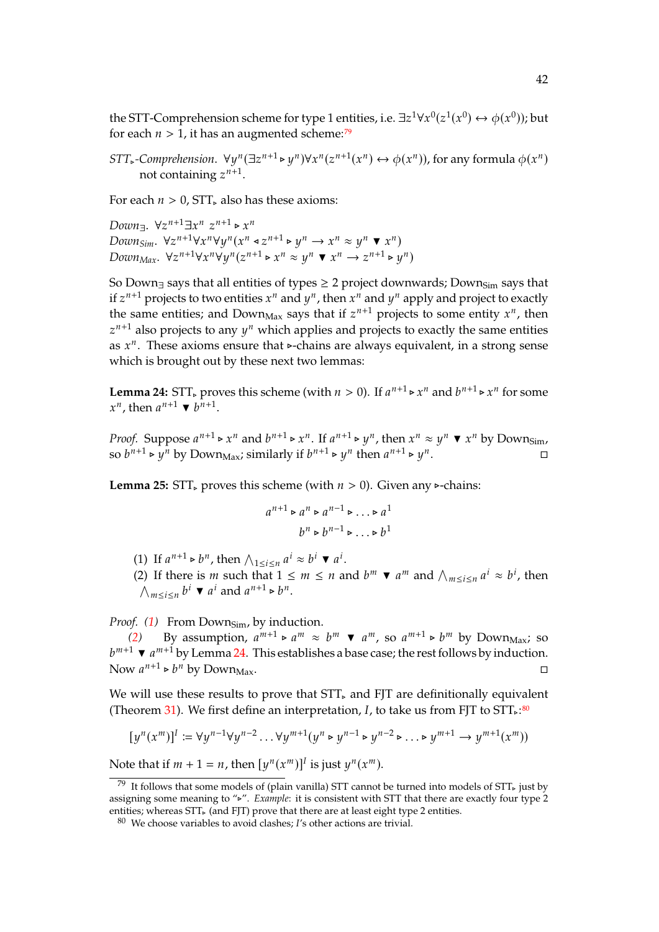the STT-Comprehension scheme for type 1 entities, i.e.  $\exists z^1 \forall x^0 (z^1(x^0) \leftrightarrow \phi(x^0))$ ; but<br>for each  $n > 1$ , it has an augmented scheme;  $\mathbb{Z}^9$ for each  $n > 1$ , it has an augmented scheme:<sup>[79](#page-41-0)</sup>

*STT*<sup>*s*</sup>-Comprehension.  $\forall y^n (\exists z^{n+1} \triangleright y^n) \forall x^n (z^{n+1}(x^n) \leftrightarrow \phi(x^n))$ , for any formula  $\phi(x^n)$ not containing  $z^{n+1}$ .

For each  $n > 0$ , STT, also has these axioms:

*Down*<sub>3</sub>.  $\forall z^{n+1} \exists x^n z^{n+1} \triangleright x^n$ <br> *Down<sub>Sim</sub>*.  $\forall z^{n+1} \forall x^n \forall y^n (x^n \triangleleft z^{n+1} \triangleright y^n \rightarrow x^n \approx y^n \blacktriangleright x^n)$ <br> *Down*<sub>sim</sub>  $\forall z^{n+1} \forall x^n \forall y^n (x^n \triangleleft z^{n+1} \triangleright y^n \rightarrow x^n \approx y^n \blacktriangleright x^n)$ Down-,  $\forall z^{n+1} \exists x^n z^{n+1} \triangleright x^n$  $Down_{Max}$ .  $\forall z^{n+1} \forall x^{n} \forall y^{n} (z^{n+1} \triangleright x^{n} \approx y^{n} \blacktriangleright x^{n} \rightarrow z^{n+1} \triangleright y^{n})$ 

So Down<sub>∃</sub> says that all entities of types ≥ 2 project downwards; Down<sub>Sim</sub> says that if  $z^{n+1}$  projects to two entities  $x^n$  and  $y^n$ , then  $x^n$  and  $y^n$  apply and project to exactly<br>the same entities and Down see sove that if  $z^{n+1}$  projects to some entity  $z^n$ , then the same entities; and Down<sub>Max</sub> says that if  $z^{n+1}$  projects to some entity  $x^n$ , then  $z^{n+1}$  also projects to any  $u^n$  which applies and projects to exactly the same entities as  $x^n$ . These axioms ensure that  $\triangleright$ -chains are always equivalent, in a strong sense  $n+1$  also projects to any  $y^n$  which applies and projects to exactly the same entities which is brought out by these next two lemmas:

<span id="page-41-3"></span>**Lemma 24:** STT<sub>►</sub> proves this scheme (with  $n > 0$ ). If  $a^{n+1} \triangleright x^n$  and  $b^{n+1} \triangleright x^n$  for some  $x^n$  then  $a^{n+1} \triangleright b^{n+1}$  $n$ , then  $a^{n+1} \blacktriangledown b^{n+1}$ .

*Proof.* Suppose  $a^{n+1} \triangleright x^n$  and  $b^{n+1} \triangleright x^n$ . If  $a^{n+1} \triangleright y^n$ , then  $x^n \approx y^n \blacktriangleright x^n$  by Downsim, so  $b^{n+1} \triangleright y^n$  by Down<sub>Max</sub>; similarly if  $b^{n+1} \triangleright y^n$  then  $a^{n+1} \triangleright y^n$ . на процеси в поставители и производители и производители и производители и производители и производители и п<br>В поставители и производители и производители и производители и производители и производители и производители

<span id="page-41-5"></span>**Lemma 25:** STT, proves this scheme (with  $n > 0$ ). Given any ⊳-chains:

$$
a^{n+1} \triangleright a^n \triangleright a^{n-1} \triangleright \dots \triangleright a^1
$$

$$
b^n \triangleright b^{n-1} \triangleright \dots \triangleright b^1
$$

<span id="page-41-1"></span>(1) If  $a^{n+1} \triangleright b^n$ , then  $\bigwedge_{1 \le i \le n} a^i \approx b^i \blacktriangleright a^i$ .<br>(2) If there is m such that  $1 \le m \le n$ .

<span id="page-41-2"></span>(2) If there is *m* such that  $1 \le m \le n$  and  $b^m \blacktriangledown a^m$  and  $\bigwedge_{m \le i \le n} a^i \approx b^i$ , then  $\bigwedge_{m\leq i\leq n} b^i \blacktriangledown a^i$  and  $a^{n+1} \triangleright b^n$ .

*Proof.* [\(1\)](#page-41-1) From Down<sub>Sim</sub>, by induction.

[\(2\)](#page-41-2) By assumption, a<br> $^{1}$   $\bullet$   $^{a}$ <sup>m+1</sup> by Lemma 24. T  $\bar{u}^{m+1} \triangleright a^m \approx b^m \blacktriangleright a^m$ , so  $a^{m+1} \triangleright b^m$  by Down<sub>Max</sub>; so<br>his octoblishes a base case; the rest follows by induction Now  $a^{n+1} \triangleright b^n$  by Down<sub>Max</sub>.  $^{m+1}$   $\blacktriangleright a^{m+1}$  by Lemma [24.](#page-41-3) This establishes a base case; the rest follows by induction.

We will use these results to prove that STT, and FJT are definitionally equivalent (Theorem [31\)](#page-43-0). We first define an interpretation,  $I<sub>t</sub>$ , to take us from FJT to STT<sub> $>$ </sub>:<sup>[80](#page-41-4)</sup></sub>

$$
[y^n(x^m)]^I := \forall y^{n-1} \forall y^{n-2} \dots \forall y^{m+1} (y^n \triangleright y^{n-1} \triangleright y^{n-2} \triangleright \dots \triangleright y^{m+1} \rightarrow y^{m+1} (x^m))
$$

Note that if  $m + 1 = n$ , then  $[y^n(x^m)]^I$  is just  $y^n(x^m)$ .

<span id="page-41-0"></span><sup>&</sup>lt;sup>79</sup> It follows that some models of (plain vanilla) STT cannot be turned into models of STT<sub></sub> just by assigning some meaning to "⊲". *Example*: it is consistent with STT that there are exactly four type 2 entities; whereas STT, (and FJT) prove that there are at least eight type 2 entities.

<span id="page-41-4"></span> $80$  We choose variables to avoid clashes; I's other actions are trivial.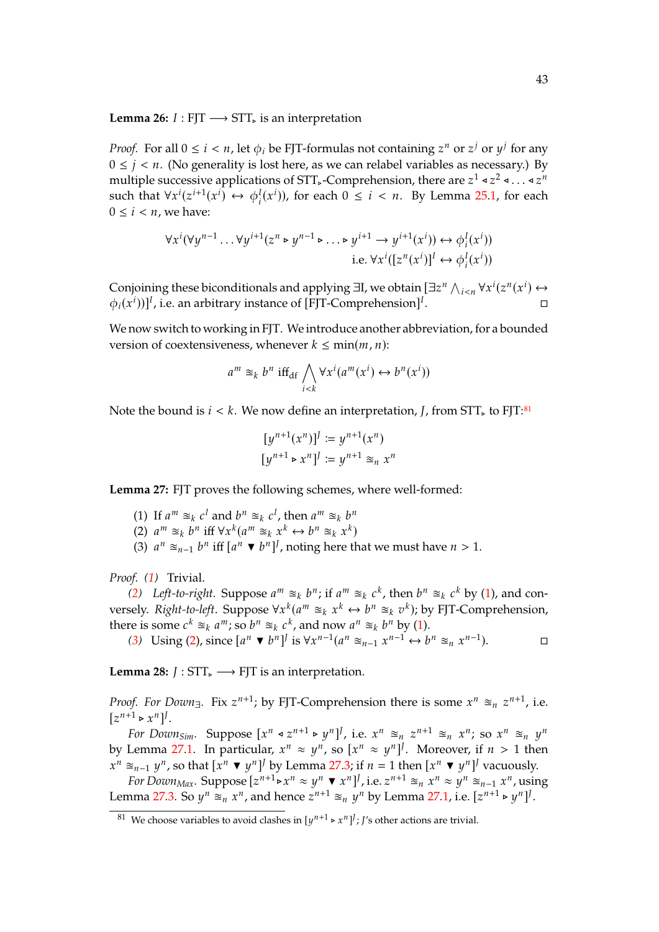<span id="page-42-5"></span>**Lemma 26:**  $I : F|T \longrightarrow STT_{\triangleright}$  is an interpretation

*Proof.* For all  $0 \le i \le n$ , let  $\phi_i$  be FJT-formulas not containing  $z^n$  or  $z^j$  or  $y^j$  for any  $0 \le i \le n$ . (No conceality is lost here as we can relabel variables as necessary). By  $0 \le j < n$ . (No generality is lost here, as we can relabel variables as necessary.) By multiple successive applications of STT, -Comprehension, there are  $z^1 \triangleleft z^2 \triangleleft ... \triangleleft z^n$ <br>such that  $\forall x^i (z^{i+1}(x^i) \leftrightarrow \phi^I(x^i))$  for each  $0 \leq i \leq n$ . By Lamma 25.1, for each such that  $\forall x^i(z^{i+1}(x^i)) \leftrightarrow \phi_i^I(x^i)$ , for each  $0 \le i < n$ . By Lemma [25](#page-41-5)[.1,](#page-41-1) for each  $0 \le i \le n$ , we have:  $0 \leq i < n$ , we have:

$$
\forall x^{i}(\forall y^{n-1} \dots \forall y^{i+1}(z^{n} \triangleright y^{n-1} \triangleright \dots \triangleright y^{i+1} \rightarrow y^{i+1}(x^{i})) \leftrightarrow \phi_{i}^{I}(x^{i}))
$$
  
i.e. 
$$
\forall x^{i}([z^{n}(x^{i})]^{I} \leftrightarrow \phi_{i}^{I}(x^{i}))
$$

Conjoining these biconditionals and applying  $\exists I$ , we obtain  $[\exists z^n \wedge_{i \leq n} \forall x^i (z^n(x^i) \leftrightarrow \wedge_i (x^i))]$  $\phi_i(x^i))]^I$ , i.e. an arbitrary instance of [FJT-Comprehension]<sup>1</sup> . В последните постание и последните се при постание и постание и постание и постание и постание и постание и<br>В постание и постание и постание и постание и постание и постание и постание и постание и постание и постание

We now switch to working in FJT. We introduce another abbreviation, for a bounded version of coextensiveness, whenever  $k \leq \min(m, n)$ :

$$
a^m \approx_k b^n \text{ iff}_{\text{df}} \bigwedge_{i < k} \forall x^i (a^m(x^i) \leftrightarrow b^n(x^i))
$$

Note the bound is  $i < k$ . We now define an interpretation, *I*, from STT<sub></sub>, to FJT:<sup>[81](#page-42-0)</sup>

$$
[y^{n+1}(x^n)]^J := y^{n+1}(x^n)
$$
  

$$
[y^{n+1} \triangleright x^n]^J := y^{n+1} \approx_n x^n
$$

<span id="page-42-4"></span><span id="page-42-1"></span>**Lemma 27:** FJT proves the following schemes, where well-formed:

- (1) If  $a^m \approx_k c^l$  and  $b^n \approx_k c^l$ , then  $a^m \approx_k b^n$ <br>(2)  $a^m \approx_k b^n$  iff  $\forall x^k (a^m \approx_k x^k)$ ,  $b^n \approx_k x^k$
- <span id="page-42-2"></span>(2)  $a^m \approx_k b^n$  iff  $\forall x^k (a^m \approx_k x^k \leftrightarrow b^n \approx_k x^k)$ <br>(3)  $a^n \approx_k b^n$  iff  $[a^n - b^n]$  poting here then
- <span id="page-42-3"></span>(3)  $a^n \approx_{n-1} b^n$  iff  $[a^n \blacktriangledown b^n]^J$ , noting here that we must have  $n > 1$ .

*Proof. [\(1\)](#page-42-1)* Trivial.

[\(2\)](#page-42-2) Left-to-right. Suppose  $a^m \approx_k b^n$ ; if  $a^m \approx_k c^k$ , then  $b^n \approx_k c^k$  by [\(1\)](#page-42-1), and con-<br>colv. Right to left. Suppose  $\forall x^k (a^m \approx_k x^k \leftrightarrow b^n \approx_k x^k)$ ; by EIT Comprehension versely. *Right-to-left*. Suppose  $\forall x^k (a^m \cong_k x^k \leftrightarrow b^n \cong_k v^k)$ ; by FJT-Comprehension,<br>there is some  $a^k \cong_k a^m$ ; so  $b^n \cong_k a^k$  and now  $a^n \cong_k b^n$  by (1) there is some  $c^k \approx_k a^m$ ; so  $b^n \approx_k c^k$ , and now  $a^n \approx_k b^n$  by [\(1\)](#page-42-1).<br>(3) Using (2) since  $[a^n - b^{n}]$  is  $\forall x^{n-1}(a^n \approx_k a^{n-1}$ 

[\(3\)](#page-42-3) Using [\(2\)](#page-42-2), since  $[a^n \blacktriangledown b^n]^j$  is  $\forall x^{n-1}(a^n \cong_{n-1} x^{n-1} \leftrightarrow b^n \cong_n x^{n-1})$ .

**Lemma 28:**  $J : STT_{\succ} \longrightarrow FTT$  is an interpretation.

*Proof.* For Down<sub>∃</sub>. Fix  $z^{n+1}$ ; by FJT-Comprehension there is some  $x^n \approx_n z^{n+1}$ , i.e.  $[z^{n+1} \triangleright x^n]'$ .<br>  $\frac{z^{n+1}}{z^n}$ 

For Down<sub>Sim</sub>. Suppose  $[x^n \triangleleft z^{n+1} \triangleright y^n]^j$ , i.e.  $x^n \cong_n z^{n+1} \cong_n x^n$ ; so  $x^n \cong_n y^n$ <br>Lomma 27.1. In particular,  $x^n \sim u^n$ , so  $[x^n \sim u^n]$ . Moreovor if  $u > 1$  then by Lemma [27.](#page-42-4)[1.](#page-42-1) In particular,  $x^n \approx y^n$ , so  $[x^n \approx y^n]^J$ . Moreover, if  $n > 1$  then  $x^n \approx y^n$  is a sum to contact the  $x^n \equiv y^n J$  we have the sum to contact the sum of  $x^n \equiv y^n J$  we consider  $x^n \approx_{n-1} y^n$ , so that  $[x^n \blacktriangledown y^n]^J$  by Lemma [27](#page-42-4)[.3;](#page-42-3) if  $n = 1$  then  $[x^n \blacktriangledown y^n]^J$  vacuously.<br>  $\lim_{n \to \infty} \text{Suppose } [x^{n+1} \land x^n \bowtie y^n]^J$  i.e.  $x^{n+1} \approx_{x^n} x^n \approx_{x^n} x^n$ 

For Down<sub>Max</sub>. Suppose  $[z^{n+1} \triangleright x^n \approx y^n \blacktriangleright x^n]$ , i.e.  $z^{n+1} \approx_n x^n \approx y^n \approx_{n-1} x^n$ , using Lemma [27](#page-42-4)[.3.](#page-42-3) So  $y^n \approx_n x^n$ , and hence  $z^{n+1} \approx_n y^n$  by Lemma 27[.1,](#page-42-1) i.e.  $[z^{n+1} \triangleright y^n]$ <sup>T</sup>.

<span id="page-42-0"></span><sup>&</sup>lt;sup>81</sup> We choose variables to avoid clashes in  $[y^{n+1} \triangleright x^n]'$ ; *J*'s other actions are trivial.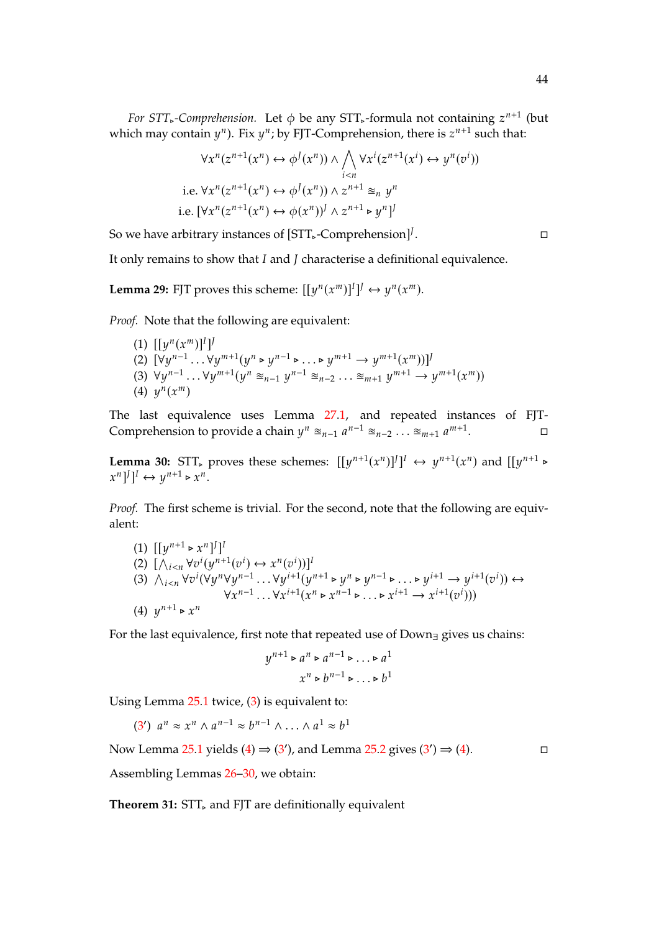*For STT*<sub>∗</sub>-Comprehension. Let  $\phi$  be any STT<sub>∗</sub>-formula not containing  $z^{n+1}$  (but  $\phi$ ) which  $\phi$  is  $z^{n+1}$  and the summation that  $\phi$ which may contain  $y^n$ ). Fix  $y^n$ ; by FJT-Comprehension, there is  $z^{n+1}$  such that:

$$
\forall x^{n}(z^{n+1}(x^{n}) \leftrightarrow \phi^{J}(x^{n})) \land \bigwedge_{i  
i.e. 
$$
\forall x^{n}(z^{n+1}(x^{n}) \leftrightarrow \phi^{J}(x^{n})) \land z^{n+1} \cong_{n} y^{n}
$$
  
i.e. 
$$
[\forall x^{n}(z^{n+1}(x^{n}) \leftrightarrow \phi(x^{n}))^{J} \land z^{n+1} \triangleright y^{n}]^{J}
$$
$$

So we have arbitrary instances of [STT<sub>►</sub>-Comprehension]<sup>}</sup>

. — Первый проста проста проста проста проста проста проста проста проста проста проста проста проста проста п<br>В 1990 году стала проста проста проста проста проста проста проста проста проста проста проста проста проста п

It only remains to show that  $I$  and  $J$  characterise a definitional equivalence.

**Lemma 29:** FJT proves this scheme:  $[[y^n(x^m)]^I]^J \leftrightarrow y^n(x^m)$ .

*Proof.* Note that the following are equivalent:

(1)  $[[y^n(x^m)]^l]$ <br>(2)  $[y_1, y_2, y_3]$ (2)  $[\forall y^{n-1} \dots \forall y^{m+1} (y^n \triangleright y^{n-1} \triangleright \dots \triangleright y^{m+1} \rightarrow y^{m+1} (x^m))]^{j}$ <br>(3)  $\forall y^{n-1} \longmapsto \forall y^{m+1} (y^n \triangleright y^{n-1} \triangleright \dots \triangleright y^{m+1} \rightarrow y^{m+1} (x^m))]^{j}$ (3)  $\forall y^{n-1} \dots \forall y^{m+1} (y^n \geq_{n-1} y^{n-1} \geq_{n-2} \dots \geq_{m+1} y^{m+1} \rightarrow y^{m+1} (x^m))$ (4)  $y^{n}(x^{m})$ 

The last equivalence uses Lemma [27.](#page-42-4)[1,](#page-42-1) and repeated instances of FJT-Comprehension to provide a chain  $y^n \approx_{n-1} a^{n-1} \approx_{n-2} \ldots \approx_{m+1} a^{m+1}$ .

<span id="page-43-3"></span>**Lemma 30:**  $STT_{\infty}$  proves these schemes:  $[[y^{n+1}(x^n)]^J]^I \leftrightarrow y^{n+1}(x^n)$  and  $[[y^{n+1} \triangleright y^n]$  $[x^n]^J]^I \leftrightarrow y^{n+1} \triangleright x^n$ .

*Proof.* The first scheme is trivial. For the second, note that the following are equivalent:

<span id="page-43-1"></span>(1) 
$$
[[y^{n+1} \triangleright x^n]^j]^I
$$
  
\n(2) 
$$
[\bigwedge_{i < n} \forall v^i (y^{n+1}(v^i) \leftrightarrow x^n(v^i))]^I
$$
  
\n(3) 
$$
\bigwedge_{i < n} \forall v^i (\forall y^n \forall y^{n-1} \dots \forall y^{i+1} (y^{n+1} \triangleright y^n \triangleright y^{n-1} \triangleright \dots \triangleright y^{i+1} \rightarrow y^{i+1}(v^i)) \leftrightarrow \forall x^{n-1} \dots \forall x^{i+1} (x^n \triangleright x^{n-1} \triangleright \dots \triangleright x^{i+1} \rightarrow x^{i+1}(v^i)))
$$
  
\n(4) 
$$
y^{n+1} \triangleright x^n
$$

<span id="page-43-2"></span>For the last equivalence, first note that repeated use of Down∃ gives us chains:

$$
y^{n+1} \triangleright a^n \triangleright a^{n-1} \triangleright \dots \triangleright a^1
$$

$$
x^n \triangleright b^{n-1} \triangleright \dots \triangleright b^1
$$

Using Lemma [25.](#page-41-5)[1](#page-41-1) twice, [\(3\)](#page-43-1) is equivalent to:

[\(3](#page-43-1)')  $a^n \approx x^n \wedge a^{n-1} \approx b^{n-1} \wedge \ldots \wedge a^1 \approx b^1$ 

Now Lemma [25](#page-41-5)[.1](#page-41-1) yields  $(4) \Rightarrow (3')$  $(4) \Rightarrow (3')$  $(4) \Rightarrow (3')$  $(4) \Rightarrow (3')$ , and Lemma [25.](#page-41-5)[2](#page-41-2) gives  $(3') \Rightarrow (4)$ .

Assembling Lemmas [26](#page-42-5)[–30,](#page-43-3) we obtain:

<span id="page-43-0"></span>Theorem 31: STT, and FJT are definitionally equivalent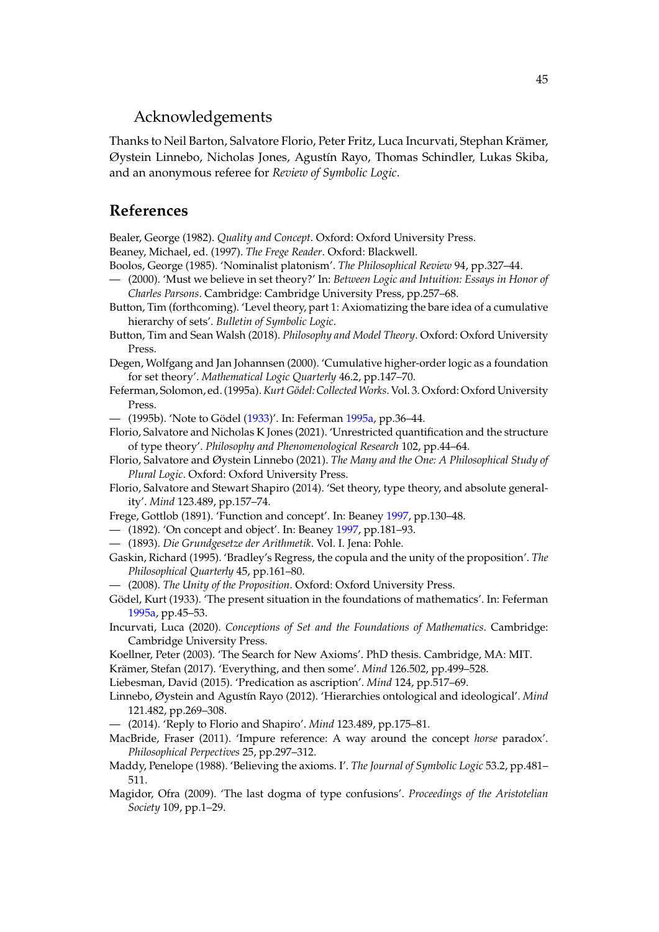## Acknowledgements

Thanks to Neil Barton, Salvatore Florio, Peter Fritz, Luca Incurvati, Stephan Krämer, Øystein Linnebo, Nicholas Jones, Agustín Rayo, Thomas Schindler, Lukas Skiba, and an anonymous referee for *Review of Symbolic Logic*.

## **References**

<span id="page-44-14"></span>Bealer, George (1982). *Quality and Concept*. Oxford: Oxford University Press.

<span id="page-44-26"></span>Beaney, Michael, ed. (1997). *The Frege Reader*. Oxford: Blackwell.

<span id="page-44-13"></span>Boolos, George (1985). 'Nominalist platonism'. *The Philosophical Review* 94, pp.327–44.

- <span id="page-44-9"></span>— (2000). 'Must we believe in set theory?' In: *Between Logic and Intuition: Essays in Honor of Charles Parsons*. Cambridge: Cambridge University Press, pp.257–68.
- <span id="page-44-10"></span>Button, Tim (forthcoming). 'Level theory, part 1: Axiomatizing the bare idea of a cumulative hierarchy of sets'. *Bulletin of Symbolic Logic*.
- <span id="page-44-12"></span>Button, Tim and Sean Walsh (2018). *Philosophy and Model Theory*. Oxford: Oxford University Press.

<span id="page-44-3"></span>Degen, Wolfgang and Jan Johannsen (2000). 'Cumulative higher-order logic as a foundation for set theory'. *Mathematical Logic Quarterly* 46.2, pp.147–70.

- <span id="page-44-25"></span>Feferman, Solomon, ed. (1995a).*Kurt Gödel: CollectedWorks*. Vol. 3. Oxford: Oxford University Press.
- <span id="page-44-6"></span>— (1995b). 'Note to Gödel [\(1933\)](#page-44-5)'. In: Feferman [1995a,](#page-44-25) pp.36–44.
- <span id="page-44-1"></span>Florio, Salvatore and Nicholas K Jones (2021). 'Unrestricted quantification and the structure of type theory'. *Philosophy and Phenomenological Research* 102, pp.44–64.
- <span id="page-44-11"></span>Florio, Salvatore and Øystein Linnebo (2021). *The Many and the One: A Philosophical Study of Plural Logic*. Oxford: Oxford University Press.
- <span id="page-44-23"></span>Florio, Salvatore and Stewart Shapiro (2014). 'Set theory, type theory, and absolute generality'. *Mind* 123.489, pp.157–74.
- <span id="page-44-18"></span>Frege, Gottlob (1891). 'Function and concept'. In: Beaney [1997,](#page-44-26) pp.130–48.
- <span id="page-44-19"></span>— (1892). 'On concept and object'. In: Beaney [1997,](#page-44-26) pp.181–93.
- <span id="page-44-20"></span>— (1893). *Die Grundgesetze der Arithmetik*. Vol. I. Jena: Pohle.
- <span id="page-44-15"></span>Gaskin, Richard (1995). 'Bradley's Regress, the copula and the unity of the proposition'. *The Philosophical Quarterly* 45, pp.161–80.

<span id="page-44-16"></span>— (2008). *The Unity of the Proposition*. Oxford: Oxford University Press.

- <span id="page-44-5"></span>Gödel, Kurt (1933). 'The present situation in the foundations of mathematics'. In: Feferman [1995a,](#page-44-25) pp.45–53.
- <span id="page-44-8"></span>Incurvati, Luca (2020). *Conceptions of Set and the Foundations of Mathematics*. Cambridge: Cambridge University Press.
- <span id="page-44-7"></span>Koellner, Peter (2003). 'The Search for New Axioms'. PhD thesis. Cambridge, MA: MIT.
- <span id="page-44-2"></span>Krämer, Stefan (2017). 'Everything, and then some'. *Mind* 126.502, pp.499–528.
- <span id="page-44-22"></span>Liebesman, David (2015). 'Predication as ascription'. *Mind* 124, pp.517–69.
- <span id="page-44-0"></span>Linnebo, Øystein and Agustín Rayo (2012). 'Hierarchies ontological and ideological'. *Mind* 121.482, pp.269–308.
- <span id="page-44-4"></span>— (2014). 'Reply to Florio and Shapiro'. *Mind* 123.489, pp.175–81.
- <span id="page-44-21"></span>MacBride, Fraser (2011). 'Impure reference: A way around the concept *horse* paradox'. *Philosophical Perpectives* 25, pp.297–312.
- <span id="page-44-24"></span>Maddy, Penelope (1988). 'Believing the axioms. I'. *The Journal of Symbolic Logic* 53.2, pp.481– 511.
- <span id="page-44-17"></span>Magidor, Ofra (2009). 'The last dogma of type confusions'. *Proceedings of the Aristotelian Society* 109, pp.1–29.